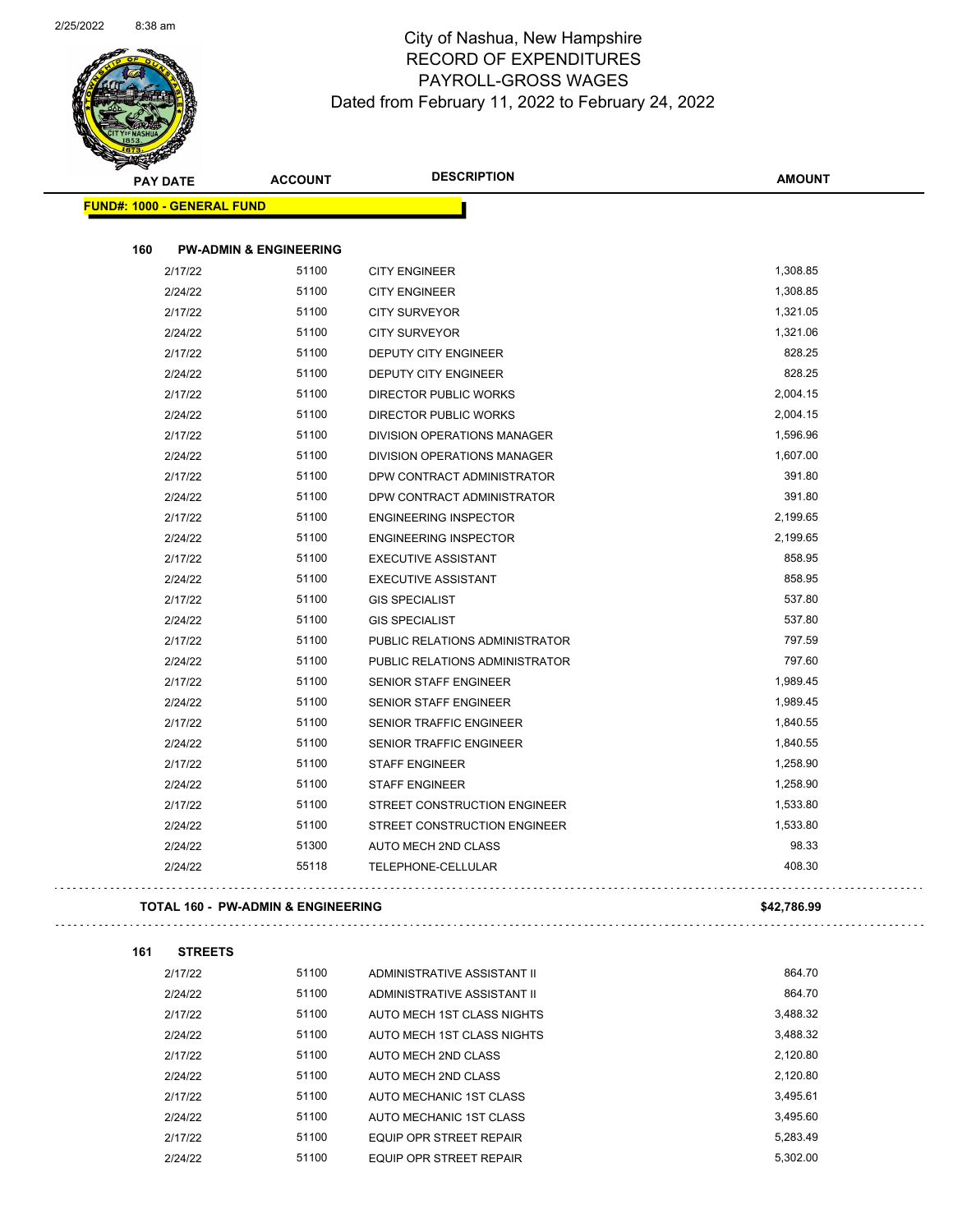

| <b>PAY DATE</b>                   | <b>ACCOUNT</b>                     | <b>DESCRIPTION</b>             | <b>AMOUNT</b> |
|-----------------------------------|------------------------------------|--------------------------------|---------------|
| <b>FUND#: 1000 - GENERAL FUND</b> |                                    |                                |               |
| 160                               | <b>PW-ADMIN &amp; ENGINEERING</b>  |                                |               |
| 2/17/22                           | 51100                              | <b>CITY ENGINEER</b>           | 1,308.85      |
| 2/24/22                           | 51100                              | <b>CITY ENGINEER</b>           | 1,308.85      |
| 2/17/22                           | 51100                              | <b>CITY SURVEYOR</b>           | 1,321.05      |
| 2/24/22                           | 51100                              | <b>CITY SURVEYOR</b>           | 1,321.06      |
| 2/17/22                           | 51100                              | DEPUTY CITY ENGINEER           | 828.25        |
| 2/24/22                           | 51100                              | DEPUTY CITY ENGINEER           | 828.25        |
| 2/17/22                           | 51100                              | DIRECTOR PUBLIC WORKS          | 2,004.15      |
| 2/24/22                           | 51100                              | DIRECTOR PUBLIC WORKS          | 2,004.15      |
| 2/17/22                           | 51100                              | DIVISION OPERATIONS MANAGER    | 1,596.96      |
| 2/24/22                           | 51100                              | DIVISION OPERATIONS MANAGER    | 1,607.00      |
| 2/17/22                           | 51100                              | DPW CONTRACT ADMINISTRATOR     | 391.80        |
| 2/24/22                           | 51100                              | DPW CONTRACT ADMINISTRATOR     | 391.80        |
| 2/17/22                           | 51100                              | <b>ENGINEERING INSPECTOR</b>   | 2,199.65      |
| 2/24/22                           | 51100                              | <b>ENGINEERING INSPECTOR</b>   | 2,199.65      |
| 2/17/22                           | 51100                              | <b>EXECUTIVE ASSISTANT</b>     | 858.95        |
| 2/24/22                           | 51100                              | <b>EXECUTIVE ASSISTANT</b>     | 858.95        |
| 2/17/22                           | 51100                              | <b>GIS SPECIALIST</b>          | 537.80        |
| 2/24/22                           | 51100                              | <b>GIS SPECIALIST</b>          | 537.80        |
| 2/17/22                           | 51100                              | PUBLIC RELATIONS ADMINISTRATOR | 797.59        |
| 2/24/22                           | 51100                              | PUBLIC RELATIONS ADMINISTRATOR | 797.60        |
| 2/17/22                           | 51100                              | SENIOR STAFF ENGINEER          | 1,989.45      |
| 2/24/22                           | 51100                              | SENIOR STAFF ENGINEER          | 1,989.45      |
| 2/17/22                           | 51100                              | SENIOR TRAFFIC ENGINEER        | 1,840.55      |
| 2/24/22                           | 51100                              | SENIOR TRAFFIC ENGINEER        | 1,840.55      |
| 2/17/22                           | 51100                              | <b>STAFF ENGINEER</b>          | 1,258.90      |
| 2/24/22                           | 51100                              | <b>STAFF ENGINEER</b>          | 1,258.90      |
| 2/17/22                           | 51100                              | STREET CONSTRUCTION ENGINEER   | 1,533.80      |
| 2/24/22                           | 51100                              | STREET CONSTRUCTION ENGINEER   | 1,533.80      |
| 2/24/22                           | 51300                              | AUTO MECH 2ND CLASS            | 98.33         |
| 2/24/22                           | 55118                              | TELEPHONE-CELLULAR             | 408.30        |
|                                   | TOTAL 160 - PW-ADMIN & ENGINEERING |                                | \$42,786.99   |
| 161<br><b>STREETS</b>             |                                    |                                |               |
| 2/17/22                           | 51100                              | ADMINISTRATIVE ASSISTANT II    | 864.70        |
| 2/24/22                           | 51100                              | ADMINISTRATIVE ASSISTANT II    | 864.70        |
| 2/17/22                           | 51100                              | AUTO MECH 1ST CLASS NIGHTS     | 3,488.32      |
| 2/24/22                           | 51100                              | AUTO MECH 1ST CLASS NIGHTS     | 3,488.32      |
| 2/17/22                           | 51100                              | AUTO MECH 2ND CLASS            | 2,120.80      |
| 2/24/22                           | 51100                              | AUTO MECH 2ND CLASS            | 2,120.80      |
| 2/17/22                           | 51100                              | AUTO MECHANIC 1ST CLASS        | 3,495.61      |
|                                   |                                    |                                |               |

2/24/22 51100 AUTO MECHANIC 1ST CLASS 3,495.60 2/17/22 51100 EQUIP OPR STREET REPAIR 2/24/22 51100 EQUIP OPR STREET REPAIR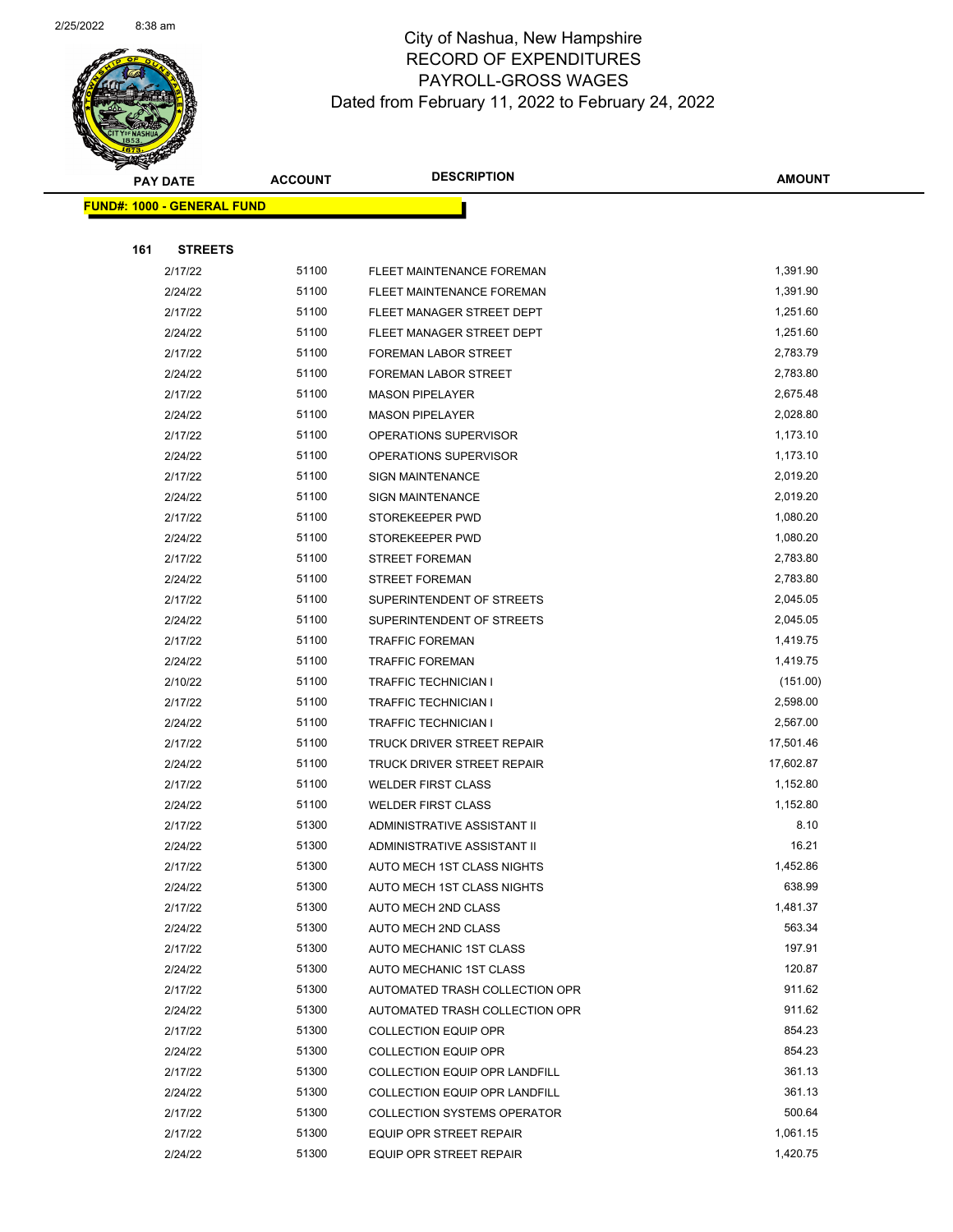

|     | <b>PAY DATE</b>                    | <b>ACCOUNT</b> | <b>DESCRIPTION</b>                 | <b>AMOUNT</b> |
|-----|------------------------------------|----------------|------------------------------------|---------------|
|     | <u> FUND#: 1000 - GENERAL FUND</u> |                |                                    |               |
|     |                                    |                |                                    |               |
| 161 | <b>STREETS</b>                     |                |                                    |               |
|     | 2/17/22                            | 51100          | FLEET MAINTENANCE FOREMAN          | 1,391.90      |
|     | 2/24/22                            | 51100          | FLEET MAINTENANCE FOREMAN          | 1,391.90      |
|     | 2/17/22                            | 51100          | FLEET MANAGER STREET DEPT          | 1,251.60      |
|     | 2/24/22                            | 51100          | FLEET MANAGER STREET DEPT          | 1,251.60      |
|     | 2/17/22                            | 51100          | <b>FOREMAN LABOR STREET</b>        | 2,783.79      |
|     | 2/24/22                            | 51100          | FOREMAN LABOR STREET               | 2,783.80      |
|     | 2/17/22                            | 51100          | <b>MASON PIPELAYER</b>             | 2,675.48      |
|     | 2/24/22                            | 51100          | <b>MASON PIPELAYER</b>             | 2,028.80      |
|     | 2/17/22                            | 51100          | OPERATIONS SUPERVISOR              | 1,173.10      |
|     | 2/24/22                            | 51100          | OPERATIONS SUPERVISOR              | 1,173.10      |
|     | 2/17/22                            | 51100          | <b>SIGN MAINTENANCE</b>            | 2,019.20      |
|     | 2/24/22                            | 51100          | <b>SIGN MAINTENANCE</b>            | 2,019.20      |
|     | 2/17/22                            | 51100          | STOREKEEPER PWD                    | 1,080.20      |
|     | 2/24/22                            | 51100          | STOREKEEPER PWD                    | 1,080.20      |
|     | 2/17/22                            | 51100          | <b>STREET FOREMAN</b>              | 2,783.80      |
|     | 2/24/22                            | 51100          | <b>STREET FOREMAN</b>              | 2,783.80      |
|     | 2/17/22                            | 51100          | SUPERINTENDENT OF STREETS          | 2,045.05      |
|     | 2/24/22                            | 51100          | SUPERINTENDENT OF STREETS          | 2,045.05      |
|     | 2/17/22                            | 51100          | <b>TRAFFIC FOREMAN</b>             | 1,419.75      |
|     | 2/24/22                            | 51100          | <b>TRAFFIC FOREMAN</b>             | 1,419.75      |
|     | 2/10/22                            | 51100          | <b>TRAFFIC TECHNICIAN I</b>        | (151.00)      |
|     | 2/17/22                            | 51100          | <b>TRAFFIC TECHNICIAN I</b>        | 2,598.00      |
|     | 2/24/22                            | 51100          | <b>TRAFFIC TECHNICIAN I</b>        | 2,567.00      |
|     | 2/17/22                            | 51100          | TRUCK DRIVER STREET REPAIR         | 17,501.46     |
|     | 2/24/22                            | 51100          | TRUCK DRIVER STREET REPAIR         | 17,602.87     |
|     | 2/17/22                            | 51100          | <b>WELDER FIRST CLASS</b>          | 1,152.80      |
|     | 2/24/22                            | 51100          | <b>WELDER FIRST CLASS</b>          | 1,152.80      |
|     | 2/17/22                            | 51300          | ADMINISTRATIVE ASSISTANT II        | 8.10          |
|     | 2/24/22                            | 51300          | ADMINISTRATIVE ASSISTANT II        | 16.21         |
|     | 2/17/22                            | 51300          | AUTO MECH 1ST CLASS NIGHTS         | 1,452.86      |
|     | 2/24/22                            | 51300          | AUTO MECH 1ST CLASS NIGHTS         | 638.99        |
|     | 2/17/22                            | 51300          | AUTO MECH 2ND CLASS                | 1,481.37      |
|     | 2/24/22                            | 51300          | AUTO MECH 2ND CLASS                | 563.34        |
|     | 2/17/22                            | 51300          | AUTO MECHANIC 1ST CLASS            | 197.91        |
|     | 2/24/22                            | 51300          | AUTO MECHANIC 1ST CLASS            | 120.87        |
|     | 2/17/22                            | 51300          | AUTOMATED TRASH COLLECTION OPR     | 911.62        |
|     | 2/24/22                            | 51300          | AUTOMATED TRASH COLLECTION OPR     | 911.62        |
|     | 2/17/22                            | 51300          | <b>COLLECTION EQUIP OPR</b>        | 854.23        |
|     | 2/24/22                            | 51300          | <b>COLLECTION EQUIP OPR</b>        | 854.23        |
|     | 2/17/22                            | 51300          | COLLECTION EQUIP OPR LANDFILL      | 361.13        |
|     | 2/24/22                            | 51300          | COLLECTION EQUIP OPR LANDFILL      | 361.13        |
|     | 2/17/22                            | 51300          | <b>COLLECTION SYSTEMS OPERATOR</b> | 500.64        |
|     | 2/17/22                            | 51300          | EQUIP OPR STREET REPAIR            | 1,061.15      |
|     | 2/24/22                            | 51300          | EQUIP OPR STREET REPAIR            | 1,420.75      |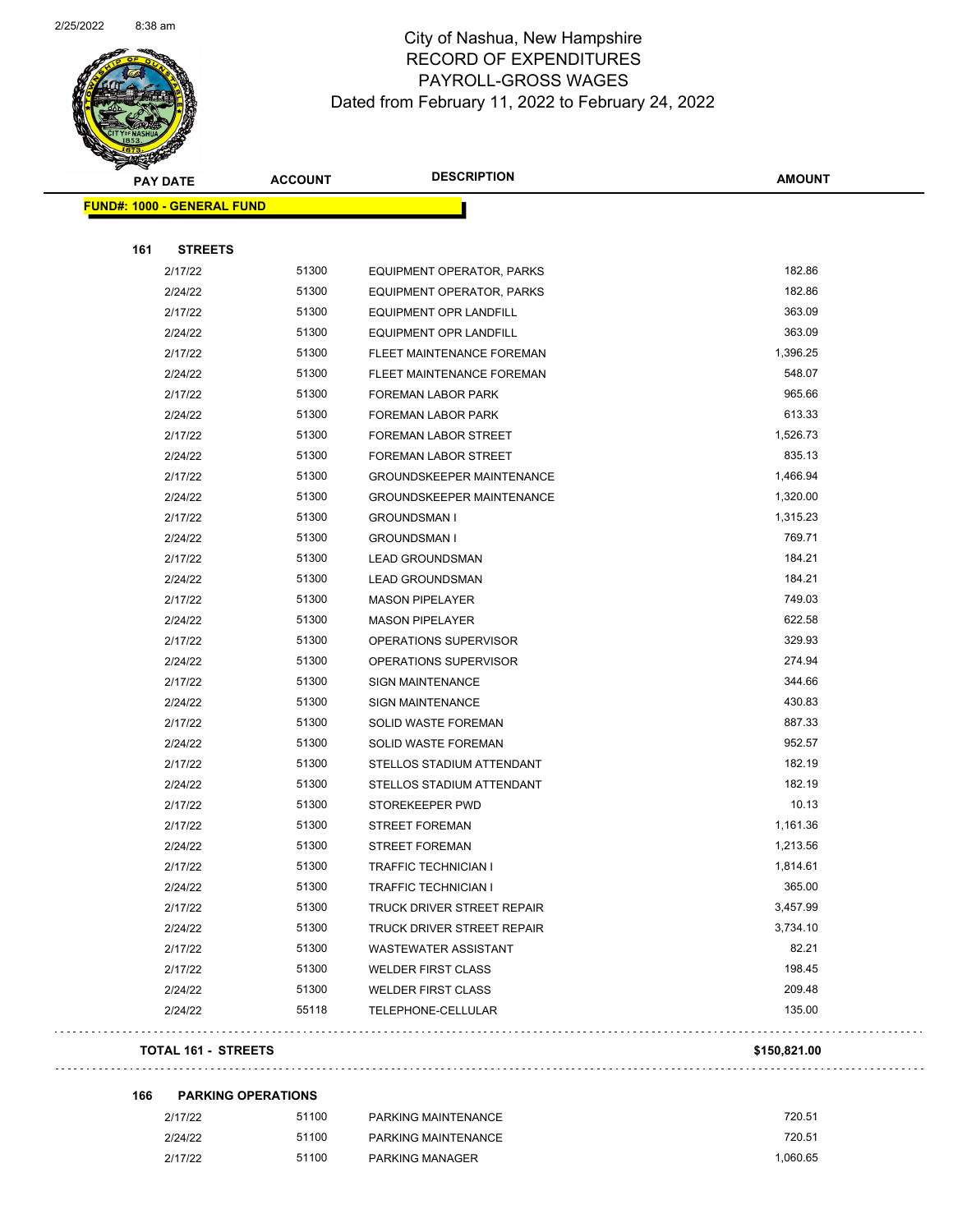

|     | <b>PAY DATE</b>                   | <b>ACCOUNT</b> | <b>DESCRIPTION</b>               | <b>AMOUNT</b> |
|-----|-----------------------------------|----------------|----------------------------------|---------------|
|     | <b>FUND#: 1000 - GENERAL FUND</b> |                |                                  |               |
|     |                                   |                |                                  |               |
| 161 | <b>STREETS</b>                    |                |                                  |               |
|     | 2/17/22                           | 51300          | EQUIPMENT OPERATOR, PARKS        | 182.86        |
|     | 2/24/22                           | 51300          | EQUIPMENT OPERATOR, PARKS        | 182.86        |
|     | 2/17/22                           | 51300          | <b>EQUIPMENT OPR LANDFILL</b>    | 363.09        |
|     | 2/24/22                           | 51300          | EQUIPMENT OPR LANDFILL           | 363.09        |
|     | 2/17/22                           | 51300          | FLEET MAINTENANCE FOREMAN        | 1,396.25      |
|     | 2/24/22                           | 51300          | FLEET MAINTENANCE FOREMAN        | 548.07        |
|     | 2/17/22                           | 51300          | <b>FOREMAN LABOR PARK</b>        | 965.66        |
|     | 2/24/22                           | 51300          | FOREMAN LABOR PARK               | 613.33        |
|     | 2/17/22                           | 51300          | FOREMAN LABOR STREET             | 1,526.73      |
|     | 2/24/22                           | 51300          | FOREMAN LABOR STREET             | 835.13        |
|     | 2/17/22                           | 51300          | <b>GROUNDSKEEPER MAINTENANCE</b> | 1,466.94      |
|     | 2/24/22                           | 51300          | <b>GROUNDSKEEPER MAINTENANCE</b> | 1,320.00      |
|     | 2/17/22                           | 51300          | <b>GROUNDSMAN I</b>              | 1,315.23      |
|     | 2/24/22                           | 51300          | <b>GROUNDSMAN I</b>              | 769.71        |
|     | 2/17/22                           | 51300          | <b>LEAD GROUNDSMAN</b>           | 184.21        |
|     | 2/24/22                           | 51300          | <b>LEAD GROUNDSMAN</b>           | 184.21        |
|     | 2/17/22                           | 51300          | <b>MASON PIPELAYER</b>           | 749.03        |
|     | 2/24/22                           | 51300          | <b>MASON PIPELAYER</b>           | 622.58        |
|     | 2/17/22                           | 51300          | OPERATIONS SUPERVISOR            | 329.93        |
|     | 2/24/22                           | 51300          | OPERATIONS SUPERVISOR            | 274.94        |
|     | 2/17/22                           | 51300          | <b>SIGN MAINTENANCE</b>          | 344.66        |
|     | 2/24/22                           | 51300          | <b>SIGN MAINTENANCE</b>          | 430.83        |
|     | 2/17/22                           | 51300          | SOLID WASTE FOREMAN              | 887.33        |
|     | 2/24/22                           | 51300          | SOLID WASTE FOREMAN              | 952.57        |
|     | 2/17/22                           | 51300          | STELLOS STADIUM ATTENDANT        | 182.19        |
|     | 2/24/22                           | 51300          | STELLOS STADIUM ATTENDANT        | 182.19        |
|     | 2/17/22                           | 51300          | STOREKEEPER PWD                  | 10.13         |
|     | 2/17/22                           | 51300          | <b>STREET FOREMAN</b>            | 1,161.36      |
|     | 2/24/22                           | 51300          | <b>STREET FOREMAN</b>            | 1,213.56      |
|     | 2/17/22                           | 51300          | TRAFFIC TECHNICIAN I             | 1,814.61      |
|     | 2/24/22                           | 51300          | TRAFFIC TECHNICIAN I             | 365.00        |
|     | 2/17/22                           | 51300          | TRUCK DRIVER STREET REPAIR       | 3,457.99      |
|     | 2/24/22                           | 51300          | TRUCK DRIVER STREET REPAIR       | 3,734.10      |
|     | 2/17/22                           | 51300          | <b>WASTEWATER ASSISTANT</b>      | 82.21         |
|     | 2/17/22                           | 51300          | <b>WELDER FIRST CLASS</b>        | 198.45        |
|     | 2/24/22                           | 51300          | <b>WELDER FIRST CLASS</b>        | 209.48        |
|     | 2/24/22                           | 55118          | TELEPHONE-CELLULAR               | 135.00        |
|     | <b>TOTAL 161 - STREETS</b>        |                |                                  | \$150,821.00  |

| 166 | <b>PARKING OPERATIONS</b> |  |
|-----|---------------------------|--|
|     |                           |  |

 $\Box$  .

| 2/17/22 | 51100 | PARKING MAINTENANCE | 720.51   |
|---------|-------|---------------------|----------|
| 2/24/22 | 51100 | PARKING MAINTENANCE | 720.51   |
| 2/17/22 | 51100 | PARKING MANAGER     | 1.060.65 |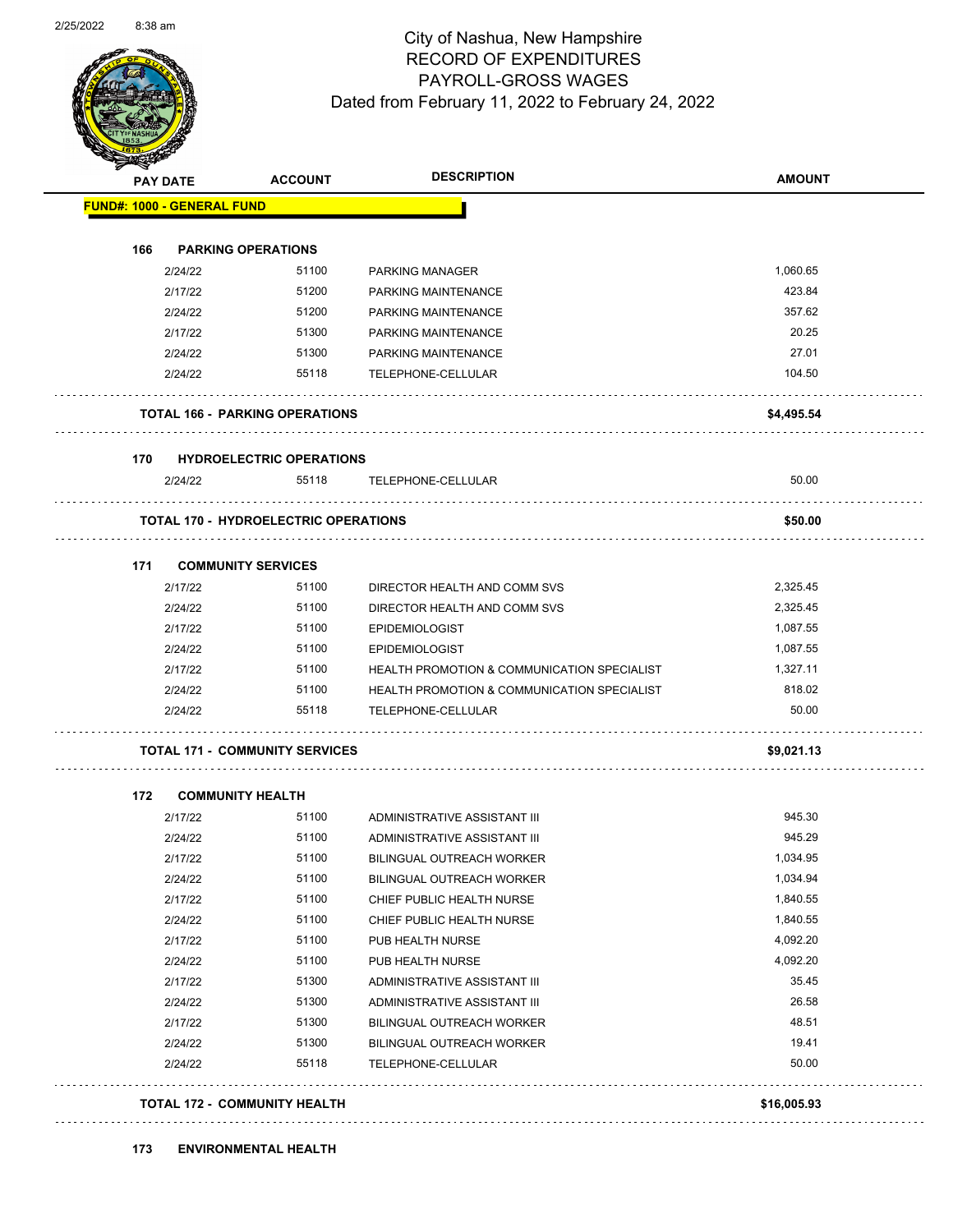

Page 58 of 104

| <b>PAY DATE</b>                   | <b>ACCOUNT</b>                              | <b>DESCRIPTION</b>                                     | <b>AMOUNT</b> |
|-----------------------------------|---------------------------------------------|--------------------------------------------------------|---------------|
| <b>FUND#: 1000 - GENERAL FUND</b> |                                             |                                                        |               |
|                                   |                                             |                                                        |               |
| 166                               | <b>PARKING OPERATIONS</b>                   |                                                        |               |
| 2/24/22                           | 51100                                       | <b>PARKING MANAGER</b>                                 | 1,060.65      |
| 2/17/22                           | 51200                                       | PARKING MAINTENANCE                                    | 423.84        |
| 2/24/22                           | 51200                                       | PARKING MAINTENANCE                                    | 357.62        |
| 2/17/22                           | 51300                                       | PARKING MAINTENANCE                                    | 20.25         |
| 2/24/22                           | 51300                                       | PARKING MAINTENANCE                                    | 27.01         |
| 2/24/22                           | 55118                                       | TELEPHONE-CELLULAR                                     | 104.50        |
|                                   | <b>TOTAL 166 - PARKING OPERATIONS</b>       |                                                        | \$4,495.54    |
| 170                               | <b>HYDROELECTRIC OPERATIONS</b>             |                                                        |               |
| 2/24/22                           | 55118                                       | TELEPHONE-CELLULAR                                     | 50.00         |
|                                   | <b>TOTAL 170 - HYDROELECTRIC OPERATIONS</b> |                                                        | \$50.00       |
| 171                               | <b>COMMUNITY SERVICES</b>                   |                                                        |               |
| 2/17/22                           | 51100                                       | DIRECTOR HEALTH AND COMM SVS                           | 2,325.45      |
| 2/24/22                           | 51100                                       | DIRECTOR HEALTH AND COMM SVS                           | 2,325.45      |
| 2/17/22                           | 51100                                       | <b>EPIDEMIOLOGIST</b>                                  | 1,087.55      |
| 2/24/22                           | 51100                                       | <b>EPIDEMIOLOGIST</b>                                  | 1,087.55      |
| 2/17/22                           | 51100                                       | <b>HEALTH PROMOTION &amp; COMMUNICATION SPECIALIST</b> | 1,327.11      |
| 2/24/22                           | 51100                                       | <b>HEALTH PROMOTION &amp; COMMUNICATION SPECIALIST</b> | 818.02        |
| 2/24/22                           | 55118                                       | TELEPHONE-CELLULAR                                     | 50.00         |
|                                   | <b>TOTAL 171 - COMMUNITY SERVICES</b>       |                                                        | \$9,021.13    |
|                                   |                                             |                                                        |               |
| 172                               | <b>COMMUNITY HEALTH</b>                     |                                                        |               |
| 2/17/22                           | 51100                                       | ADMINISTRATIVE ASSISTANT III                           | 945.30        |
| 2/24/22                           | 51100                                       | ADMINISTRATIVE ASSISTANT III                           | 945.29        |
| 2/17/22                           | 51100                                       | <b>BILINGUAL OUTREACH WORKER</b>                       | 1,034.95      |
| 2/24/22                           | 51100                                       | <b>BILINGUAL OUTREACH WORKER</b>                       | 1,034.94      |
| 2/17/22                           | 51100                                       | CHIEF PUBLIC HEALTH NURSE                              | 1,840.55      |
| 2/24/22                           | 51100                                       | CHIEF PUBLIC HEALTH NURSE                              | 1,840.55      |
| 2/17/22                           | 51100                                       | PUB HEALTH NURSE                                       | 4,092.20      |
| 2/24/22                           | 51100                                       | PUB HEALTH NURSE                                       | 4,092.20      |
| 2/17/22                           | 51300                                       | ADMINISTRATIVE ASSISTANT III                           | 35.45         |
| 2/24/22                           | 51300                                       | ADMINISTRATIVE ASSISTANT III                           | 26.58         |
| 2/17/22                           | 51300                                       | <b>BILINGUAL OUTREACH WORKER</b>                       | 48.51         |
| 2/24/22                           | 51300                                       | <b>BILINGUAL OUTREACH WORKER</b>                       | 19.41         |
| 2/24/22                           | 55118                                       | TELEPHONE-CELLULAR                                     | 50.00         |
|                                   | TOTAL 172 - COMMUNITY HEALTH                |                                                        | \$16,005.93   |

 $\alpha$  ,  $\alpha$  ,  $\alpha$  ,  $\alpha$  ,  $\alpha$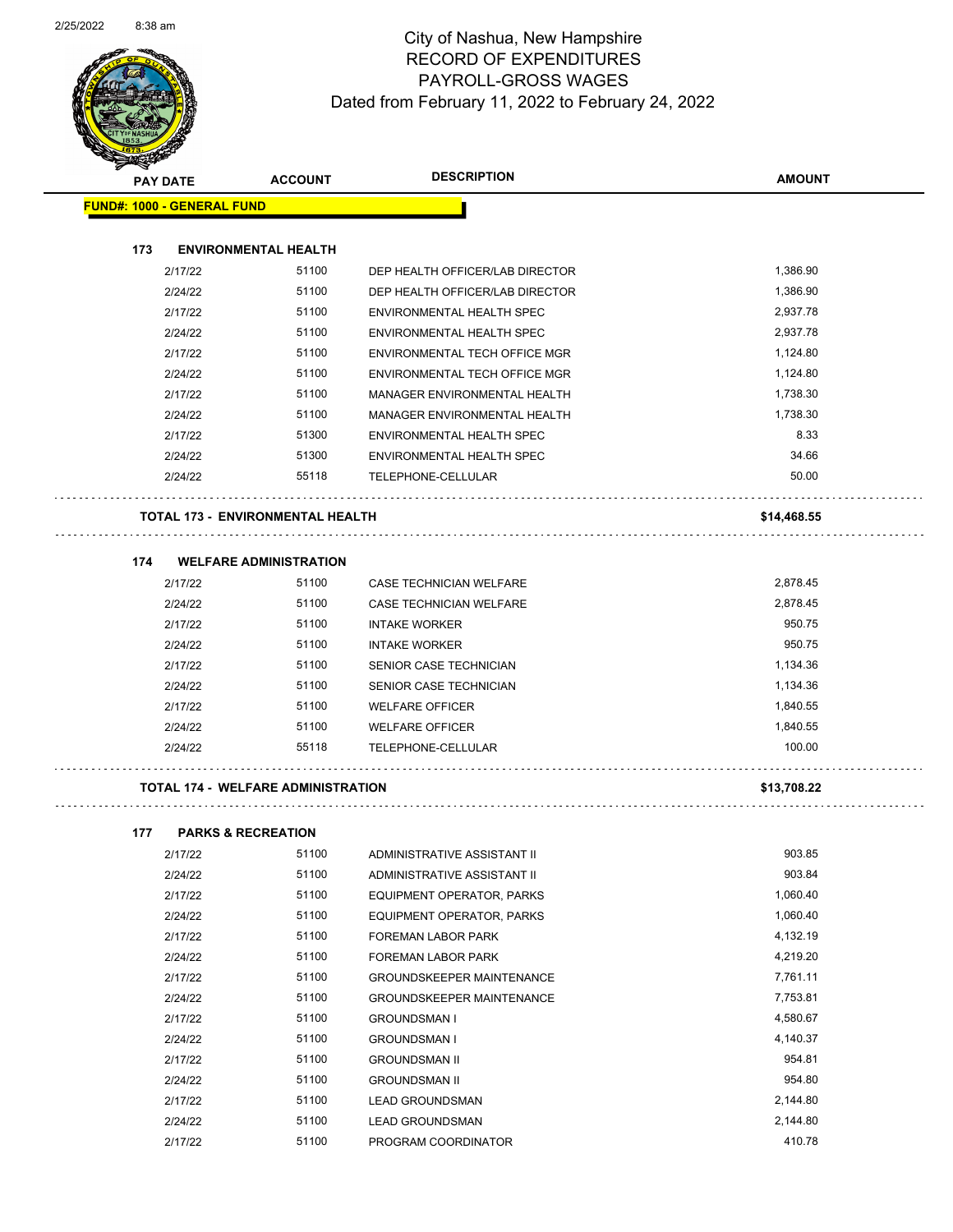

| <b>PAY DATE</b>                   | <b>ACCOUNT</b>                            | <b>DESCRIPTION</b>              | <b>AMOUNT</b> |
|-----------------------------------|-------------------------------------------|---------------------------------|---------------|
| <b>FUND#: 1000 - GENERAL FUND</b> |                                           |                                 |               |
| 173                               | <b>ENVIRONMENTAL HEALTH</b>               |                                 |               |
| 2/17/22                           | 51100                                     | DEP HEALTH OFFICER/LAB DIRECTOR | 1,386.90      |
| 2/24/22                           | 51100                                     | DEP HEALTH OFFICER/LAB DIRECTOR | 1,386.90      |
| 2/17/22                           | 51100                                     | ENVIRONMENTAL HEALTH SPEC       | 2,937.78      |
| 2/24/22                           | 51100                                     | ENVIRONMENTAL HEALTH SPEC       | 2,937.78      |
| 2/17/22                           | 51100                                     | ENVIRONMENTAL TECH OFFICE MGR   | 1,124.80      |
| 2/24/22                           | 51100                                     | ENVIRONMENTAL TECH OFFICE MGR   | 1,124.80      |
| 2/17/22                           | 51100                                     | MANAGER ENVIRONMENTAL HEALTH    | 1,738.30      |
| 2/24/22                           | 51100                                     | MANAGER ENVIRONMENTAL HEALTH    | 1,738.30      |
| 2/17/22                           | 51300                                     | ENVIRONMENTAL HEALTH SPEC       | 8.33          |
| 2/24/22                           | 51300                                     | ENVIRONMENTAL HEALTH SPEC       | 34.66         |
| 2/24/22                           | 55118                                     | TELEPHONE-CELLULAR              | 50.00         |
|                                   | <b>TOTAL 173 - ENVIRONMENTAL HEALTH</b>   |                                 | \$14,468.55   |
| 174                               | <b>WELFARE ADMINISTRATION</b>             |                                 |               |
| 2/17/22                           | 51100                                     | CASE TECHNICIAN WELFARE         | 2,878.45      |
| 2/24/22                           | 51100                                     | <b>CASE TECHNICIAN WELFARE</b>  | 2,878.45      |
| 2/17/22                           | 51100                                     | <b>INTAKE WORKER</b>            | 950.75        |
| 2/24/22                           | 51100                                     | <b>INTAKE WORKER</b>            | 950.75        |
| 2/17/22                           | 51100                                     | SENIOR CASE TECHNICIAN          | 1,134.36      |
| 2/24/22                           | 51100                                     | <b>SENIOR CASE TECHNICIAN</b>   | 1,134.36      |
| 2/17/22                           | 51100                                     | <b>WELFARE OFFICER</b>          | 1,840.55      |
| 2/24/22                           | 51100                                     | <b>WELFARE OFFICER</b>          | 1,840.55      |
| 2/24/22                           | 55118                                     | TELEPHONE-CELLULAR              | 100.00        |
|                                   | <b>TOTAL 174 - WELFARE ADMINISTRATION</b> |                                 | \$13,708.22   |

| 2/17/22 | 51100 | ADMINISTRATIVE ASSISTANT II      | 903.85   |
|---------|-------|----------------------------------|----------|
| 2/24/22 | 51100 | ADMINISTRATIVE ASSISTANT II      | 903.84   |
| 2/17/22 | 51100 | EQUIPMENT OPERATOR, PARKS        | 1,060.40 |
| 2/24/22 | 51100 | EQUIPMENT OPERATOR, PARKS        | 1,060.40 |
| 2/17/22 | 51100 | <b>FOREMAN LABOR PARK</b>        | 4,132.19 |
| 2/24/22 | 51100 | FOREMAN LABOR PARK               | 4,219.20 |
| 2/17/22 | 51100 | <b>GROUNDSKEEPER MAINTENANCE</b> | 7,761.11 |
| 2/24/22 | 51100 | <b>GROUNDSKEEPER MAINTENANCE</b> | 7,753.81 |
| 2/17/22 | 51100 | <b>GROUNDSMAN I</b>              | 4,580.67 |
| 2/24/22 | 51100 | <b>GROUNDSMAN I</b>              | 4,140.37 |
| 2/17/22 | 51100 | <b>GROUNDSMAN II</b>             | 954.81   |
| 2/24/22 | 51100 | <b>GROUNDSMAN II</b>             | 954.80   |
| 2/17/22 | 51100 | <b>LEAD GROUNDSMAN</b>           | 2,144.80 |
| 2/24/22 | 51100 | <b>LEAD GROUNDSMAN</b>           | 2,144.80 |
| 2/17/22 | 51100 | PROGRAM COORDINATOR              | 410.78   |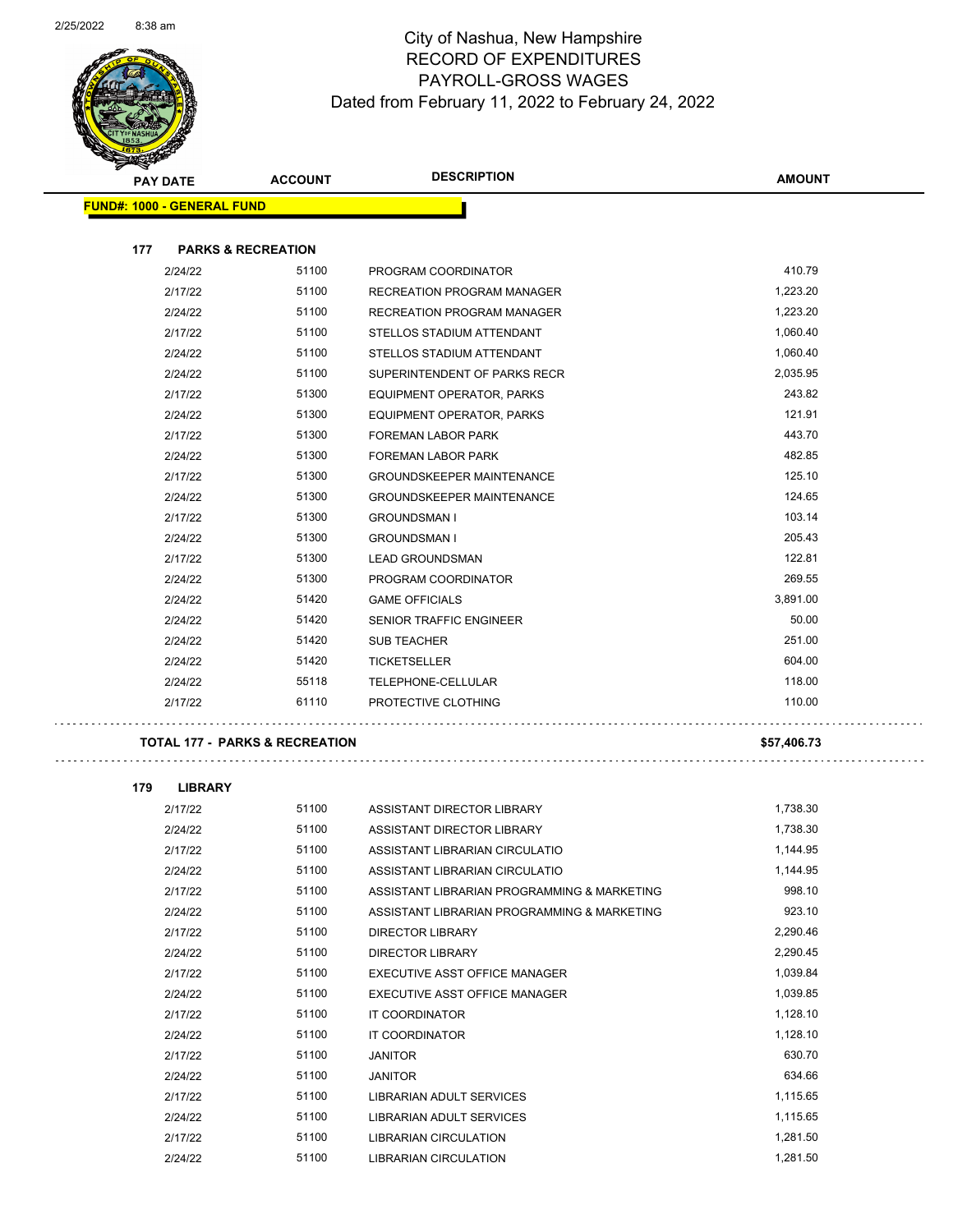

| ᅐ<br><b>PAY DATE</b>                      | <b>ACCOUNT</b> | <b>DESCRIPTION</b>                | <b>AMOUNT</b> |
|-------------------------------------------|----------------|-----------------------------------|---------------|
| <b>FUND#: 1000 - GENERAL FUND</b>         |                |                                   |               |
|                                           |                |                                   |               |
| 177<br><b>PARKS &amp; RECREATION</b>      |                |                                   |               |
| 2/24/22                                   | 51100          | PROGRAM COORDINATOR               | 410.79        |
| 2/17/22                                   | 51100          | <b>RECREATION PROGRAM MANAGER</b> | 1,223.20      |
| 2/24/22                                   | 51100          | RECREATION PROGRAM MANAGER        | 1,223.20      |
| 2/17/22                                   | 51100          | STELLOS STADIUM ATTENDANT         | 1,060.40      |
| 2/24/22                                   | 51100          | STELLOS STADIUM ATTENDANT         | 1,060.40      |
| 2/24/22                                   | 51100          | SUPERINTENDENT OF PARKS RECR      | 2,035.95      |
| 2/17/22                                   | 51300          | EQUIPMENT OPERATOR, PARKS         | 243.82        |
| 2/24/22                                   | 51300          | EQUIPMENT OPERATOR, PARKS         | 121.91        |
| 2/17/22                                   | 51300          | <b>FOREMAN LABOR PARK</b>         | 443.70        |
| 2/24/22                                   | 51300          | <b>FOREMAN LABOR PARK</b>         | 482.85        |
| 2/17/22                                   | 51300          | <b>GROUNDSKEEPER MAINTENANCE</b>  | 125.10        |
| 2/24/22                                   | 51300          | <b>GROUNDSKEEPER MAINTENANCE</b>  | 124.65        |
| 2/17/22                                   | 51300          | <b>GROUNDSMAN I</b>               | 103.14        |
| 2/24/22                                   | 51300          | <b>GROUNDSMAN I</b>               | 205.43        |
| 2/17/22                                   | 51300          | <b>LEAD GROUNDSMAN</b>            | 122.81        |
| 2/24/22                                   | 51300          | PROGRAM COORDINATOR               | 269.55        |
| 2/24/22                                   | 51420          | <b>GAME OFFICIALS</b>             | 3,891.00      |
| 2/24/22                                   | 51420          | SENIOR TRAFFIC ENGINEER           | 50.00         |
| 2/24/22                                   | 51420          | <b>SUB TEACHER</b>                | 251.00        |
| 2/24/22                                   | 51420          | <b>TICKETSELLER</b>               | 604.00        |
| 2/24/22                                   | 55118          | TELEPHONE-CELLULAR                | 118.00        |
| 2/17/22                                   | 61110          | PROTECTIVE CLOTHING               | 110.00        |
| <b>TOTAL 177 - PARKS &amp; RECREATION</b> |                |                                   | \$57,406.73   |

 $\bar{z}$  ,  $\bar{z}$ 

| 179 | <b>LIBRARY</b> |       |                                             |          |
|-----|----------------|-------|---------------------------------------------|----------|
|     | 2/17/22        | 51100 | ASSISTANT DIRECTOR LIBRARY                  | 1,738.30 |
|     | 2/24/22        | 51100 | ASSISTANT DIRECTOR LIBRARY                  | 1.738.30 |
|     | 2/17/22        | 51100 | ASSISTANT LIBRARIAN CIRCULATIO              | 1,144.95 |
|     | 2/24/22        | 51100 | ASSISTANT LIBRARIAN CIRCULATIO              | 1.144.95 |
|     | 2/17/22        | 51100 | ASSISTANT LIBRARIAN PROGRAMMING & MARKETING | 998.10   |
|     | 2/24/22        | 51100 | ASSISTANT LIBRARIAN PROGRAMMING & MARKETING | 923.10   |
|     | 2/17/22        | 51100 | <b>DIRECTOR LIBRARY</b>                     | 2,290.46 |
|     | 2/24/22        | 51100 | <b>DIRECTOR LIBRARY</b>                     | 2.290.45 |
|     | 2/17/22        | 51100 | EXECUTIVE ASST OFFICE MANAGER               | 1,039.84 |
|     | 2/24/22        | 51100 | EXECUTIVE ASST OFFICE MANAGER               | 1,039.85 |
|     | 2/17/22        | 51100 | <b>IT COORDINATOR</b>                       | 1,128.10 |
|     | 2/24/22        | 51100 | <b>IT COORDINATOR</b>                       | 1,128.10 |
|     | 2/17/22        | 51100 | <b>JANITOR</b>                              | 630.70   |
|     | 2/24/22        | 51100 | <b>JANITOR</b>                              | 634.66   |
|     | 2/17/22        | 51100 | <b>LIBRARIAN ADULT SERVICES</b>             | 1,115.65 |
|     | 2/24/22        | 51100 | <b>LIBRARIAN ADULT SERVICES</b>             | 1,115.65 |
|     | 2/17/22        | 51100 | <b>LIBRARIAN CIRCULATION</b>                | 1,281.50 |
|     | 2/24/22        | 51100 | <b>LIBRARIAN CIRCULATION</b>                | 1,281.50 |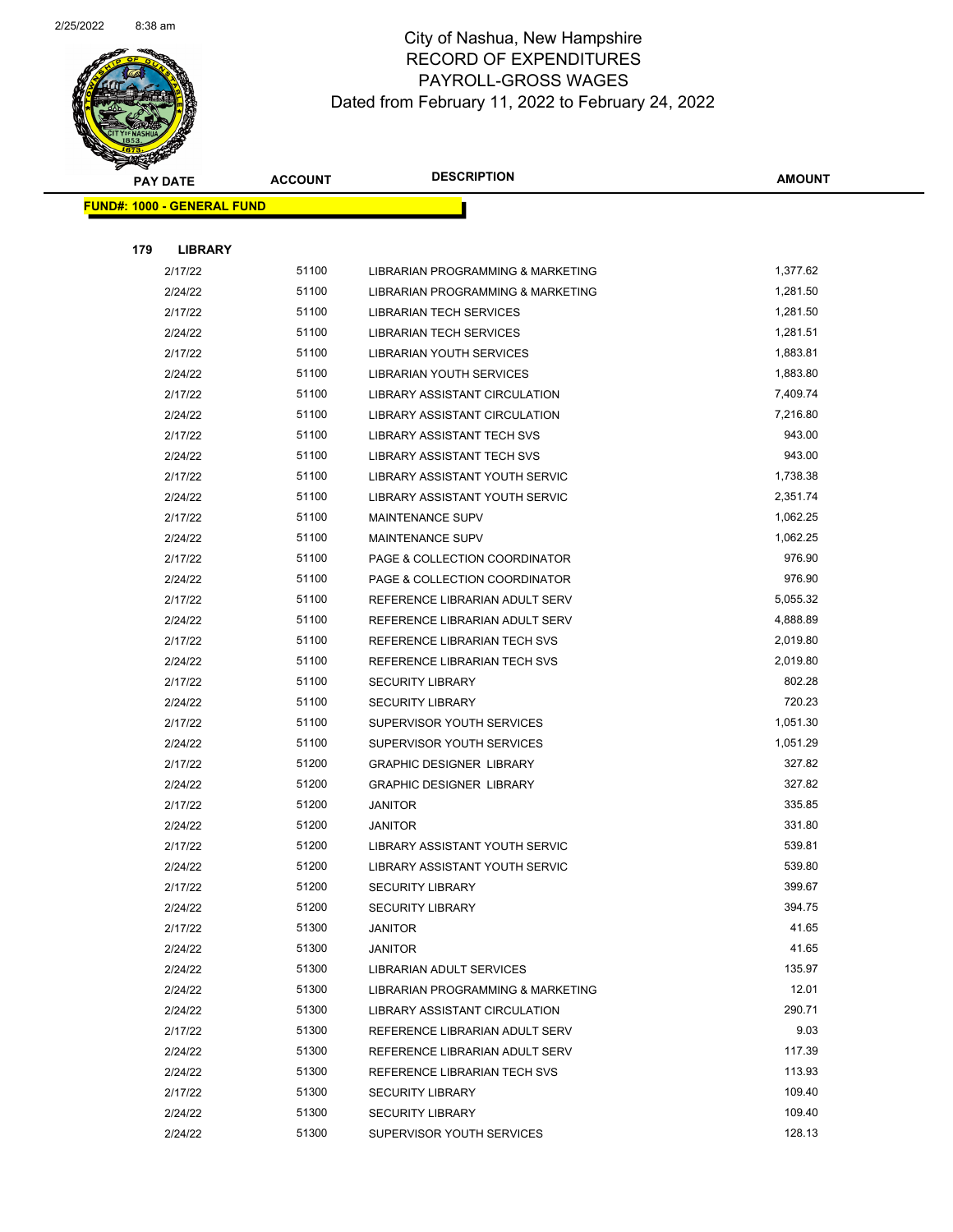

|     | <b>PAY DATE</b>                    | <b>ACCOUNT</b> | <b>DESCRIPTION</b>                | <b>AMOUNT</b>    |
|-----|------------------------------------|----------------|-----------------------------------|------------------|
|     | <u> FUND#: 1000 - GENERAL FUND</u> |                |                                   |                  |
|     |                                    |                |                                   |                  |
| 179 | <b>LIBRARY</b>                     |                |                                   |                  |
|     | 2/17/22                            | 51100          | LIBRARIAN PROGRAMMING & MARKETING | 1,377.62         |
|     | 2/24/22                            | 51100          | LIBRARIAN PROGRAMMING & MARKETING | 1,281.50         |
|     | 2/17/22                            | 51100          | <b>LIBRARIAN TECH SERVICES</b>    | 1,281.50         |
|     | 2/24/22                            | 51100          | <b>LIBRARIAN TECH SERVICES</b>    | 1,281.51         |
|     | 2/17/22                            | 51100          | <b>LIBRARIAN YOUTH SERVICES</b>   | 1,883.81         |
|     | 2/24/22                            | 51100          | LIBRARIAN YOUTH SERVICES          | 1,883.80         |
|     | 2/17/22                            | 51100          | LIBRARY ASSISTANT CIRCULATION     | 7,409.74         |
|     | 2/24/22                            | 51100          | LIBRARY ASSISTANT CIRCULATION     | 7,216.80         |
|     | 2/17/22                            | 51100          | LIBRARY ASSISTANT TECH SVS        | 943.00           |
|     | 2/24/22                            | 51100          | LIBRARY ASSISTANT TECH SVS        | 943.00           |
|     | 2/17/22                            | 51100          | LIBRARY ASSISTANT YOUTH SERVIC    | 1,738.38         |
|     | 2/24/22                            | 51100          | LIBRARY ASSISTANT YOUTH SERVIC    | 2,351.74         |
|     | 2/17/22                            | 51100          | <b>MAINTENANCE SUPV</b>           | 1,062.25         |
|     | 2/24/22                            | 51100          | <b>MAINTENANCE SUPV</b>           | 1,062.25         |
|     | 2/17/22                            | 51100          | PAGE & COLLECTION COORDINATOR     | 976.90           |
|     | 2/24/22                            | 51100          | PAGE & COLLECTION COORDINATOR     | 976.90           |
|     | 2/17/22                            | 51100          | REFERENCE LIBRARIAN ADULT SERV    | 5,055.32         |
|     | 2/24/22                            | 51100          | REFERENCE LIBRARIAN ADULT SERV    | 4,888.89         |
|     | 2/17/22                            | 51100          | REFERENCE LIBRARIAN TECH SVS      | 2,019.80         |
|     | 2/24/22                            | 51100          | REFERENCE LIBRARIAN TECH SVS      | 2,019.80         |
|     | 2/17/22                            | 51100          | <b>SECURITY LIBRARY</b>           | 802.28           |
|     | 2/24/22                            | 51100          | <b>SECURITY LIBRARY</b>           | 720.23           |
|     | 2/17/22                            | 51100          | SUPERVISOR YOUTH SERVICES         | 1,051.30         |
|     | 2/24/22                            | 51100          | SUPERVISOR YOUTH SERVICES         | 1,051.29         |
|     | 2/17/22                            | 51200          | <b>GRAPHIC DESIGNER LIBRARY</b>   | 327.82           |
|     | 2/24/22                            | 51200          | <b>GRAPHIC DESIGNER LIBRARY</b>   | 327.82           |
|     | 2/17/22                            | 51200          | <b>JANITOR</b>                    | 335.85           |
|     | 2/24/22                            | 51200          | <b>JANITOR</b>                    | 331.80           |
|     | 2/17/22                            | 51200          | LIBRARY ASSISTANT YOUTH SERVIC    | 539.81           |
|     | 2/24/22                            | 51200          | LIBRARY ASSISTANT YOUTH SERVIC    | 539.80           |
|     | 2/17/22                            | 51200          | <b>SECURITY LIBRARY</b>           | 399.67           |
|     | 2/24/22                            | 51200          | <b>SECURITY LIBRARY</b>           | 394.75           |
|     | 2/17/22                            | 51300          | JANITOR                           | 41.65            |
|     | 2/24/22                            | 51300          | <b>JANITOR</b>                    | 41.65            |
|     | 2/24/22                            | 51300          | <b>LIBRARIAN ADULT SERVICES</b>   | 135.97           |
|     | 2/24/22                            | 51300          | LIBRARIAN PROGRAMMING & MARKETING | 12.01            |
|     | 2/24/22                            | 51300          | LIBRARY ASSISTANT CIRCULATION     | 290.71           |
|     | 2/17/22                            | 51300          | REFERENCE LIBRARIAN ADULT SERV    | 9.03             |
|     | 2/24/22                            | 51300          | REFERENCE LIBRARIAN ADULT SERV    | 117.39           |
|     | 2/24/22                            | 51300<br>51300 | REFERENCE LIBRARIAN TECH SVS      | 113.93<br>109.40 |
|     | 2/17/22                            | 51300          | <b>SECURITY LIBRARY</b>           | 109.40           |
|     | 2/24/22                            | 51300          | <b>SECURITY LIBRARY</b>           | 128.13           |
|     | 2/24/22                            |                | SUPERVISOR YOUTH SERVICES         |                  |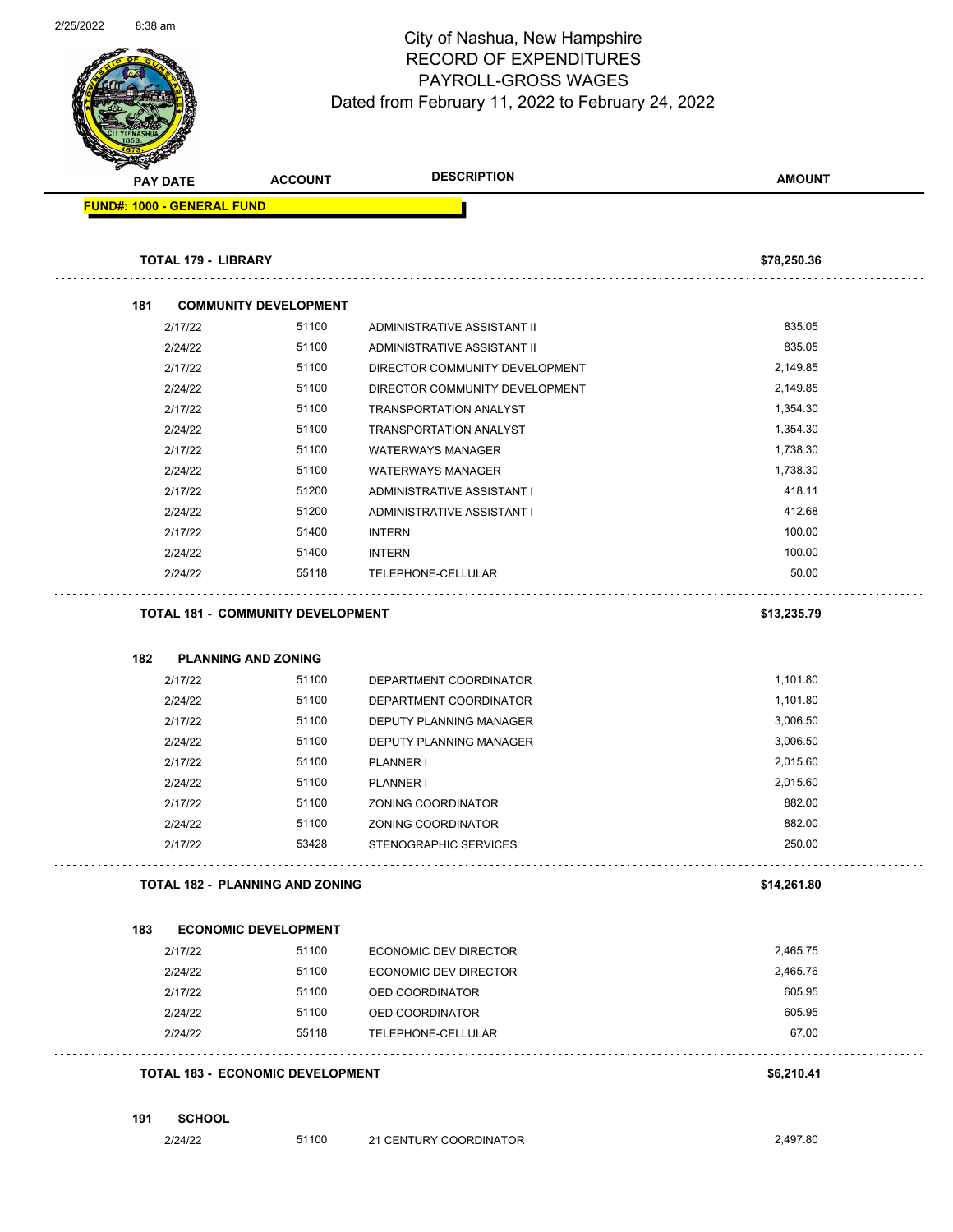

Page 62 of 104

|     | <b>PAY DATE</b> | <b>ACCOUNT</b>                           | <b>DESCRIPTION</b>             | <b>AMOUNT</b> |
|-----|-----------------|------------------------------------------|--------------------------------|---------------|
|     |                 | <b>FUND#: 1000 - GENERAL FUND</b>        |                                |               |
|     |                 | <b>TOTAL 179 - LIBRARY</b>               |                                | \$78,250.36   |
| 181 |                 | <b>COMMUNITY DEVELOPMENT</b>             |                                |               |
|     | 2/17/22         | 51100                                    | ADMINISTRATIVE ASSISTANT II    | 835.05        |
|     | 2/24/22         | 51100                                    | ADMINISTRATIVE ASSISTANT II    | 835.05        |
|     | 2/17/22         | 51100                                    | DIRECTOR COMMUNITY DEVELOPMENT | 2,149.85      |
|     | 2/24/22         | 51100                                    | DIRECTOR COMMUNITY DEVELOPMENT | 2,149.85      |
|     | 2/17/22         | 51100                                    | <b>TRANSPORTATION ANALYST</b>  | 1,354.30      |
|     | 2/24/22         | 51100                                    | <b>TRANSPORTATION ANALYST</b>  | 1,354.30      |
|     | 2/17/22         | 51100                                    | <b>WATERWAYS MANAGER</b>       | 1,738.30      |
|     | 2/24/22         | 51100                                    | <b>WATERWAYS MANAGER</b>       | 1,738.30      |
|     | 2/17/22         | 51200                                    | ADMINISTRATIVE ASSISTANT I     | 418.11        |
|     | 2/24/22         | 51200                                    | ADMINISTRATIVE ASSISTANT I     | 412.68        |
|     | 2/17/22         | 51400                                    | <b>INTERN</b>                  | 100.00        |
|     | 2/24/22         | 51400                                    | <b>INTERN</b>                  | 100.00        |
|     | 2/24/22         | 55118                                    | TELEPHONE-CELLULAR             | 50.00         |
|     |                 | <b>TOTAL 181 - COMMUNITY DEVELOPMENT</b> |                                | \$13,235.79   |
| 182 | 2/17/22         | <b>PLANNING AND ZONING</b><br>51100      | DEPARTMENT COORDINATOR         | 1,101.80      |
|     | 2/24/22         | 51100                                    | DEPARTMENT COORDINATOR         | 1,101.80      |
|     | 2/17/22         | 51100                                    | DEPUTY PLANNING MANAGER        | 3,006.50      |
|     | 2/24/22         | 51100                                    | DEPUTY PLANNING MANAGER        | 3,006.50      |
|     | 2/17/22         | 51100                                    | <b>PLANNER I</b>               | 2,015.60      |
|     | 2/24/22         | 51100                                    | PLANNER I                      | 2,015.60      |
|     | 2/17/22         | 51100                                    | ZONING COORDINATOR             | 882.00        |
|     | 2/24/22         | 51100                                    | ZONING COORDINATOR             | 882.00        |
|     | 2/17/22         | 53428                                    | STENOGRAPHIC SERVICES          | 250.00        |
|     |                 | <b>TOTAL 182 - PLANNING AND ZONING</b>   |                                | \$14,261.80   |
|     |                 |                                          |                                |               |
| 183 |                 | <b>ECONOMIC DEVELOPMENT</b>              |                                |               |
|     | 2/17/22         | 51100                                    | ECONOMIC DEV DIRECTOR          | 2,465.75      |
|     | 2/24/22         | 51100                                    | <b>ECONOMIC DEV DIRECTOR</b>   | 2,465.76      |
|     | 2/17/22         | 51100                                    | OED COORDINATOR                | 605.95        |
|     | 2/24/22         | 51100                                    | OED COORDINATOR                | 605.95        |
|     | 2/24/22         | 55118                                    | TELEPHONE-CELLULAR             | 67.00         |
|     |                 | <b>TOTAL 183 - ECONOMIC DEVELOPMENT</b>  |                                | \$6,210.41    |
| 191 | <b>SCHOOL</b>   |                                          |                                |               |
|     | 2/24/22         | 51100                                    | 21 CENTURY COORDINATOR         | 2,497.80      |
|     |                 |                                          |                                |               |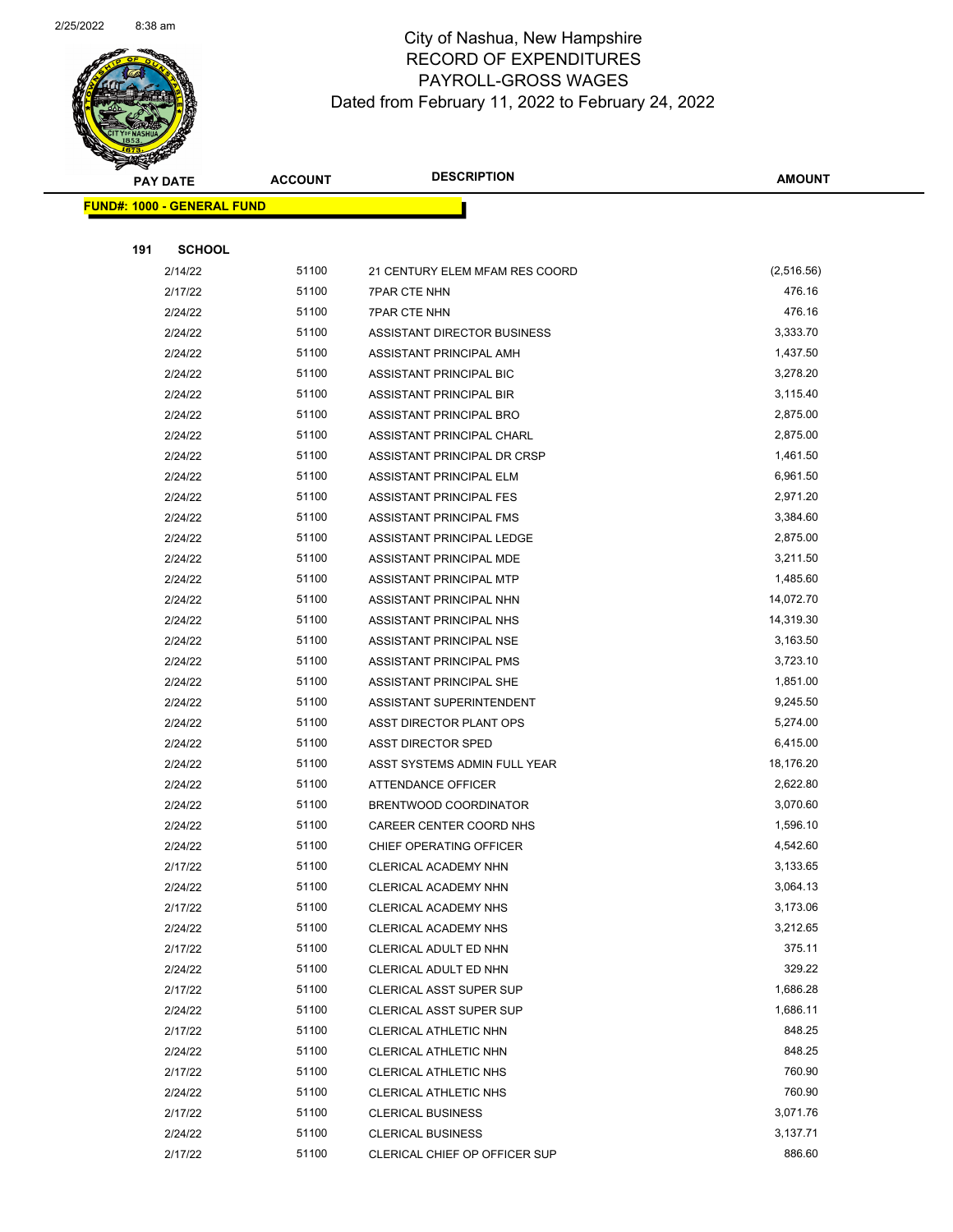

Page 63 of 104

|     | <b>PAY DATE</b>                    | <b>ACCOUNT</b> | <b>DESCRIPTION</b>             | <b>AMOUNT</b> |
|-----|------------------------------------|----------------|--------------------------------|---------------|
|     | <u> FUND#: 1000 - GENERAL FUND</u> |                |                                |               |
|     |                                    |                |                                |               |
| 191 | <b>SCHOOL</b>                      |                |                                |               |
|     | 2/14/22                            | 51100          | 21 CENTURY ELEM MFAM RES COORD | (2,516.56)    |
|     | 2/17/22                            | 51100          | <b>7PAR CTE NHN</b>            | 476.16        |
|     | 2/24/22                            | 51100          | <b>7PAR CTE NHN</b>            | 476.16        |
|     | 2/24/22                            | 51100          | ASSISTANT DIRECTOR BUSINESS    | 3,333.70      |
|     | 2/24/22                            | 51100          | ASSISTANT PRINCIPAL AMH        | 1,437.50      |
|     | 2/24/22                            | 51100          | ASSISTANT PRINCIPAL BIC        | 3,278.20      |
|     | 2/24/22                            | 51100          | ASSISTANT PRINCIPAL BIR        | 3,115.40      |
|     | 2/24/22                            | 51100          | ASSISTANT PRINCIPAL BRO        | 2,875.00      |
|     | 2/24/22                            | 51100          | ASSISTANT PRINCIPAL CHARL      | 2,875.00      |
|     | 2/24/22                            | 51100          | ASSISTANT PRINCIPAL DR CRSP    | 1,461.50      |
|     | 2/24/22                            | 51100          | ASSISTANT PRINCIPAL ELM        | 6,961.50      |
|     | 2/24/22                            | 51100          | ASSISTANT PRINCIPAL FES        | 2,971.20      |
|     | 2/24/22                            | 51100          | ASSISTANT PRINCIPAL FMS        | 3,384.60      |
|     | 2/24/22                            | 51100          | ASSISTANT PRINCIPAL LEDGE      | 2,875.00      |
|     | 2/24/22                            | 51100          | ASSISTANT PRINCIPAL MDE        | 3,211.50      |
|     | 2/24/22                            | 51100          | ASSISTANT PRINCIPAL MTP        | 1,485.60      |
|     | 2/24/22                            | 51100          | ASSISTANT PRINCIPAL NHN        | 14,072.70     |
|     | 2/24/22                            | 51100          | ASSISTANT PRINCIPAL NHS        | 14,319.30     |
|     | 2/24/22                            | 51100          | ASSISTANT PRINCIPAL NSE        | 3,163.50      |
|     | 2/24/22                            | 51100          | ASSISTANT PRINCIPAL PMS        | 3,723.10      |
|     | 2/24/22                            | 51100          | ASSISTANT PRINCIPAL SHE        | 1,851.00      |
|     | 2/24/22                            | 51100          | ASSISTANT SUPERINTENDENT       | 9,245.50      |
|     | 2/24/22                            | 51100          | ASST DIRECTOR PLANT OPS        | 5,274.00      |
|     | 2/24/22                            | 51100          | ASST DIRECTOR SPED             | 6,415.00      |
|     | 2/24/22                            | 51100          | ASST SYSTEMS ADMIN FULL YEAR   | 18,176.20     |
|     | 2/24/22                            | 51100          | ATTENDANCE OFFICER             | 2,622.80      |
|     | 2/24/22                            | 51100          | BRENTWOOD COORDINATOR          | 3,070.60      |
|     | 2/24/22                            | 51100          | CAREER CENTER COORD NHS        | 1,596.10      |
|     | 2/24/22                            | 51100          | CHIEF OPERATING OFFICER        | 4,542.60      |
|     | 2/17/22                            | 51100          | CLERICAL ACADEMY NHN           | 3,133.65      |
|     | 2/24/22                            | 51100          | CLERICAL ACADEMY NHN           | 3,064.13      |
|     | 2/17/22                            | 51100          | CLERICAL ACADEMY NHS           | 3,173.06      |
|     | 2/24/22                            | 51100          | CLERICAL ACADEMY NHS           | 3,212.65      |
|     | 2/17/22                            | 51100          | CLERICAL ADULT ED NHN          | 375.11        |
|     | 2/24/22                            | 51100          | CLERICAL ADULT ED NHN          | 329.22        |
|     | 2/17/22                            | 51100          | <b>CLERICAL ASST SUPER SUP</b> | 1,686.28      |
|     | 2/24/22                            | 51100          | <b>CLERICAL ASST SUPER SUP</b> | 1,686.11      |
|     | 2/17/22                            | 51100          | CLERICAL ATHLETIC NHN          | 848.25        |
|     | 2/24/22                            | 51100          | CLERICAL ATHLETIC NHN          | 848.25        |
|     | 2/17/22                            | 51100          | CLERICAL ATHLETIC NHS          | 760.90        |
|     | 2/24/22                            | 51100          | <b>CLERICAL ATHLETIC NHS</b>   | 760.90        |
|     | 2/17/22                            | 51100          | <b>CLERICAL BUSINESS</b>       | 3,071.76      |
|     | 2/24/22                            | 51100          | <b>CLERICAL BUSINESS</b>       | 3,137.71      |
|     | 2/17/22                            | 51100          | CLERICAL CHIEF OP OFFICER SUP  | 886.60        |
|     |                                    |                |                                |               |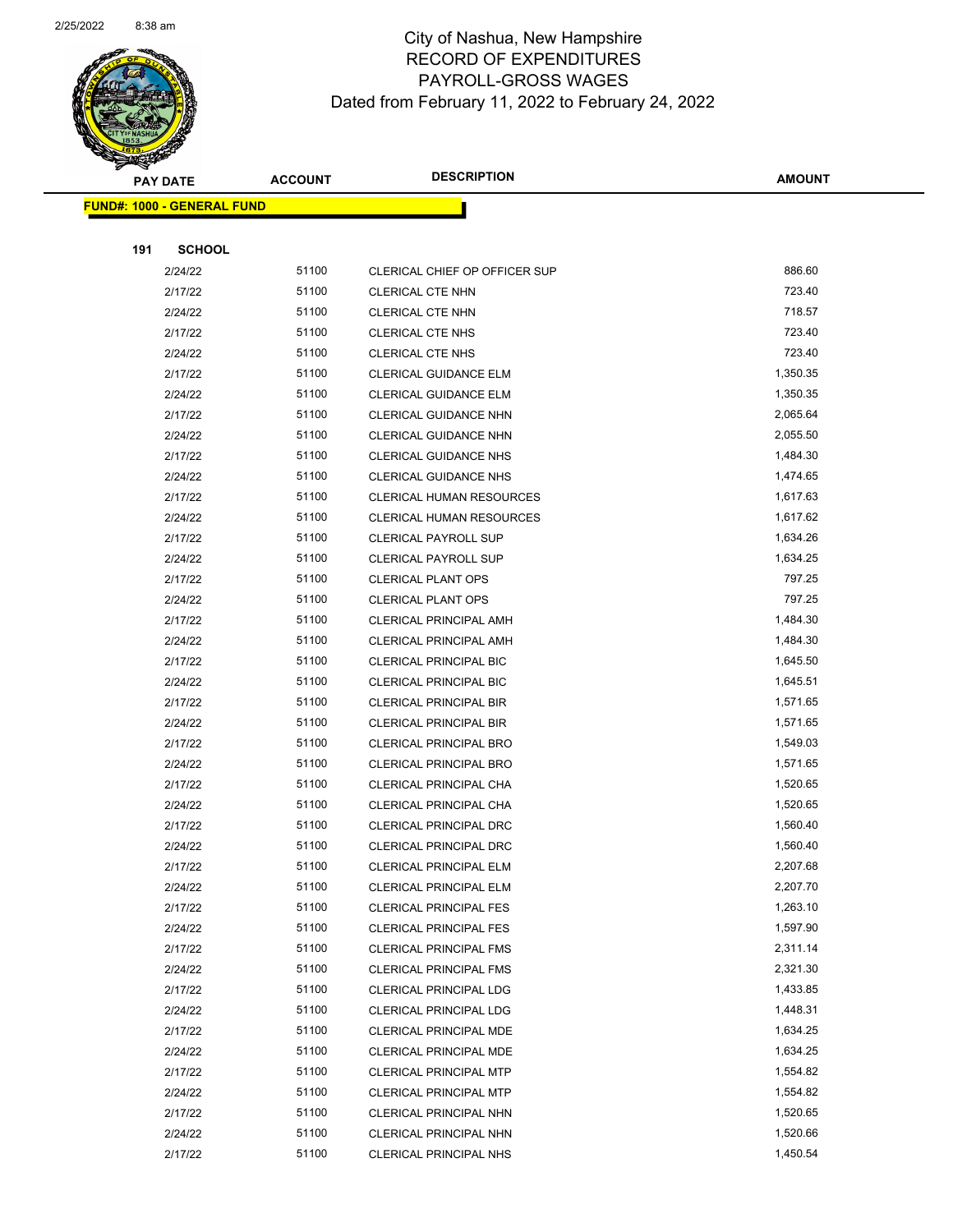

|     | <b>FUND#: 1000 - GENERAL FUND</b> |       |                                 |          |
|-----|-----------------------------------|-------|---------------------------------|----------|
|     |                                   |       |                                 |          |
| 191 | <b>SCHOOL</b>                     |       |                                 |          |
|     | 2/24/22                           | 51100 | CLERICAL CHIEF OP OFFICER SUP   | 886.60   |
|     | 2/17/22                           | 51100 | <b>CLERICAL CTE NHN</b>         | 723.40   |
|     | 2/24/22                           | 51100 | <b>CLERICAL CTE NHN</b>         | 718.57   |
|     | 2/17/22                           | 51100 | <b>CLERICAL CTE NHS</b>         | 723.40   |
|     | 2/24/22                           | 51100 | <b>CLERICAL CTE NHS</b>         | 723.40   |
|     | 2/17/22                           | 51100 | CLERICAL GUIDANCE ELM           | 1,350.35 |
|     | 2/24/22                           | 51100 | CLERICAL GUIDANCE ELM           | 1,350.35 |
|     | 2/17/22                           | 51100 | CLERICAL GUIDANCE NHN           | 2,065.64 |
|     | 2/24/22                           | 51100 | CLERICAL GUIDANCE NHN           | 2,055.50 |
|     | 2/17/22                           | 51100 | CLERICAL GUIDANCE NHS           | 1,484.30 |
|     | 2/24/22                           | 51100 | <b>CLERICAL GUIDANCE NHS</b>    | 1,474.65 |
|     | 2/17/22                           | 51100 | <b>CLERICAL HUMAN RESOURCES</b> | 1,617.63 |
|     | 2/24/22                           | 51100 | <b>CLERICAL HUMAN RESOURCES</b> | 1,617.62 |
|     | 2/17/22                           | 51100 | <b>CLERICAL PAYROLL SUP</b>     | 1,634.26 |
|     | 2/24/22                           | 51100 | <b>CLERICAL PAYROLL SUP</b>     | 1,634.25 |
|     | 2/17/22                           | 51100 | <b>CLERICAL PLANT OPS</b>       | 797.25   |
|     | 2/24/22                           | 51100 | CLERICAL PLANT OPS              | 797.25   |
|     | 2/17/22                           | 51100 | <b>CLERICAL PRINCIPAL AMH</b>   | 1,484.30 |
|     | 2/24/22                           | 51100 | <b>CLERICAL PRINCIPAL AMH</b>   | 1,484.30 |
|     | 2/17/22                           | 51100 | CLERICAL PRINCIPAL BIC          | 1,645.50 |
|     | 2/24/22                           | 51100 | <b>CLERICAL PRINCIPAL BIC</b>   | 1,645.51 |
|     | 2/17/22                           | 51100 | <b>CLERICAL PRINCIPAL BIR</b>   | 1,571.65 |
|     | 2/24/22                           | 51100 | <b>CLERICAL PRINCIPAL BIR</b>   | 1,571.65 |
|     | 2/17/22                           | 51100 | <b>CLERICAL PRINCIPAL BRO</b>   | 1,549.03 |
|     | 2/24/22                           | 51100 | CLERICAL PRINCIPAL BRO          | 1,571.65 |
|     | 2/17/22                           | 51100 | CLERICAL PRINCIPAL CHA          | 1,520.65 |
|     | 2/24/22                           | 51100 | CLERICAL PRINCIPAL CHA          | 1,520.65 |
|     | 2/17/22                           | 51100 | CLERICAL PRINCIPAL DRC          | 1,560.40 |
|     | 2/24/22                           | 51100 | CLERICAL PRINCIPAL DRC          | 1,560.40 |
|     | 2/17/22                           | 51100 | CLERICAL PRINCIPAL ELM          | 2,207.68 |
|     | 2/24/22                           | 51100 | CLERICAL PRINCIPAL ELM          | 2,207.70 |
|     | 2/17/22                           | 51100 | <b>CLERICAL PRINCIPAL FES</b>   | 1,263.10 |
|     | 2/24/22                           | 51100 | <b>CLERICAL PRINCIPAL FES</b>   | 1,597.90 |
|     | 2/17/22                           | 51100 | <b>CLERICAL PRINCIPAL FMS</b>   | 2,311.14 |
|     | 2/24/22                           | 51100 | <b>CLERICAL PRINCIPAL FMS</b>   | 2,321.30 |
|     | 2/17/22                           | 51100 | <b>CLERICAL PRINCIPAL LDG</b>   | 1,433.85 |
|     | 2/24/22                           | 51100 | CLERICAL PRINCIPAL LDG          | 1,448.31 |
|     | 2/17/22                           | 51100 | <b>CLERICAL PRINCIPAL MDE</b>   | 1,634.25 |
|     | 2/24/22                           | 51100 | <b>CLERICAL PRINCIPAL MDE</b>   | 1,634.25 |
|     | 2/17/22                           | 51100 | <b>CLERICAL PRINCIPAL MTP</b>   | 1,554.82 |
|     | 2/24/22                           | 51100 | <b>CLERICAL PRINCIPAL MTP</b>   | 1,554.82 |
|     | 2/17/22                           | 51100 | CLERICAL PRINCIPAL NHN          | 1,520.65 |
|     | 2/24/22                           | 51100 | CLERICAL PRINCIPAL NHN          | 1,520.66 |
|     | 2/17/22                           | 51100 | CLERICAL PRINCIPAL NHS          | 1,450.54 |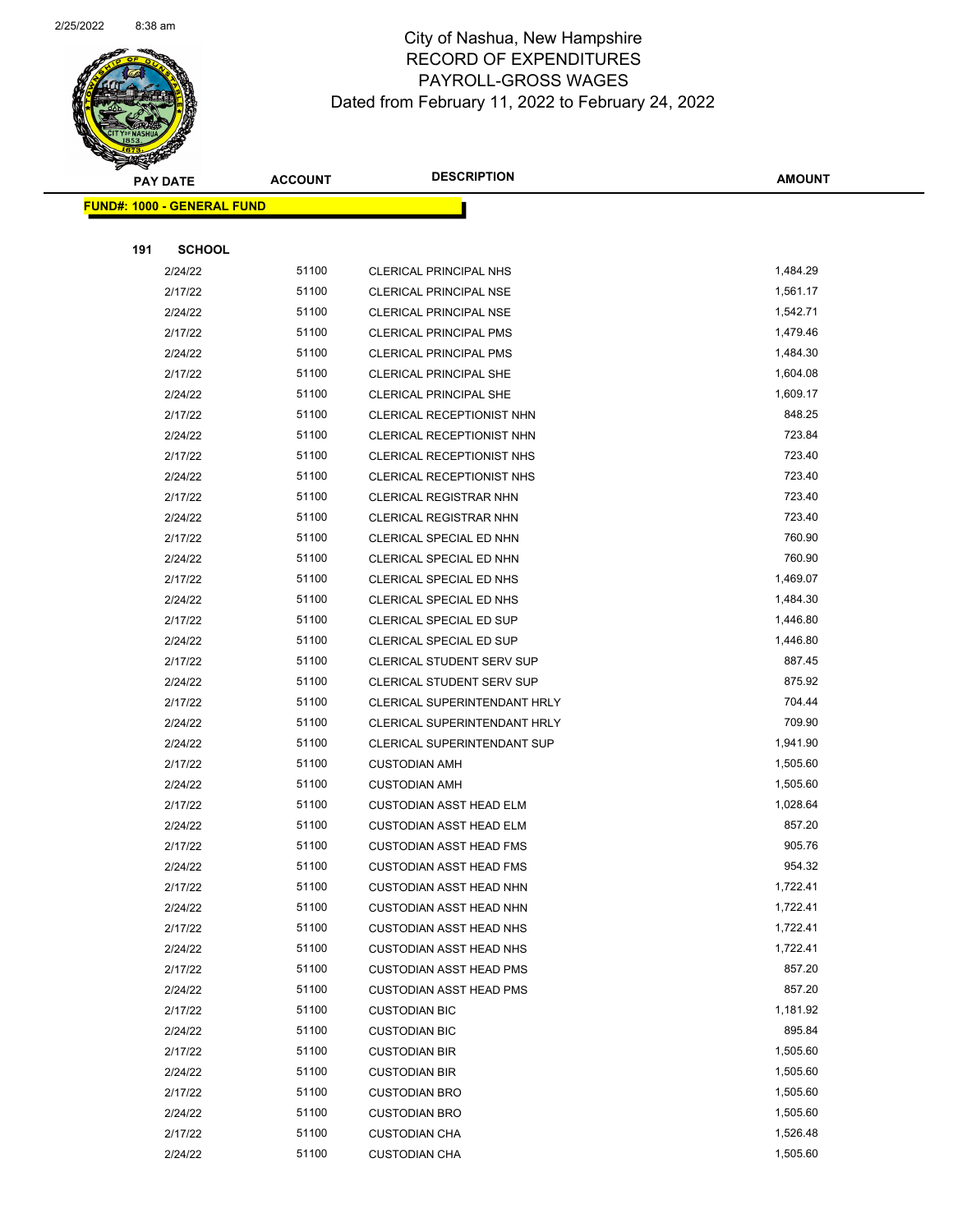

Page 65 of 104

|     | <b>PAY DATE</b>                    | <b>ACCOUNT</b> | <b>DESCRIPTION</b>               | <b>AMOUNT</b> |
|-----|------------------------------------|----------------|----------------------------------|---------------|
|     | <u> FUND#: 1000 - GENERAL FUND</u> |                |                                  |               |
|     |                                    |                |                                  |               |
| 191 | <b>SCHOOL</b>                      |                |                                  |               |
|     | 2/24/22                            | 51100          | CLERICAL PRINCIPAL NHS           | 1,484.29      |
|     | 2/17/22                            | 51100          | <b>CLERICAL PRINCIPAL NSE</b>    | 1,561.17      |
|     | 2/24/22                            | 51100          | <b>CLERICAL PRINCIPAL NSE</b>    | 1,542.71      |
|     | 2/17/22                            | 51100          | <b>CLERICAL PRINCIPAL PMS</b>    | 1,479.46      |
|     | 2/24/22                            | 51100          | <b>CLERICAL PRINCIPAL PMS</b>    | 1,484.30      |
|     | 2/17/22                            | 51100          | CLERICAL PRINCIPAL SHE           | 1,604.08      |
|     | 2/24/22                            | 51100          | <b>CLERICAL PRINCIPAL SHE</b>    | 1,609.17      |
|     | 2/17/22                            | 51100          | CLERICAL RECEPTIONIST NHN        | 848.25        |
|     | 2/24/22                            | 51100          | CLERICAL RECEPTIONIST NHN        | 723.84        |
|     | 2/17/22                            | 51100          | CLERICAL RECEPTIONIST NHS        | 723.40        |
|     | 2/24/22                            | 51100          | CLERICAL RECEPTIONIST NHS        | 723.40        |
|     | 2/17/22                            | 51100          | <b>CLERICAL REGISTRAR NHN</b>    | 723.40        |
|     | 2/24/22                            | 51100          | <b>CLERICAL REGISTRAR NHN</b>    | 723.40        |
|     | 2/17/22                            | 51100          | CLERICAL SPECIAL ED NHN          | 760.90        |
|     | 2/24/22                            | 51100          | CLERICAL SPECIAL ED NHN          | 760.90        |
|     | 2/17/22                            | 51100          | CLERICAL SPECIAL ED NHS          | 1,469.07      |
|     | 2/24/22                            | 51100          | CLERICAL SPECIAL ED NHS          | 1,484.30      |
|     | 2/17/22                            | 51100          | CLERICAL SPECIAL ED SUP          | 1,446.80      |
|     | 2/24/22                            | 51100          | CLERICAL SPECIAL ED SUP          | 1,446.80      |
|     | 2/17/22                            | 51100          | <b>CLERICAL STUDENT SERV SUP</b> | 887.45        |
|     | 2/24/22                            | 51100          | <b>CLERICAL STUDENT SERV SUP</b> | 875.92        |
|     | 2/17/22                            | 51100          | CLERICAL SUPERINTENDANT HRLY     | 704.44        |
|     | 2/24/22                            | 51100          | CLERICAL SUPERINTENDANT HRLY     | 709.90        |
|     | 2/24/22                            | 51100          | CLERICAL SUPERINTENDANT SUP      | 1,941.90      |
|     | 2/17/22                            | 51100          | <b>CUSTODIAN AMH</b>             | 1,505.60      |
|     | 2/24/22                            | 51100          | <b>CUSTODIAN AMH</b>             | 1,505.60      |
|     | 2/17/22                            | 51100          | <b>CUSTODIAN ASST HEAD ELM</b>   | 1,028.64      |
|     | 2/24/22                            | 51100          | <b>CUSTODIAN ASST HEAD ELM</b>   | 857.20        |
|     | 2/17/22                            | 51100          | <b>CUSTODIAN ASST HEAD FMS</b>   | 905.76        |
|     | 2/24/22                            | 51100          | <b>CUSTODIAN ASST HEAD FMS</b>   | 954.32        |
|     | 2/17/22                            | 51100          | <b>CUSTODIAN ASST HEAD NHN</b>   | 1,722.41      |
|     | 2/24/22                            | 51100          | <b>CUSTODIAN ASST HEAD NHN</b>   | 1,722.41      |
|     | 2/17/22                            | 51100          | <b>CUSTODIAN ASST HEAD NHS</b>   | 1,722.41      |
|     | 2/24/22                            | 51100          | <b>CUSTODIAN ASST HEAD NHS</b>   | 1,722.41      |
|     | 2/17/22                            | 51100          | <b>CUSTODIAN ASST HEAD PMS</b>   | 857.20        |
|     | 2/24/22                            | 51100          | <b>CUSTODIAN ASST HEAD PMS</b>   | 857.20        |
|     | 2/17/22                            | 51100          | <b>CUSTODIAN BIC</b>             | 1,181.92      |
|     | 2/24/22                            | 51100          | <b>CUSTODIAN BIC</b>             | 895.84        |
|     | 2/17/22                            | 51100          | <b>CUSTODIAN BIR</b>             | 1,505.60      |
|     | 2/24/22                            | 51100          | <b>CUSTODIAN BIR</b>             | 1,505.60      |
|     | 2/17/22                            | 51100          | <b>CUSTODIAN BRO</b>             | 1,505.60      |
|     | 2/24/22                            | 51100          | <b>CUSTODIAN BRO</b>             | 1,505.60      |
|     | 2/17/22                            | 51100          | <b>CUSTODIAN CHA</b>             | 1,526.48      |
|     | 2/24/22                            | 51100          | <b>CUSTODIAN CHA</b>             | 1,505.60      |
|     |                                    |                |                                  |               |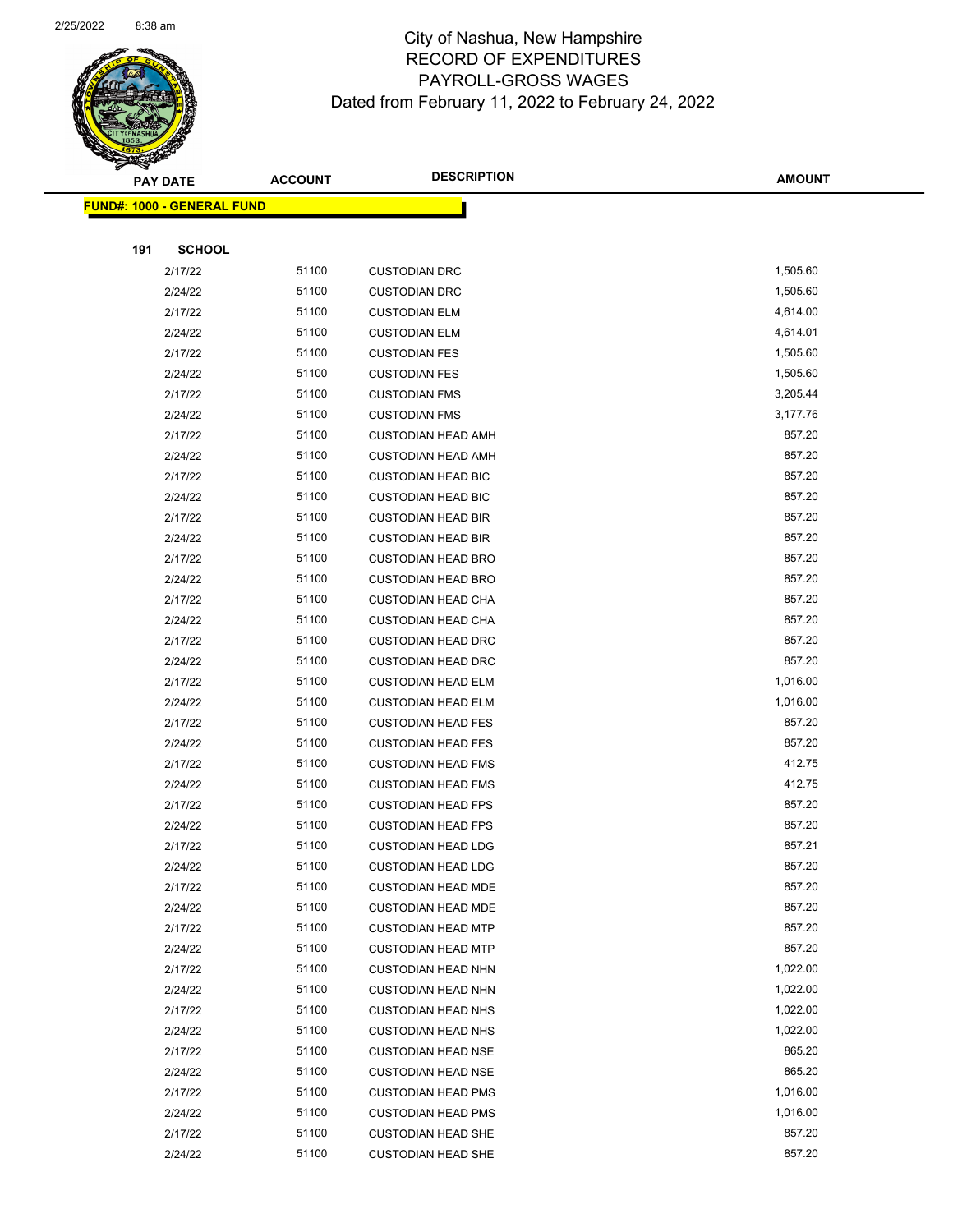

|     | <u> FUND#: 1000 - GENERAL FUND</u> |       |                           |          |
|-----|------------------------------------|-------|---------------------------|----------|
|     |                                    |       |                           |          |
| 191 | <b>SCHOOL</b>                      |       |                           |          |
|     | 2/17/22                            | 51100 | <b>CUSTODIAN DRC</b>      | 1,505.60 |
|     | 2/24/22                            | 51100 | <b>CUSTODIAN DRC</b>      | 1,505.60 |
|     | 2/17/22                            | 51100 | <b>CUSTODIAN ELM</b>      | 4,614.00 |
|     | 2/24/22                            | 51100 | <b>CUSTODIAN ELM</b>      | 4,614.01 |
|     | 2/17/22                            | 51100 | <b>CUSTODIAN FES</b>      | 1,505.60 |
|     | 2/24/22                            | 51100 | <b>CUSTODIAN FES</b>      | 1,505.60 |
|     | 2/17/22                            | 51100 | <b>CUSTODIAN FMS</b>      | 3,205.44 |
|     | 2/24/22                            | 51100 | <b>CUSTODIAN FMS</b>      | 3,177.76 |
|     | 2/17/22                            | 51100 | <b>CUSTODIAN HEAD AMH</b> | 857.20   |
|     | 2/24/22                            | 51100 | <b>CUSTODIAN HEAD AMH</b> | 857.20   |
|     | 2/17/22                            | 51100 | <b>CUSTODIAN HEAD BIC</b> | 857.20   |
|     | 2/24/22                            | 51100 | <b>CUSTODIAN HEAD BIC</b> | 857.20   |
|     | 2/17/22                            | 51100 | <b>CUSTODIAN HEAD BIR</b> | 857.20   |
|     | 2/24/22                            | 51100 | <b>CUSTODIAN HEAD BIR</b> | 857.20   |
|     | 2/17/22                            | 51100 | <b>CUSTODIAN HEAD BRO</b> | 857.20   |
|     | 2/24/22                            | 51100 | <b>CUSTODIAN HEAD BRO</b> | 857.20   |
|     | 2/17/22                            | 51100 | <b>CUSTODIAN HEAD CHA</b> | 857.20   |
|     | 2/24/22                            | 51100 | <b>CUSTODIAN HEAD CHA</b> | 857.20   |
|     | 2/17/22                            | 51100 | <b>CUSTODIAN HEAD DRC</b> | 857.20   |
|     | 2/24/22                            | 51100 | <b>CUSTODIAN HEAD DRC</b> | 857.20   |
|     | 2/17/22                            | 51100 | <b>CUSTODIAN HEAD ELM</b> | 1,016.00 |
|     | 2/24/22                            | 51100 | <b>CUSTODIAN HEAD ELM</b> | 1,016.00 |
|     | 2/17/22                            | 51100 | <b>CUSTODIAN HEAD FES</b> | 857.20   |
|     | 2/24/22                            | 51100 | <b>CUSTODIAN HEAD FES</b> | 857.20   |
|     | 2/17/22                            | 51100 | <b>CUSTODIAN HEAD FMS</b> | 412.75   |
|     | 2/24/22                            | 51100 | <b>CUSTODIAN HEAD FMS</b> | 412.75   |
|     | 2/17/22                            | 51100 | <b>CUSTODIAN HEAD FPS</b> | 857.20   |
|     | 2/24/22                            | 51100 | <b>CUSTODIAN HEAD FPS</b> | 857.20   |
|     | 2/17/22                            | 51100 | <b>CUSTODIAN HEAD LDG</b> | 857.21   |
|     | 2/24/22                            | 51100 | <b>CUSTODIAN HEAD LDG</b> | 857.20   |
|     | 2/17/22                            | 51100 | <b>CUSTODIAN HEAD MDE</b> | 857.20   |
|     | 2/24/22                            | 51100 | <b>CUSTODIAN HEAD MDE</b> | 857.20   |
|     | 2/17/22                            | 51100 | <b>CUSTODIAN HEAD MTP</b> | 857.20   |
|     | 2/24/22                            | 51100 | <b>CUSTODIAN HEAD MTP</b> | 857.20   |
|     | 2/17/22                            | 51100 | <b>CUSTODIAN HEAD NHN</b> | 1,022.00 |
|     | 2/24/22                            | 51100 | <b>CUSTODIAN HEAD NHN</b> | 1,022.00 |
|     | 2/17/22                            | 51100 | <b>CUSTODIAN HEAD NHS</b> | 1,022.00 |
|     | 2/24/22                            | 51100 | <b>CUSTODIAN HEAD NHS</b> | 1,022.00 |
|     | 2/17/22                            | 51100 | <b>CUSTODIAN HEAD NSE</b> | 865.20   |
|     | 2/24/22                            | 51100 | <b>CUSTODIAN HEAD NSE</b> | 865.20   |
|     | 2/17/22                            | 51100 | <b>CUSTODIAN HEAD PMS</b> | 1,016.00 |
|     | 2/24/22                            | 51100 | <b>CUSTODIAN HEAD PMS</b> | 1,016.00 |
|     | 2/17/22                            | 51100 | <b>CUSTODIAN HEAD SHE</b> | 857.20   |
|     | 2/24/22                            | 51100 | <b>CUSTODIAN HEAD SHE</b> | 857.20   |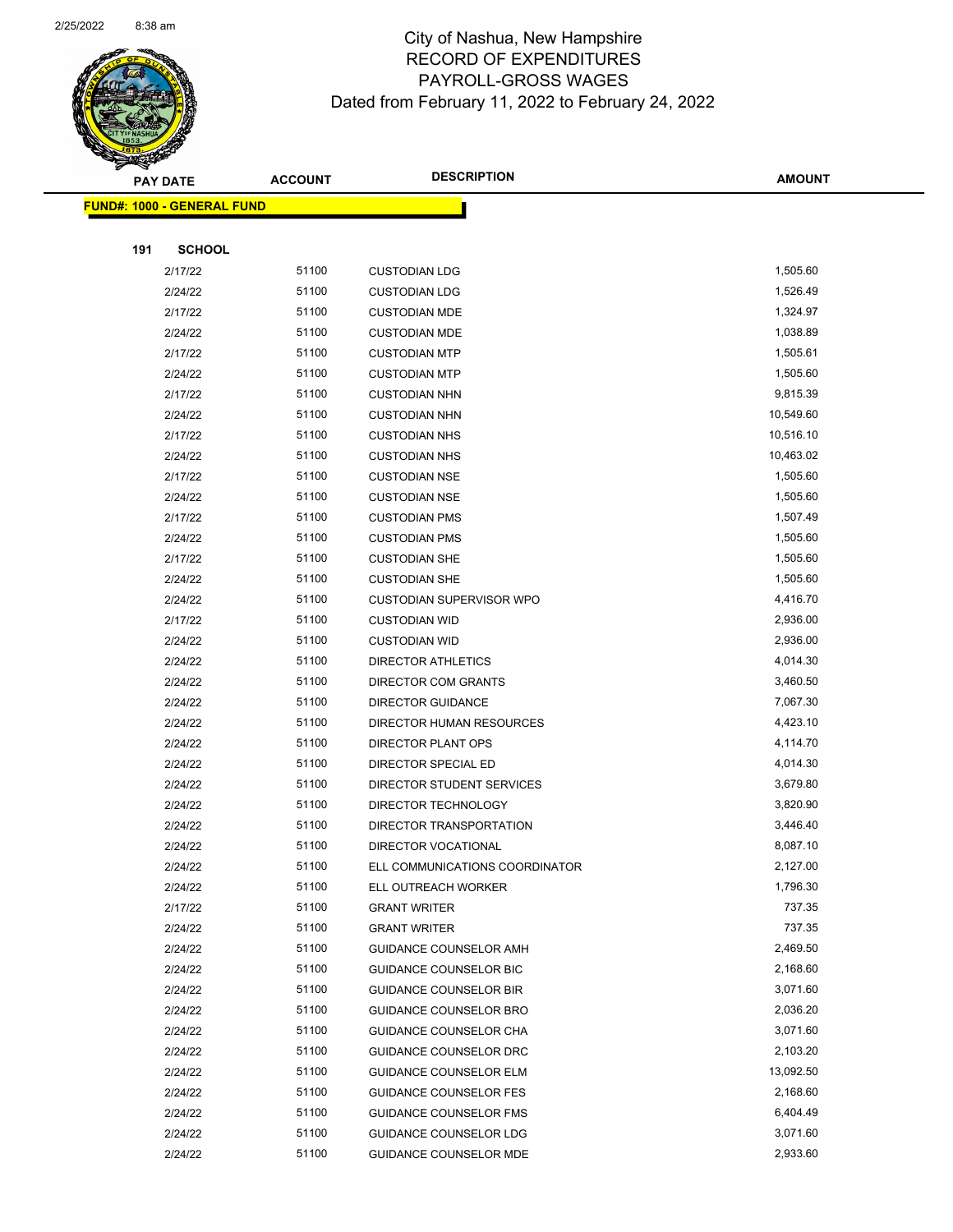

| <b>FUND#: 1000 - GENERAL FUND</b> |                |                                 |                      |
|-----------------------------------|----------------|---------------------------------|----------------------|
|                                   |                |                                 |                      |
| 191<br><b>SCHOOL</b>              |                |                                 |                      |
| 2/17/22                           | 51100          | <b>CUSTODIAN LDG</b>            | 1,505.60             |
| 2/24/22                           | 51100          | <b>CUSTODIAN LDG</b>            | 1,526.49             |
| 2/17/22                           | 51100          | <b>CUSTODIAN MDE</b>            | 1,324.97             |
| 2/24/22                           | 51100          | <b>CUSTODIAN MDE</b>            | 1,038.89             |
| 2/17/22                           | 51100          | <b>CUSTODIAN MTP</b>            | 1,505.61             |
| 2/24/22                           | 51100          | <b>CUSTODIAN MTP</b>            | 1,505.60             |
| 2/17/22                           | 51100          | <b>CUSTODIAN NHN</b>            | 9,815.39             |
| 2/24/22                           | 51100          | <b>CUSTODIAN NHN</b>            | 10,549.60            |
| 2/17/22                           | 51100          | <b>CUSTODIAN NHS</b>            | 10,516.10            |
| 2/24/22                           | 51100          | <b>CUSTODIAN NHS</b>            | 10,463.02            |
| 2/17/22                           | 51100          | <b>CUSTODIAN NSE</b>            | 1,505.60             |
| 2/24/22                           | 51100          | <b>CUSTODIAN NSE</b>            | 1,505.60             |
| 2/17/22                           | 51100          | <b>CUSTODIAN PMS</b>            | 1,507.49             |
| 2/24/22                           | 51100          | <b>CUSTODIAN PMS</b>            | 1,505.60             |
| 2/17/22                           | 51100          | <b>CUSTODIAN SHE</b>            | 1,505.60             |
| 2/24/22                           | 51100          | <b>CUSTODIAN SHE</b>            | 1,505.60             |
| 2/24/22                           | 51100          | <b>CUSTODIAN SUPERVISOR WPO</b> | 4,416.70             |
| 2/17/22                           | 51100          | <b>CUSTODIAN WID</b>            | 2,936.00             |
| 2/24/22                           | 51100          | <b>CUSTODIAN WID</b>            | 2,936.00             |
| 2/24/22                           | 51100          | <b>DIRECTOR ATHLETICS</b>       | 4,014.30             |
| 2/24/22                           | 51100          | DIRECTOR COM GRANTS             | 3,460.50             |
| 2/24/22                           | 51100          | <b>DIRECTOR GUIDANCE</b>        | 7,067.30             |
| 2/24/22                           | 51100          | DIRECTOR HUMAN RESOURCES        | 4,423.10             |
| 2/24/22                           | 51100          | DIRECTOR PLANT OPS              | 4,114.70             |
| 2/24/22                           | 51100          | DIRECTOR SPECIAL ED             | 4,014.30             |
| 2/24/22                           | 51100          | DIRECTOR STUDENT SERVICES       | 3,679.80             |
| 2/24/22                           | 51100          | DIRECTOR TECHNOLOGY             | 3,820.90             |
| 2/24/22                           | 51100          | DIRECTOR TRANSPORTATION         | 3,446.40             |
| 2/24/22                           | 51100          | DIRECTOR VOCATIONAL             | 8,087.10             |
| 2/24/22                           | 51100          | ELL COMMUNICATIONS COORDINATOR  | 2,127.00             |
| 2/24/22                           | 51100          | ELL OUTREACH WORKER             | 1,796.30             |
| 2/17/22                           | 51100          | <b>GRANT WRITER</b>             | 737.35               |
| 2/24/22                           | 51100          | <b>GRANT WRITER</b>             | 737.35               |
| 2/24/22                           | 51100          | GUIDANCE COUNSELOR AMH          | 2,469.50             |
| 2/24/22                           | 51100          | <b>GUIDANCE COUNSELOR BIC</b>   | 2,168.60             |
| 2/24/22                           | 51100          | <b>GUIDANCE COUNSELOR BIR</b>   | 3,071.60             |
| 2/24/22                           | 51100          | <b>GUIDANCE COUNSELOR BRO</b>   | 2,036.20             |
| 2/24/22                           | 51100          | GUIDANCE COUNSELOR CHA          | 3,071.60             |
| 2/24/22                           | 51100          | GUIDANCE COUNSELOR DRC          | 2,103.20             |
| 2/24/22                           | 51100          | <b>GUIDANCE COUNSELOR ELM</b>   | 13,092.50            |
| 2/24/22                           | 51100          | <b>GUIDANCE COUNSELOR FES</b>   | 2,168.60<br>6,404.49 |
| 2/24/22                           | 51100<br>51100 | <b>GUIDANCE COUNSELOR FMS</b>   | 3,071.60             |
| 2/24/22                           | 51100          | <b>GUIDANCE COUNSELOR LDG</b>   | 2,933.60             |
| 2/24/22                           |                | GUIDANCE COUNSELOR MDE          |                      |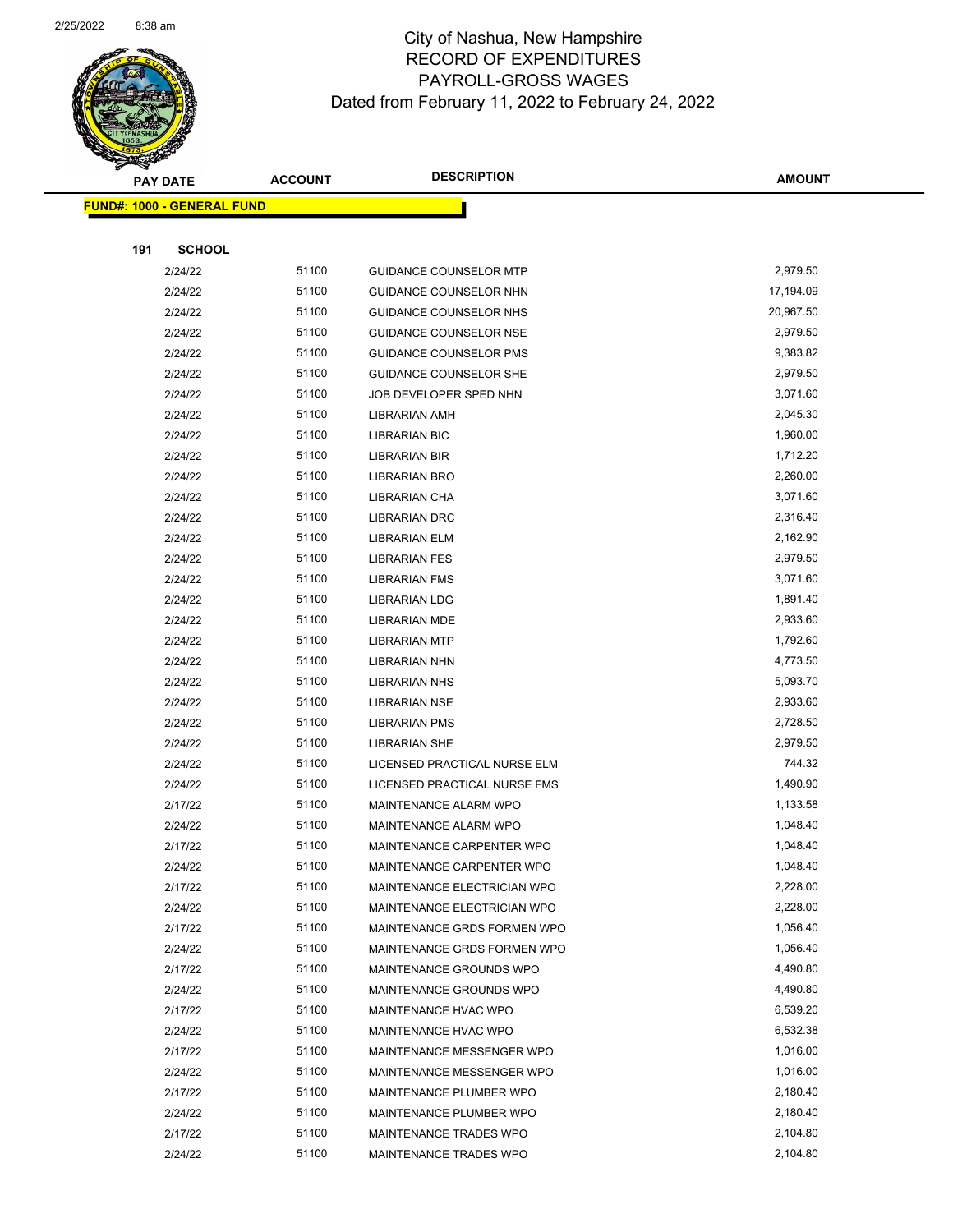

Page 68 of 104

|     | <b>PAY DATE</b>                    | <b>ACCOUNT</b> | <b>DESCRIPTION</b>                                 | <b>AMOUNT</b>        |
|-----|------------------------------------|----------------|----------------------------------------------------|----------------------|
|     | <u> FUND#: 1000 - GENERAL FUND</u> |                |                                                    |                      |
|     |                                    |                |                                                    |                      |
| 191 | <b>SCHOOL</b>                      |                |                                                    |                      |
|     | 2/24/22                            | 51100          | <b>GUIDANCE COUNSELOR MTP</b>                      | 2,979.50             |
|     | 2/24/22                            | 51100          | GUIDANCE COUNSELOR NHN                             | 17,194.09            |
|     | 2/24/22                            | 51100          | GUIDANCE COUNSELOR NHS                             | 20,967.50            |
|     | 2/24/22                            | 51100          | GUIDANCE COUNSELOR NSE                             | 2,979.50             |
|     | 2/24/22                            | 51100          | GUIDANCE COUNSELOR PMS                             | 9,383.82             |
|     | 2/24/22                            | 51100          | GUIDANCE COUNSELOR SHE                             | 2,979.50             |
|     | 2/24/22                            | 51100          | JOB DEVELOPER SPED NHN                             | 3,071.60             |
|     | 2/24/22                            | 51100          | <b>LIBRARIAN AMH</b>                               | 2,045.30             |
|     | 2/24/22                            | 51100          | <b>LIBRARIAN BIC</b>                               | 1,960.00             |
|     | 2/24/22                            | 51100          | <b>LIBRARIAN BIR</b>                               | 1,712.20             |
|     | 2/24/22                            | 51100          | <b>LIBRARIAN BRO</b>                               | 2,260.00             |
|     | 2/24/22                            | 51100          | LIBRARIAN CHA                                      | 3,071.60             |
|     | 2/24/22                            | 51100          | <b>LIBRARIAN DRC</b>                               | 2,316.40             |
|     | 2/24/22                            | 51100          | LIBRARIAN ELM                                      | 2,162.90             |
|     | 2/24/22                            | 51100          | <b>LIBRARIAN FES</b>                               | 2,979.50             |
|     | 2/24/22                            | 51100          | <b>LIBRARIAN FMS</b>                               | 3,071.60             |
|     | 2/24/22                            | 51100          | <b>LIBRARIAN LDG</b>                               | 1,891.40             |
|     | 2/24/22                            | 51100          | <b>LIBRARIAN MDE</b>                               | 2,933.60             |
|     | 2/24/22                            | 51100          | <b>LIBRARIAN MTP</b>                               | 1,792.60             |
|     | 2/24/22                            | 51100          | <b>LIBRARIAN NHN</b>                               | 4,773.50             |
|     | 2/24/22                            | 51100          | <b>LIBRARIAN NHS</b>                               | 5,093.70             |
|     | 2/24/22                            | 51100          | <b>LIBRARIAN NSE</b>                               | 2,933.60             |
|     | 2/24/22                            | 51100          | <b>LIBRARIAN PMS</b>                               | 2,728.50             |
|     | 2/24/22                            | 51100          | <b>LIBRARIAN SHE</b>                               | 2,979.50             |
|     | 2/24/22                            | 51100          | LICENSED PRACTICAL NURSE ELM                       | 744.32               |
|     | 2/24/22                            | 51100          | LICENSED PRACTICAL NURSE FMS                       | 1,490.90             |
|     | 2/17/22                            | 51100          | MAINTENANCE ALARM WPO                              | 1,133.58             |
|     | 2/24/22                            | 51100          | MAINTENANCE ALARM WPO                              | 1,048.40             |
|     | 2/17/22                            | 51100          | MAINTENANCE CARPENTER WPO                          | 1,048.40             |
|     | 2/24/22                            | 51100          | MAINTENANCE CARPENTER WPO                          | 1,048.40             |
|     | 2/17/22                            | 51100          | MAINTENANCE ELECTRICIAN WPO                        | 2,228.00             |
|     | 2/24/22                            | 51100          | MAINTENANCE ELECTRICIAN WPO                        | 2,228.00             |
|     | 2/17/22                            | 51100          | MAINTENANCE GRDS FORMEN WPO                        | 1,056.40             |
|     | 2/24/22                            | 51100          | MAINTENANCE GRDS FORMEN WPO                        | 1,056.40             |
|     | 2/17/22                            | 51100<br>51100 | MAINTENANCE GROUNDS WPO                            | 4,490.80<br>4,490.80 |
|     | 2/24/22<br>2/17/22                 | 51100          | MAINTENANCE GROUNDS WPO                            | 6,539.20             |
|     |                                    | 51100          | MAINTENANCE HVAC WPO                               | 6,532.38             |
|     | 2/24/22<br>2/17/22                 | 51100          | MAINTENANCE HVAC WPO<br>MAINTENANCE MESSENGER WPO  | 1,016.00             |
|     |                                    | 51100          | MAINTENANCE MESSENGER WPO                          | 1,016.00             |
|     | 2/24/22                            | 51100          |                                                    | 2,180.40             |
|     | 2/17/22<br>2/24/22                 | 51100          | MAINTENANCE PLUMBER WPO<br>MAINTENANCE PLUMBER WPO | 2,180.40             |
|     | 2/17/22                            | 51100          | MAINTENANCE TRADES WPO                             | 2,104.80             |
|     | 2/24/22                            | 51100          | MAINTENANCE TRADES WPO                             | 2,104.80             |
|     |                                    |                |                                                    |                      |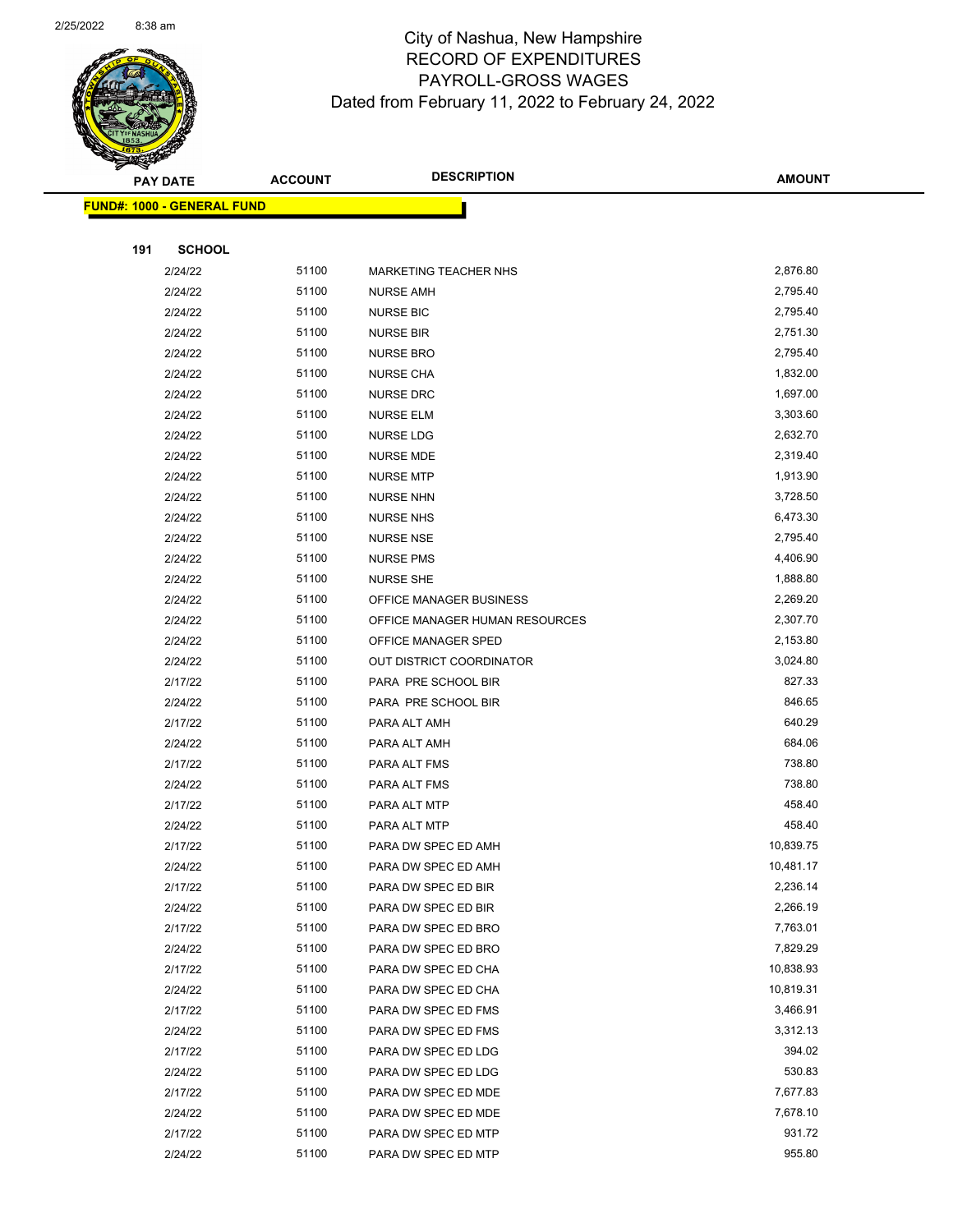

Page 69 of 104

|     | <b>PAY DATE</b>                   | <b>ACCOUNT</b> | <b>DESCRIPTION</b>                         | <b>AMOUNT</b>      |
|-----|-----------------------------------|----------------|--------------------------------------------|--------------------|
|     | <b>FUND#: 1000 - GENERAL FUND</b> |                |                                            |                    |
|     |                                   |                |                                            |                    |
| 191 | <b>SCHOOL</b>                     |                |                                            |                    |
|     | 2/24/22                           | 51100          | <b>MARKETING TEACHER NHS</b>               | 2,876.80           |
|     | 2/24/22                           | 51100          | <b>NURSE AMH</b>                           | 2,795.40           |
|     | 2/24/22                           | 51100          | <b>NURSE BIC</b>                           | 2,795.40           |
|     | 2/24/22                           | 51100          | <b>NURSE BIR</b>                           | 2,751.30           |
|     | 2/24/22                           | 51100          | <b>NURSE BRO</b>                           | 2,795.40           |
|     | 2/24/22                           | 51100          | <b>NURSE CHA</b>                           | 1,832.00           |
|     | 2/24/22                           | 51100          | <b>NURSE DRC</b>                           | 1,697.00           |
|     | 2/24/22                           | 51100          | <b>NURSE ELM</b>                           | 3,303.60           |
|     | 2/24/22                           | 51100          | <b>NURSE LDG</b>                           | 2,632.70           |
|     | 2/24/22                           | 51100          | NURSE MDE                                  | 2,319.40           |
|     | 2/24/22                           | 51100          | <b>NURSE MTP</b>                           | 1,913.90           |
|     | 2/24/22                           | 51100          | <b>NURSE NHN</b>                           | 3,728.50           |
|     | 2/24/22                           | 51100          | <b>NURSE NHS</b>                           | 6,473.30           |
|     | 2/24/22                           | 51100          | <b>NURSE NSE</b>                           | 2,795.40           |
|     | 2/24/22                           | 51100          | <b>NURSE PMS</b>                           | 4,406.90           |
|     | 2/24/22                           | 51100          | <b>NURSE SHE</b>                           | 1,888.80           |
|     | 2/24/22                           | 51100          | OFFICE MANAGER BUSINESS                    | 2,269.20           |
|     | 2/24/22                           | 51100          | OFFICE MANAGER HUMAN RESOURCES             | 2,307.70           |
|     | 2/24/22                           | 51100          | OFFICE MANAGER SPED                        | 2,153.80           |
|     | 2/24/22                           | 51100          | OUT DISTRICT COORDINATOR                   | 3,024.80           |
|     | 2/17/22                           | 51100          | PARA PRE SCHOOL BIR                        | 827.33             |
|     | 2/24/22                           | 51100          | PARA PRE SCHOOL BIR                        | 846.65             |
|     | 2/17/22                           | 51100          | PARA ALT AMH                               | 640.29             |
|     | 2/24/22                           | 51100          | PARA ALT AMH                               | 684.06             |
|     | 2/17/22                           | 51100          | PARA ALT FMS                               | 738.80             |
|     | 2/24/22                           | 51100          | PARA ALT FMS                               | 738.80             |
|     | 2/17/22                           | 51100          | PARA ALT MTP                               | 458.40             |
|     | 2/24/22                           | 51100          | PARA ALT MTP                               | 458.40             |
|     | 2/17/22                           | 51100          | PARA DW SPEC ED AMH                        | 10,839.75          |
|     | 2/24/22                           | 51100          | PARA DW SPEC ED AMH                        | 10,481.17          |
|     | 2/17/22                           | 51100          | PARA DW SPEC ED BIR                        | 2,236.14           |
|     | 2/24/22                           | 51100          | PARA DW SPEC ED BIR                        | 2,266.19           |
|     | 2/17/22                           | 51100          | PARA DW SPEC ED BRO                        | 7,763.01           |
|     | 2/24/22                           | 51100          | PARA DW SPEC ED BRO                        | 7,829.29           |
|     | 2/17/22                           | 51100          | PARA DW SPEC ED CHA                        | 10,838.93          |
|     | 2/24/22                           | 51100          | PARA DW SPEC ED CHA                        | 10,819.31          |
|     | 2/17/22                           | 51100          | PARA DW SPEC ED FMS                        | 3,466.91           |
|     | 2/24/22                           | 51100          | PARA DW SPEC ED FMS                        | 3,312.13           |
|     | 2/17/22                           | 51100          | PARA DW SPEC ED LDG                        | 394.02             |
|     | 2/24/22                           | 51100<br>51100 | PARA DW SPEC ED LDG                        | 530.83<br>7,677.83 |
|     | 2/17/22                           | 51100          | PARA DW SPEC ED MDE                        | 7,678.10           |
|     | 2/24/22<br>2/17/22                | 51100          | PARA DW SPEC ED MDE<br>PARA DW SPEC ED MTP | 931.72             |
|     | 2/24/22                           | 51100          | PARA DW SPEC ED MTP                        | 955.80             |
|     |                                   |                |                                            |                    |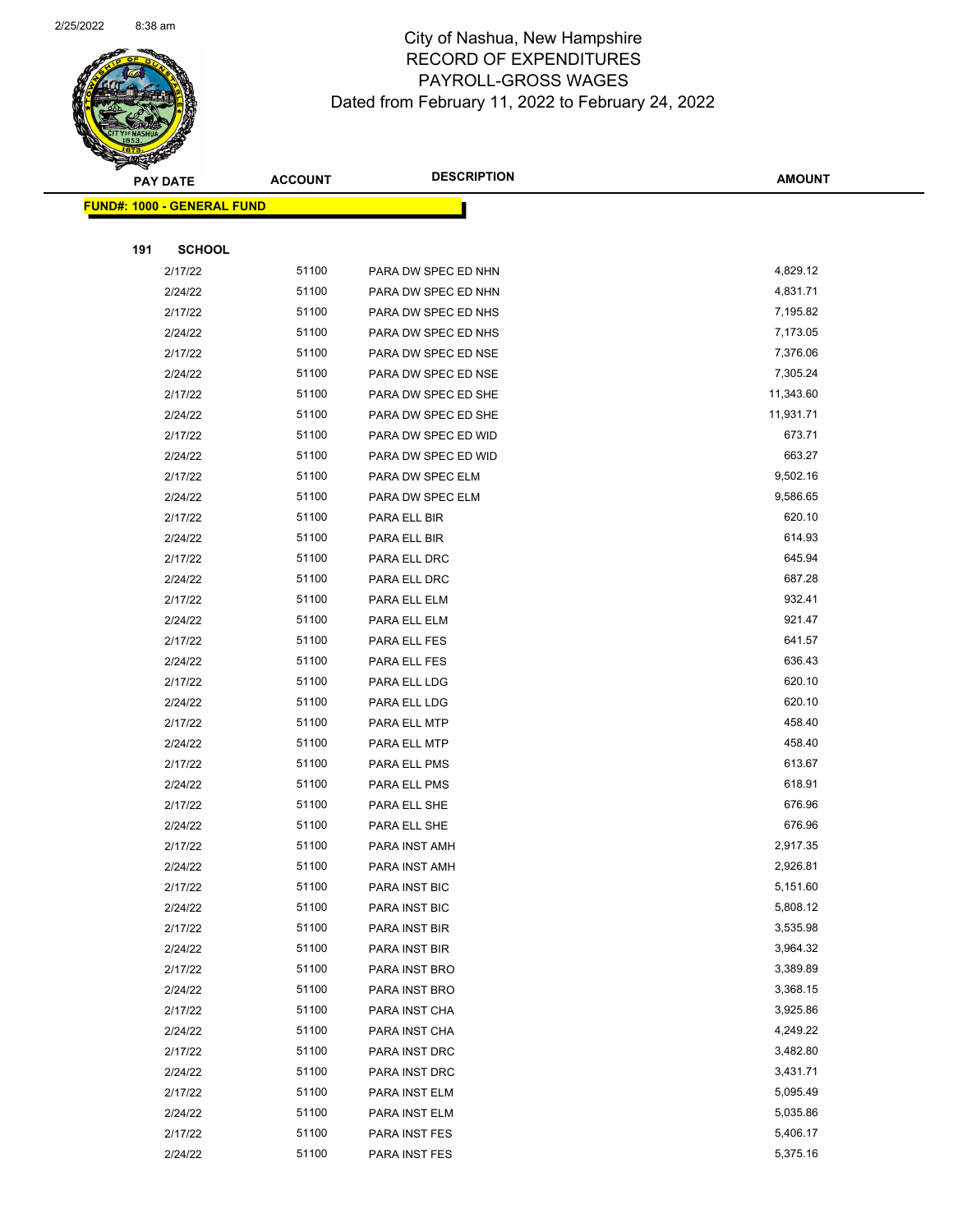

Page 70 of 104

|     | <b>PAY DATE</b>                   | <b>ACCOUNT</b> | <b>DESCRIPTION</b>  | <b>AMOUNT</b>        |
|-----|-----------------------------------|----------------|---------------------|----------------------|
|     | <b>FUND#: 1000 - GENERAL FUND</b> |                |                     |                      |
|     |                                   |                |                     |                      |
| 191 | <b>SCHOOL</b>                     |                |                     |                      |
|     | 2/17/22                           | 51100          | PARA DW SPEC ED NHN | 4,829.12             |
|     | 2/24/22                           | 51100          | PARA DW SPEC ED NHN | 4,831.71             |
|     | 2/17/22                           | 51100          | PARA DW SPEC ED NHS | 7,195.82             |
|     | 2/24/22                           | 51100          | PARA DW SPEC ED NHS | 7,173.05             |
|     | 2/17/22                           | 51100          | PARA DW SPEC ED NSE | 7,376.06             |
|     | 2/24/22                           | 51100          | PARA DW SPEC ED NSE | 7,305.24             |
|     | 2/17/22                           | 51100          | PARA DW SPEC ED SHE | 11,343.60            |
|     | 2/24/22                           | 51100          | PARA DW SPEC ED SHE | 11,931.71            |
|     | 2/17/22                           | 51100          | PARA DW SPEC ED WID | 673.71               |
|     | 2/24/22                           | 51100          | PARA DW SPEC ED WID | 663.27               |
|     | 2/17/22                           | 51100          | PARA DW SPEC ELM    | 9,502.16             |
|     | 2/24/22                           | 51100          | PARA DW SPEC ELM    | 9,586.65             |
|     | 2/17/22                           | 51100          | PARA ELL BIR        | 620.10               |
|     | 2/24/22                           | 51100          | PARA ELL BIR        | 614.93               |
|     | 2/17/22                           | 51100          | PARA ELL DRC        | 645.94               |
|     | 2/24/22                           | 51100          | PARA ELL DRC        | 687.28               |
|     | 2/17/22                           | 51100          | PARA ELL ELM        | 932.41               |
|     | 2/24/22                           | 51100          | PARA ELL ELM        | 921.47               |
|     | 2/17/22                           | 51100          | PARA ELL FES        | 641.57               |
|     | 2/24/22                           | 51100          | PARA ELL FES        | 636.43               |
|     | 2/17/22                           | 51100          | PARA ELL LDG        | 620.10               |
|     | 2/24/22                           | 51100          | PARA ELL LDG        | 620.10               |
|     | 2/17/22                           | 51100          | PARA ELL MTP        | 458.40               |
|     | 2/24/22                           | 51100          | PARA ELL MTP        | 458.40               |
|     | 2/17/22                           | 51100          | PARA ELL PMS        | 613.67               |
|     | 2/24/22                           | 51100          | PARA ELL PMS        | 618.91               |
|     | 2/17/22                           | 51100          | PARA ELL SHE        | 676.96               |
|     | 2/24/22                           | 51100          | PARA ELL SHE        | 676.96               |
|     | 2/17/22                           | 51100          | PARA INST AMH       | 2,917.35             |
|     | 2/24/22                           | 51100          | PARA INST AMH       | 2,926.81             |
|     | 2/17/22                           | 51100          | PARA INST BIC       | 5,151.60             |
|     | 2/24/22                           | 51100          | PARA INST BIC       | 5,808.12             |
|     | 2/17/22                           | 51100          | PARA INST BIR       | 3,535.98             |
|     | 2/24/22                           | 51100          | PARA INST BIR       | 3,964.32             |
|     | 2/17/22                           | 51100          | PARA INST BRO       | 3,389.89             |
|     | 2/24/22                           | 51100          | PARA INST BRO       | 3,368.15             |
|     | 2/17/22                           | 51100          | PARA INST CHA       | 3,925.86             |
|     | 2/24/22                           | 51100          | PARA INST CHA       | 4,249.22             |
|     | 2/17/22                           | 51100          | PARA INST DRC       | 3,482.80             |
|     | 2/24/22                           | 51100<br>51100 | PARA INST DRC       | 3,431.71<br>5,095.49 |
|     | 2/17/22                           | 51100          | PARA INST ELM       | 5,035.86             |
|     | 2/24/22                           | 51100          | PARA INST ELM       | 5,406.17             |
|     | 2/17/22                           | 51100          | PARA INST FES       | 5,375.16             |
|     | 2/24/22                           |                | PARA INST FES       |                      |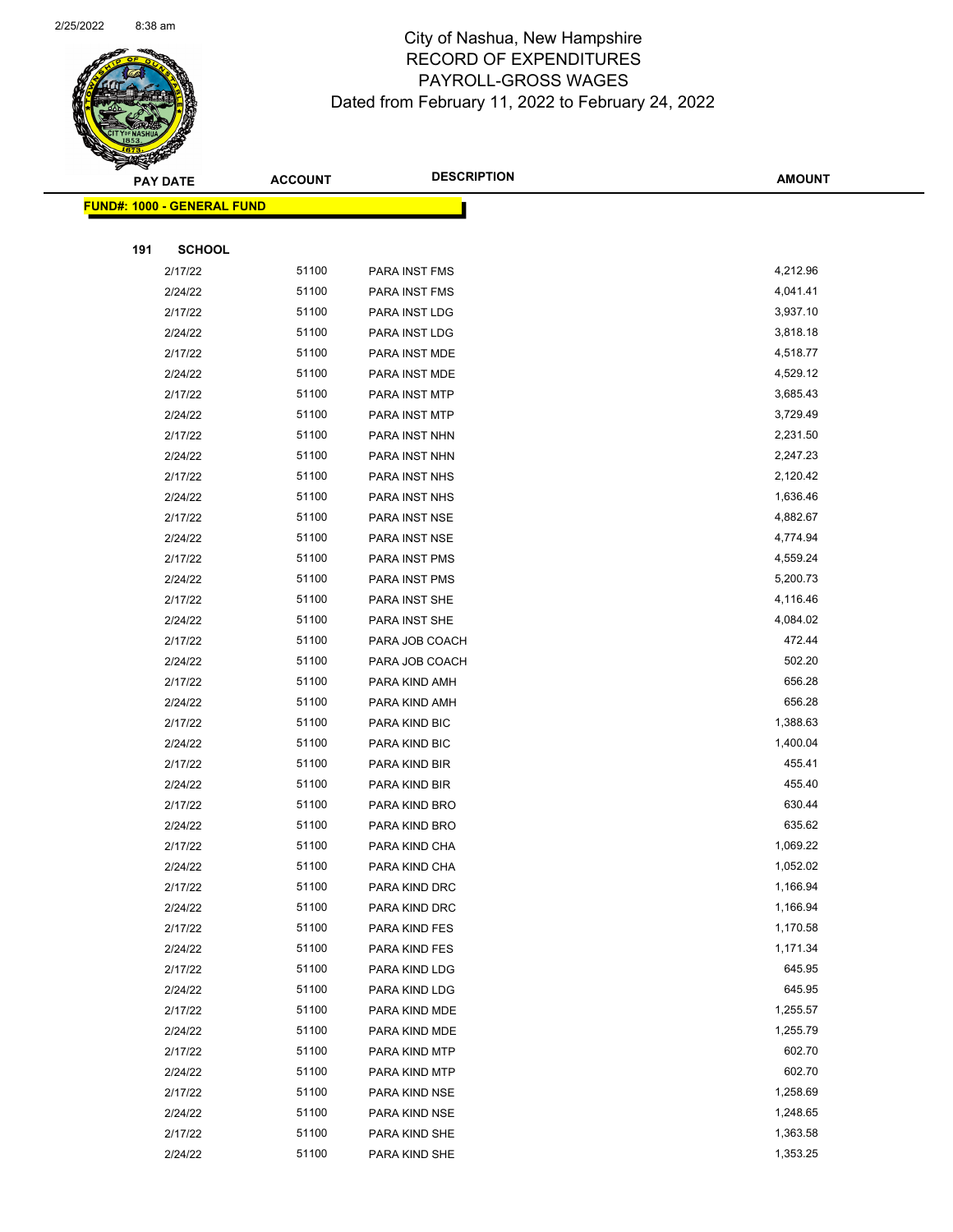

|     | <b>PAY DATE</b>                   | <b>ACCOUNT</b> | <b>DESCRIPTION</b>             | <b>AMOUNT</b>        |
|-----|-----------------------------------|----------------|--------------------------------|----------------------|
|     | <b>FUND#: 1000 - GENERAL FUND</b> |                |                                |                      |
|     |                                   |                |                                |                      |
| 191 | <b>SCHOOL</b>                     |                |                                |                      |
|     | 2/17/22                           | 51100          | PARA INST FMS                  | 4,212.96             |
|     | 2/24/22                           | 51100          | PARA INST FMS                  | 4,041.41             |
|     | 2/17/22                           | 51100          | PARA INST LDG                  | 3,937.10             |
|     | 2/24/22                           | 51100          | PARA INST LDG                  | 3,818.18             |
|     | 2/17/22                           | 51100          | PARA INST MDE                  | 4,518.77             |
|     | 2/24/22                           | 51100          | PARA INST MDE                  | 4,529.12             |
|     | 2/17/22                           | 51100          | PARA INST MTP                  | 3,685.43             |
|     | 2/24/22                           | 51100          | PARA INST MTP                  | 3,729.49             |
|     | 2/17/22                           | 51100          | PARA INST NHN                  | 2,231.50             |
|     | 2/24/22                           | 51100          | PARA INST NHN                  | 2,247.23             |
|     | 2/17/22                           | 51100          | PARA INST NHS                  | 2,120.42             |
|     | 2/24/22                           | 51100          | PARA INST NHS                  | 1,636.46             |
|     | 2/17/22                           | 51100          | PARA INST NSE                  | 4,882.67             |
|     | 2/24/22                           | 51100          | PARA INST NSE                  | 4,774.94             |
|     | 2/17/22                           | 51100          | PARA INST PMS                  | 4,559.24             |
|     | 2/24/22                           | 51100          | PARA INST PMS                  | 5,200.73             |
|     | 2/17/22                           | 51100          | PARA INST SHE                  | 4,116.46             |
|     | 2/24/22                           | 51100          | PARA INST SHE                  | 4,084.02             |
|     | 2/17/22                           | 51100          | PARA JOB COACH                 | 472.44               |
|     | 2/24/22                           | 51100          | PARA JOB COACH                 | 502.20               |
|     | 2/17/22                           | 51100          | PARA KIND AMH                  | 656.28               |
|     | 2/24/22                           | 51100          | PARA KIND AMH                  | 656.28               |
|     | 2/17/22                           | 51100          | PARA KIND BIC                  | 1,388.63             |
|     | 2/24/22                           | 51100          | PARA KIND BIC                  | 1,400.04             |
|     | 2/17/22                           | 51100          | PARA KIND BIR                  | 455.41               |
|     | 2/24/22                           | 51100          | PARA KIND BIR                  | 455.40               |
|     | 2/17/22                           | 51100          | PARA KIND BRO                  | 630.44               |
|     | 2/24/22                           | 51100          | PARA KIND BRO                  | 635.62               |
|     | 2/17/22                           | 51100          | PARA KIND CHA                  | 1,069.22             |
|     | 2/24/22                           | 51100          | PARA KIND CHA                  | 1,052.02             |
|     | 2/17/22                           | 51100          | PARA KIND DRC                  | 1,166.94             |
|     | 2/24/22                           | 51100          | PARA KIND DRC                  | 1,166.94             |
|     | 2/17/22                           | 51100          | PARA KIND FES                  | 1,170.58             |
|     | 2/24/22                           | 51100          | PARA KIND FES                  | 1,171.34             |
|     | 2/17/22                           | 51100          | PARA KIND LDG                  | 645.95               |
|     | 2/24/22                           | 51100          | PARA KIND LDG                  | 645.95               |
|     | 2/17/22                           | 51100          | PARA KIND MDE                  | 1,255.57             |
|     | 2/24/22                           | 51100          | PARA KIND MDE                  | 1,255.79             |
|     | 2/17/22                           | 51100          | PARA KIND MTP                  | 602.70               |
|     | 2/24/22                           | 51100          | PARA KIND MTP                  | 602.70               |
|     | 2/17/22                           | 51100<br>51100 | PARA KIND NSE                  | 1,258.69<br>1,248.65 |
|     | 2/24/22<br>2/17/22                | 51100          | PARA KIND NSE<br>PARA KIND SHE | 1,363.58             |
|     | 2/24/22                           | 51100          | PARA KIND SHE                  | 1,353.25             |
|     |                                   |                |                                |                      |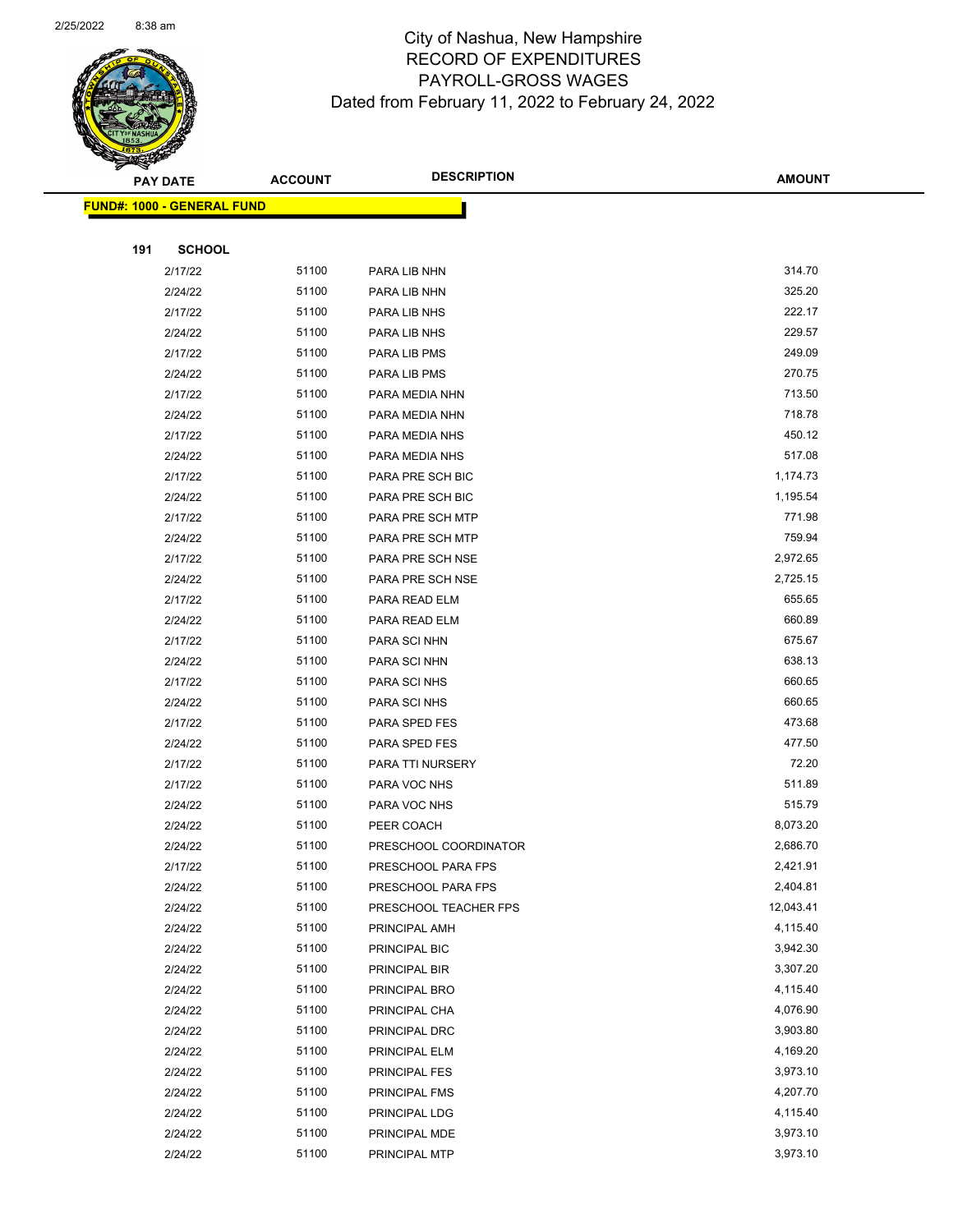

| <b>FUND#: 1000 - GENERAL FUND</b> |       |                       |           |  |  |
|-----------------------------------|-------|-----------------------|-----------|--|--|
|                                   |       |                       |           |  |  |
| 191<br><b>SCHOOL</b>              |       |                       |           |  |  |
| 2/17/22                           | 51100 | PARA LIB NHN          | 314.70    |  |  |
| 2/24/22                           | 51100 | PARA LIB NHN          | 325.20    |  |  |
| 2/17/22                           | 51100 | PARA LIB NHS          | 222.17    |  |  |
| 2/24/22                           | 51100 | PARA LIB NHS          | 229.57    |  |  |
| 2/17/22                           | 51100 | PARA LIB PMS          | 249.09    |  |  |
| 2/24/22                           | 51100 | PARA LIB PMS          | 270.75    |  |  |
| 2/17/22                           | 51100 | PARA MEDIA NHN        | 713.50    |  |  |
| 2/24/22                           | 51100 | PARA MEDIA NHN        | 718.78    |  |  |
| 2/17/22                           | 51100 | PARA MEDIA NHS        | 450.12    |  |  |
| 2/24/22                           | 51100 | PARA MEDIA NHS        | 517.08    |  |  |
| 2/17/22                           | 51100 | PARA PRE SCH BIC      | 1,174.73  |  |  |
| 2/24/22                           | 51100 | PARA PRE SCH BIC      | 1,195.54  |  |  |
| 2/17/22                           | 51100 | PARA PRE SCH MTP      | 771.98    |  |  |
| 2/24/22                           | 51100 | PARA PRE SCH MTP      | 759.94    |  |  |
| 2/17/22                           | 51100 | PARA PRE SCH NSE      | 2,972.65  |  |  |
| 2/24/22                           | 51100 | PARA PRE SCH NSE      | 2,725.15  |  |  |
| 2/17/22                           | 51100 | PARA READ ELM         | 655.65    |  |  |
| 2/24/22                           | 51100 | PARA READ ELM         | 660.89    |  |  |
| 2/17/22                           | 51100 | PARA SCI NHN          | 675.67    |  |  |
| 2/24/22                           | 51100 | PARA SCI NHN          | 638.13    |  |  |
| 2/17/22                           | 51100 | PARA SCI NHS          | 660.65    |  |  |
| 2/24/22                           | 51100 | PARA SCI NHS          | 660.65    |  |  |
| 2/17/22                           | 51100 | PARA SPED FES         | 473.68    |  |  |
| 2/24/22                           | 51100 | PARA SPED FES         | 477.50    |  |  |
| 2/17/22                           | 51100 | PARA TTI NURSERY      | 72.20     |  |  |
| 2/17/22                           | 51100 | PARA VOC NHS          | 511.89    |  |  |
| 2/24/22                           | 51100 | PARA VOC NHS          | 515.79    |  |  |
| 2/24/22                           | 51100 | PEER COACH            | 8,073.20  |  |  |
| 2/24/22                           | 51100 | PRESCHOOL COORDINATOR | 2,686.70  |  |  |
| 2/17/22                           | 51100 | PRESCHOOL PARA FPS    | 2,421.91  |  |  |
| 2/24/22                           | 51100 | PRESCHOOL PARA FPS    | 2,404.81  |  |  |
| 2/24/22                           | 51100 | PRESCHOOL TEACHER FPS | 12,043.41 |  |  |
| 2/24/22                           | 51100 | PRINCIPAL AMH         | 4,115.40  |  |  |
| 2/24/22                           | 51100 | PRINCIPAL BIC         | 3,942.30  |  |  |
| 2/24/22                           | 51100 | PRINCIPAL BIR         | 3,307.20  |  |  |
| 2/24/22                           | 51100 | PRINCIPAL BRO         | 4,115.40  |  |  |
| 2/24/22                           | 51100 | PRINCIPAL CHA         | 4,076.90  |  |  |
| 2/24/22                           | 51100 | PRINCIPAL DRC         | 3,903.80  |  |  |
| 2/24/22                           | 51100 | PRINCIPAL ELM         | 4,169.20  |  |  |
| 2/24/22                           | 51100 | PRINCIPAL FES         | 3,973.10  |  |  |
| 2/24/22                           | 51100 | PRINCIPAL FMS         | 4,207.70  |  |  |
| 2/24/22                           | 51100 | PRINCIPAL LDG         | 4,115.40  |  |  |
| 2/24/22                           | 51100 | PRINCIPAL MDE         | 3,973.10  |  |  |
| 2/24/22                           | 51100 | PRINCIPAL MTP         | 3,973.10  |  |  |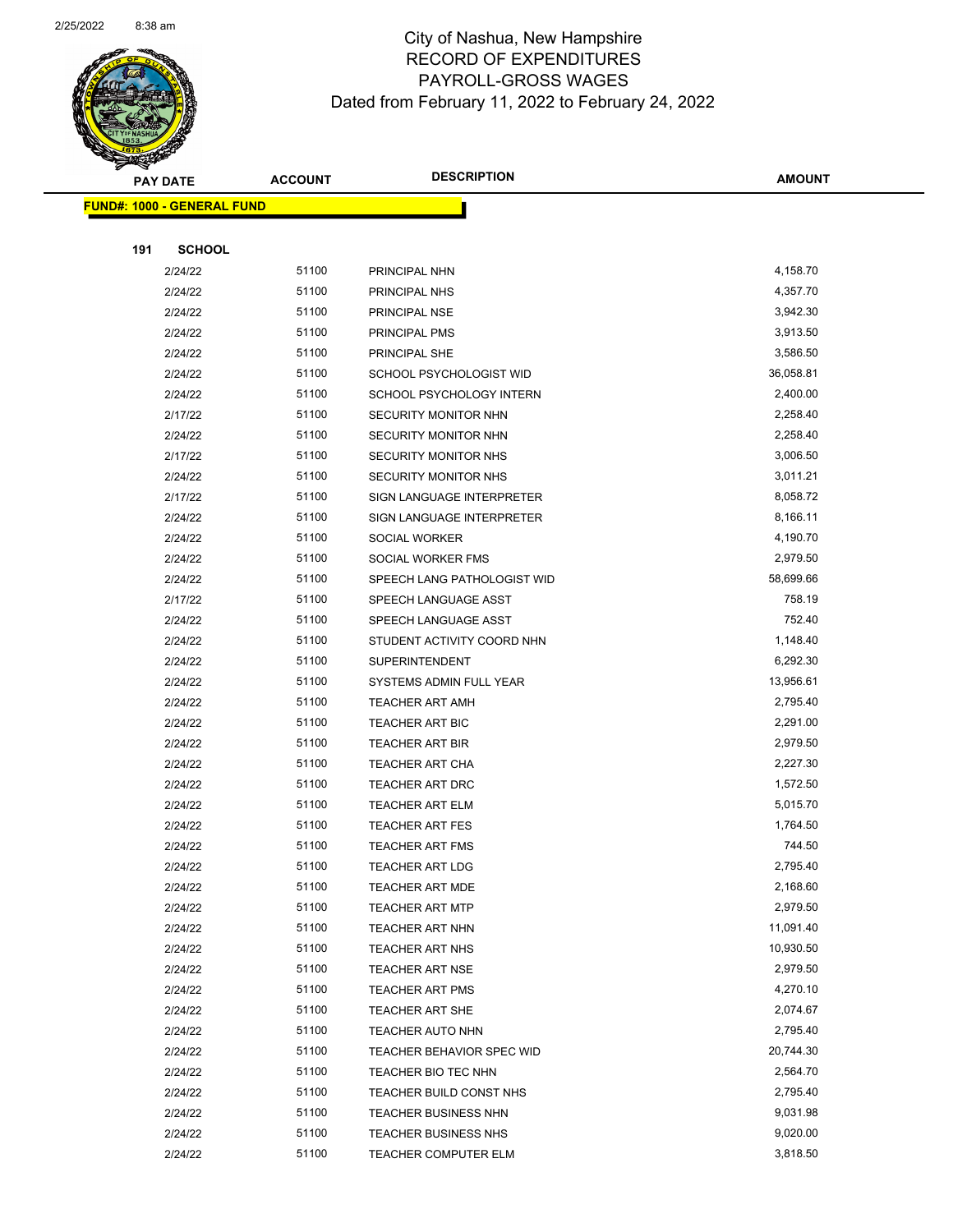

|     | <u> FUND#: 1000 - GENERAL FUND</u> |       |                             |           |
|-----|------------------------------------|-------|-----------------------------|-----------|
|     |                                    |       |                             |           |
| 191 | <b>SCHOOL</b>                      |       |                             |           |
|     | 2/24/22                            | 51100 | PRINCIPAL NHN               | 4,158.70  |
|     | 2/24/22                            | 51100 | PRINCIPAL NHS               | 4,357.70  |
|     | 2/24/22                            | 51100 | PRINCIPAL NSE               | 3,942.30  |
|     | 2/24/22                            | 51100 | PRINCIPAL PMS               | 3,913.50  |
|     | 2/24/22                            | 51100 | PRINCIPAL SHE               | 3,586.50  |
|     | 2/24/22                            | 51100 | SCHOOL PSYCHOLOGIST WID     | 36,058.81 |
|     | 2/24/22                            | 51100 | SCHOOL PSYCHOLOGY INTERN    | 2,400.00  |
|     | 2/17/22                            | 51100 | SECURITY MONITOR NHN        | 2,258.40  |
|     | 2/24/22                            | 51100 | SECURITY MONITOR NHN        | 2,258.40  |
|     | 2/17/22                            | 51100 | <b>SECURITY MONITOR NHS</b> | 3,006.50  |
|     | 2/24/22                            | 51100 | SECURITY MONITOR NHS        | 3,011.21  |
|     | 2/17/22                            | 51100 | SIGN LANGUAGE INTERPRETER   | 8,058.72  |
|     | 2/24/22                            | 51100 | SIGN LANGUAGE INTERPRETER   | 8,166.11  |
|     | 2/24/22                            | 51100 | SOCIAL WORKER               | 4,190.70  |
|     | 2/24/22                            | 51100 | SOCIAL WORKER FMS           | 2,979.50  |
|     | 2/24/22                            | 51100 | SPEECH LANG PATHOLOGIST WID | 58,699.66 |
|     | 2/17/22                            | 51100 | SPEECH LANGUAGE ASST        | 758.19    |
|     | 2/24/22                            | 51100 | SPEECH LANGUAGE ASST        | 752.40    |
|     | 2/24/22                            | 51100 | STUDENT ACTIVITY COORD NHN  | 1,148.40  |
|     | 2/24/22                            | 51100 | <b>SUPERINTENDENT</b>       | 6,292.30  |
|     | 2/24/22                            | 51100 | SYSTEMS ADMIN FULL YEAR     | 13,956.61 |
|     | 2/24/22                            | 51100 | <b>TEACHER ART AMH</b>      | 2,795.40  |
|     | 2/24/22                            | 51100 | TEACHER ART BIC             | 2,291.00  |
|     | 2/24/22                            | 51100 | <b>TEACHER ART BIR</b>      | 2,979.50  |
|     | 2/24/22                            | 51100 | <b>TEACHER ART CHA</b>      | 2,227.30  |
|     | 2/24/22                            | 51100 | <b>TEACHER ART DRC</b>      | 1,572.50  |
|     | 2/24/22                            | 51100 | <b>TEACHER ART ELM</b>      | 5,015.70  |
|     | 2/24/22                            | 51100 | <b>TEACHER ART FES</b>      | 1,764.50  |
|     | 2/24/22                            | 51100 | <b>TEACHER ART FMS</b>      | 744.50    |
|     | 2/24/22                            | 51100 | <b>TEACHER ART LDG</b>      | 2,795.40  |
|     | 2/24/22                            | 51100 | TEACHER ART MDE             | 2,168.60  |
|     | 2/24/22                            | 51100 | <b>TEACHER ART MTP</b>      | 2,979.50  |
|     | 2/24/22                            | 51100 | TEACHER ART NHN             | 11,091.40 |
|     | 2/24/22                            | 51100 | <b>TEACHER ART NHS</b>      | 10,930.50 |
|     | 2/24/22                            | 51100 | <b>TEACHER ART NSE</b>      | 2,979.50  |
|     | 2/24/22                            | 51100 | <b>TEACHER ART PMS</b>      | 4,270.10  |
|     | 2/24/22                            | 51100 | <b>TEACHER ART SHE</b>      | 2,074.67  |
|     | 2/24/22                            | 51100 | TEACHER AUTO NHN            | 2,795.40  |
|     | 2/24/22                            | 51100 | TEACHER BEHAVIOR SPEC WID   | 20,744.30 |
|     | 2/24/22                            | 51100 | TEACHER BIO TEC NHN         | 2,564.70  |
|     | 2/24/22                            | 51100 | TEACHER BUILD CONST NHS     | 2,795.40  |
|     | 2/24/22                            | 51100 | <b>TEACHER BUSINESS NHN</b> | 9,031.98  |
|     | 2/24/22                            | 51100 | <b>TEACHER BUSINESS NHS</b> | 9,020.00  |
|     | 2/24/22                            | 51100 | <b>TEACHER COMPUTER ELM</b> | 3,818.50  |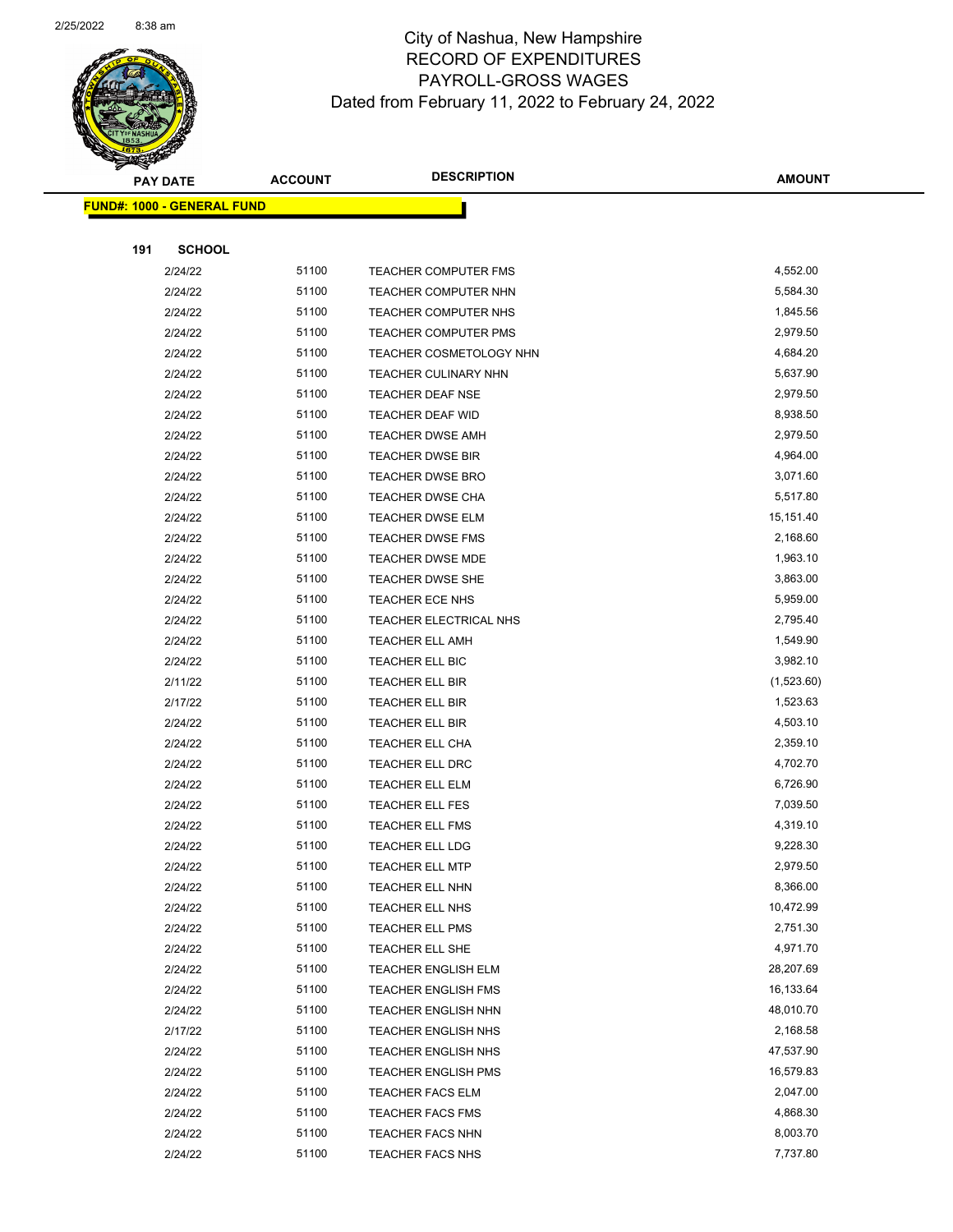

| <b>PAY DATE</b>                    | <b>ACCOUNT</b> | <b>DESCRIPTION</b>          | AMOUNT     |
|------------------------------------|----------------|-----------------------------|------------|
| <u> FUND#: 1000 - GENERAL FUND</u> |                |                             |            |
|                                    |                |                             |            |
| 191<br><b>SCHOOL</b>               |                |                             |            |
| 2/24/22                            | 51100          | TEACHER COMPUTER FMS        | 4,552.00   |
| 2/24/22                            | 51100          | <b>TEACHER COMPUTER NHN</b> | 5,584.30   |
| 2/24/22                            | 51100          | TEACHER COMPUTER NHS        | 1,845.56   |
| 2/24/22                            | 51100          | <b>TEACHER COMPUTER PMS</b> | 2,979.50   |
| 2/24/22                            | 51100          | TEACHER COSMETOLOGY NHN     | 4,684.20   |
| 2/24/22                            | 51100          | TEACHER CULINARY NHN        | 5,637.90   |
| 2/24/22                            | 51100          | <b>TEACHER DEAF NSE</b>     | 2,979.50   |
| 2/24/22                            | 51100          | TEACHER DEAF WID            | 8,938.50   |
| 2/24/22                            | 51100          | <b>TEACHER DWSE AMH</b>     | 2,979.50   |
| 2/24/22                            | 51100          | <b>TEACHER DWSE BIR</b>     | 4,964.00   |
| 2/24/22                            | 51100          | <b>TEACHER DWSE BRO</b>     | 3,071.60   |
| 2/24/22                            | 51100          | <b>TEACHER DWSE CHA</b>     | 5,517.80   |
| 2/24/22                            | 51100          | <b>TEACHER DWSE ELM</b>     | 15,151.40  |
| 2/24/22                            | 51100          | <b>TEACHER DWSE FMS</b>     | 2,168.60   |
| 2/24/22                            | 51100          | <b>TEACHER DWSE MDE</b>     | 1,963.10   |
| 2/24/22                            | 51100          | TEACHER DWSE SHE            | 3,863.00   |
| 2/24/22                            | 51100          | <b>TEACHER ECE NHS</b>      | 5,959.00   |
| 2/24/22                            | 51100          | TEACHER ELECTRICAL NHS      | 2,795.40   |
| 2/24/22                            | 51100          | <b>TEACHER ELL AMH</b>      | 1,549.90   |
| 2/24/22                            | 51100          | TEACHER ELL BIC             | 3,982.10   |
| 2/11/22                            | 51100          | TEACHER ELL BIR             | (1,523.60) |
| 2/17/22                            | 51100          | TEACHER ELL BIR             | 1,523.63   |
| 2/24/22                            | 51100          | <b>TEACHER ELL BIR</b>      | 4,503.10   |
| 2/24/22                            | 51100          | TEACHER ELL CHA             | 2,359.10   |
| 2/24/22                            | 51100          | TEACHER ELL DRC             | 4,702.70   |
| 2/24/22                            | 51100          | <b>TEACHER ELL ELM</b>      | 6,726.90   |
| 2/24/22                            | 51100          | TEACHER ELL FES             | 7,039.50   |
| 2/24/22                            | 51100          | <b>TEACHER ELL FMS</b>      | 4,319.10   |
| 2/24/22                            | 51100          | <b>TEACHER ELL LDG</b>      | 9,228.30   |
| 2/24/22                            | 51100          | <b>TEACHER ELL MTP</b>      | 2,979.50   |
| 2/24/22                            | 51100          | TEACHER ELL NHN             | 8,366.00   |
| 2/24/22                            | 51100          | <b>TEACHER ELL NHS</b>      | 10,472.99  |
| 2/24/22                            | 51100          | <b>TEACHER ELL PMS</b>      | 2,751.30   |
| 2/24/22                            | 51100          | TEACHER ELL SHE             | 4,971.70   |
| 2/24/22                            | 51100          | <b>TEACHER ENGLISH ELM</b>  | 28,207.69  |
| 2/24/22                            | 51100          | <b>TEACHER ENGLISH FMS</b>  | 16,133.64  |
| 2/24/22                            | 51100          | <b>TEACHER ENGLISH NHN</b>  | 48,010.70  |
| 2/17/22                            | 51100          | <b>TEACHER ENGLISH NHS</b>  | 2,168.58   |
| 2/24/22                            | 51100          | <b>TEACHER ENGLISH NHS</b>  | 47,537.90  |
| 2/24/22                            | 51100          | <b>TEACHER ENGLISH PMS</b>  | 16,579.83  |
| 2/24/22                            | 51100          | <b>TEACHER FACS ELM</b>     | 2,047.00   |
| 2/24/22                            | 51100          | <b>TEACHER FACS FMS</b>     | 4,868.30   |
| 2/24/22                            | 51100          | <b>TEACHER FACS NHN</b>     | 8,003.70   |
| 2/24/22                            | 51100          | <b>TEACHER FACS NHS</b>     | 7,737.80   |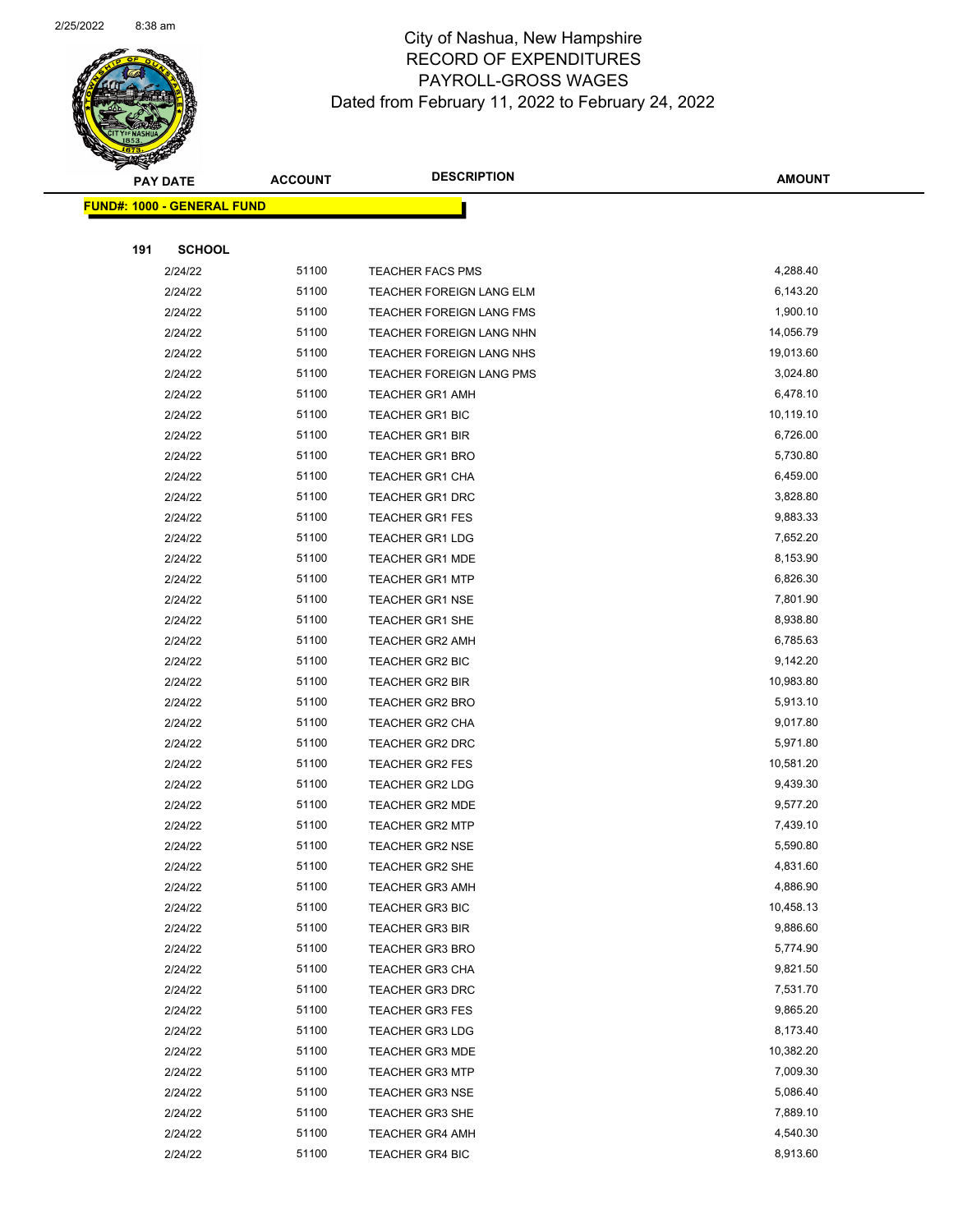

|     | <b>PAY DATE</b>                   | <b>ACCOUNT</b> | <b>DESCRIPTION</b>                               | <b>AMOUNT</b>         |
|-----|-----------------------------------|----------------|--------------------------------------------------|-----------------------|
|     | <b>FUND#: 1000 - GENERAL FUND</b> |                |                                                  |                       |
|     |                                   |                |                                                  |                       |
| 191 | <b>SCHOOL</b>                     |                |                                                  |                       |
|     | 2/24/22                           | 51100          | <b>TEACHER FACS PMS</b>                          | 4,288.40              |
|     | 2/24/22                           | 51100          | TEACHER FOREIGN LANG ELM                         | 6,143.20              |
|     | 2/24/22                           | 51100          | TEACHER FOREIGN LANG FMS                         | 1,900.10              |
|     | 2/24/22                           | 51100          | TEACHER FOREIGN LANG NHN                         | 14,056.79             |
|     | 2/24/22                           | 51100          | TEACHER FOREIGN LANG NHS                         | 19,013.60             |
|     | 2/24/22                           | 51100          | TEACHER FOREIGN LANG PMS                         | 3,024.80              |
|     | 2/24/22                           | 51100          | <b>TEACHER GR1 AMH</b>                           | 6,478.10              |
|     | 2/24/22                           | 51100          | TEACHER GR1 BIC                                  | 10,119.10             |
|     | 2/24/22                           | 51100          | <b>TEACHER GR1 BIR</b>                           | 6,726.00              |
|     | 2/24/22                           | 51100          | <b>TEACHER GR1 BRO</b>                           | 5,730.80              |
|     | 2/24/22                           | 51100          | <b>TEACHER GR1 CHA</b>                           | 6,459.00              |
|     | 2/24/22                           | 51100          | <b>TEACHER GR1 DRC</b>                           | 3,828.80              |
|     | 2/24/22                           | 51100          | <b>TEACHER GR1 FES</b>                           | 9,883.33              |
|     | 2/24/22                           | 51100          | <b>TEACHER GR1 LDG</b>                           | 7,652.20              |
|     | 2/24/22                           | 51100          | <b>TEACHER GR1 MDE</b>                           | 8,153.90              |
|     | 2/24/22                           | 51100          | <b>TEACHER GR1 MTP</b>                           | 6,826.30              |
|     | 2/24/22                           | 51100          | <b>TEACHER GR1 NSE</b>                           | 7,801.90              |
|     | 2/24/22                           | 51100          | <b>TEACHER GR1 SHE</b>                           | 8,938.80              |
|     | 2/24/22                           | 51100          | TEACHER GR2 AMH                                  | 6,785.63              |
|     | 2/24/22                           | 51100          | TEACHER GR2 BIC                                  | 9,142.20              |
|     | 2/24/22                           | 51100          | <b>TEACHER GR2 BIR</b>                           | 10,983.80             |
|     | 2/24/22                           | 51100          | <b>TEACHER GR2 BRO</b>                           | 5,913.10              |
|     | 2/24/22                           | 51100          | TEACHER GR2 CHA                                  | 9,017.80              |
|     | 2/24/22                           | 51100          | <b>TEACHER GR2 DRC</b>                           | 5,971.80              |
|     | 2/24/22                           | 51100          | <b>TEACHER GR2 FES</b>                           | 10,581.20             |
|     | 2/24/22                           | 51100          | <b>TEACHER GR2 LDG</b>                           | 9,439.30              |
|     | 2/24/22                           | 51100          | <b>TEACHER GR2 MDE</b>                           | 9,577.20              |
|     | 2/24/22                           | 51100          | <b>TEACHER GR2 MTP</b>                           | 7,439.10              |
|     | 2/24/22                           | 51100          | <b>TEACHER GR2 NSE</b>                           | 5,590.80              |
|     | 2/24/22                           | 51100          | TEACHER GR2 SHE                                  | 4,831.60              |
|     | 2/24/22                           | 51100          | <b>TEACHER GR3 AMH</b>                           | 4,886.90              |
|     | 2/24/22                           | 51100          | <b>TEACHER GR3 BIC</b>                           | 10,458.13             |
|     | 2/24/22                           | 51100          | <b>TEACHER GR3 BIR</b>                           | 9,886.60              |
|     | 2/24/22                           | 51100          | <b>TEACHER GR3 BRO</b>                           | 5,774.90              |
|     | 2/24/22                           | 51100          | <b>TEACHER GR3 CHA</b>                           | 9,821.50              |
|     | 2/24/22                           | 51100          | <b>TEACHER GR3 DRC</b>                           | 7,531.70<br>9,865.20  |
|     | 2/24/22                           | 51100          | <b>TEACHER GR3 FES</b>                           |                       |
|     | 2/24/22                           | 51100<br>51100 | <b>TEACHER GR3 LDG</b><br><b>TEACHER GR3 MDE</b> | 8,173.40<br>10,382.20 |
|     | 2/24/22                           | 51100          |                                                  | 7,009.30              |
|     | 2/24/22                           | 51100          | <b>TEACHER GR3 MTP</b>                           | 5,086.40              |
|     | 2/24/22                           | 51100          | TEACHER GR3 NSE                                  | 7,889.10              |
|     | 2/24/22                           | 51100          | <b>TEACHER GR3 SHE</b>                           |                       |
|     | 2/24/22                           |                | <b>TEACHER GR4 AMH</b>                           | 4,540.30              |
|     | 2/24/22                           | 51100          | <b>TEACHER GR4 BIC</b>                           | 8,913.60              |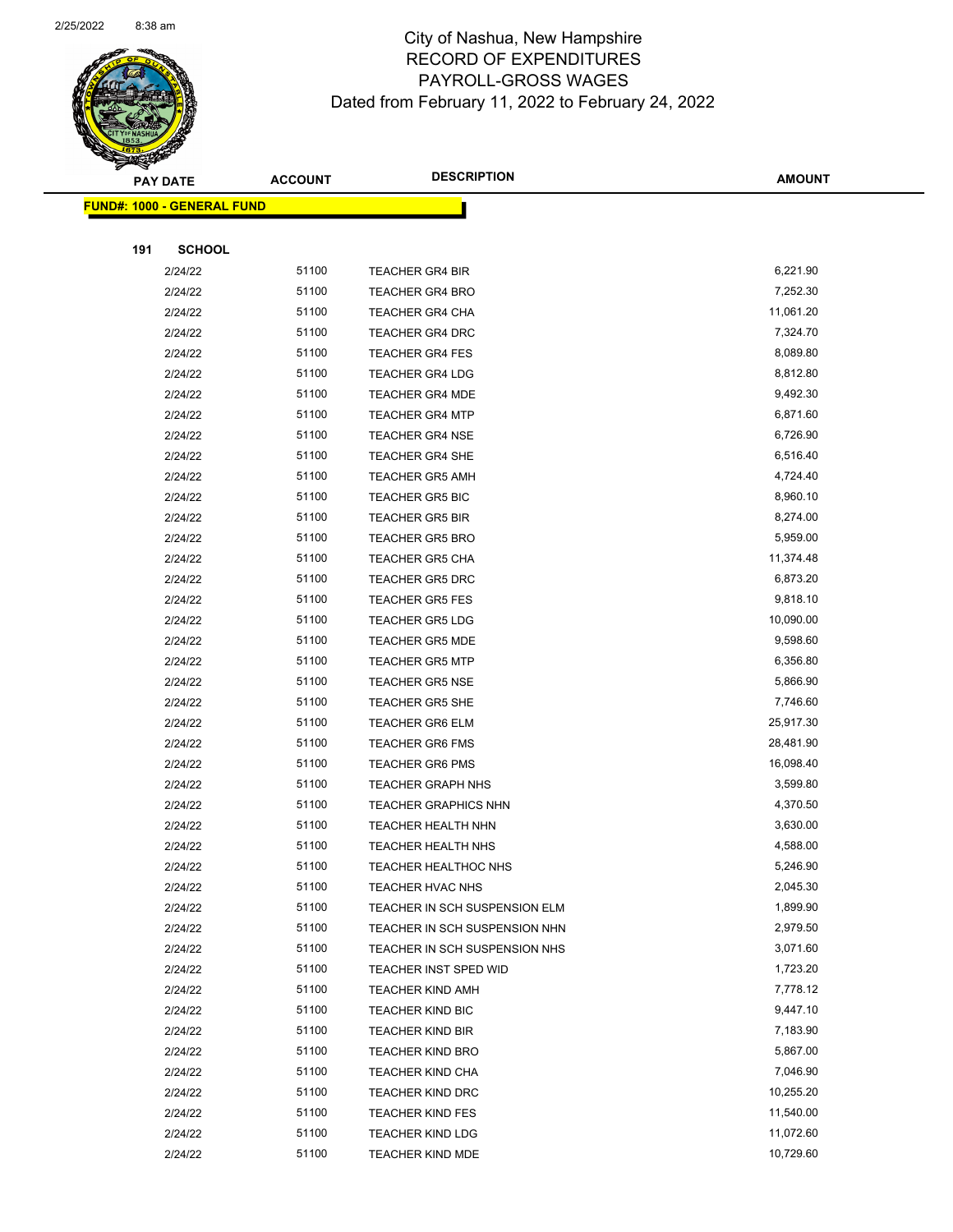

| <b>FUND#: 1000 - GENERAL FUND</b> |                |                                                        |                      |
|-----------------------------------|----------------|--------------------------------------------------------|----------------------|
|                                   |                |                                                        |                      |
| 191<br><b>SCHOOL</b>              |                |                                                        |                      |
| 2/24/22                           | 51100          | <b>TEACHER GR4 BIR</b>                                 | 6,221.90             |
| 2/24/22                           | 51100          | <b>TEACHER GR4 BRO</b>                                 | 7,252.30             |
| 2/24/22                           | 51100          | <b>TEACHER GR4 CHA</b>                                 | 11,061.20            |
| 2/24/22                           | 51100          | <b>TEACHER GR4 DRC</b>                                 | 7,324.70             |
| 2/24/22                           | 51100          | <b>TEACHER GR4 FES</b>                                 | 8,089.80             |
| 2/24/22                           | 51100          | <b>TEACHER GR4 LDG</b>                                 | 8,812.80             |
| 2/24/22                           | 51100          | <b>TEACHER GR4 MDE</b>                                 | 9,492.30             |
| 2/24/22                           | 51100          | <b>TEACHER GR4 MTP</b>                                 | 6,871.60             |
| 2/24/22                           | 51100          | <b>TEACHER GR4 NSE</b>                                 | 6,726.90             |
| 2/24/22                           | 51100          | <b>TEACHER GR4 SHE</b>                                 | 6,516.40             |
| 2/24/22                           | 51100          | <b>TEACHER GR5 AMH</b>                                 | 4,724.40             |
| 2/24/22                           | 51100          | <b>TEACHER GR5 BIC</b>                                 | 8,960.10             |
| 2/24/22                           | 51100          | <b>TEACHER GR5 BIR</b>                                 | 8,274.00             |
| 2/24/22                           | 51100          | <b>TEACHER GR5 BRO</b>                                 | 5,959.00             |
| 2/24/22                           | 51100          | <b>TEACHER GR5 CHA</b>                                 | 11,374.48            |
| 2/24/22                           | 51100          | <b>TEACHER GR5 DRC</b>                                 | 6,873.20             |
| 2/24/22                           | 51100          | <b>TEACHER GR5 FES</b>                                 | 9,818.10             |
| 2/24/22                           | 51100          | <b>TEACHER GR5 LDG</b>                                 | 10,090.00            |
| 2/24/22                           | 51100          | <b>TEACHER GR5 MDE</b>                                 | 9,598.60             |
| 2/24/22                           | 51100          | <b>TEACHER GR5 MTP</b>                                 | 6,356.80             |
| 2/24/22                           | 51100          | <b>TEACHER GR5 NSE</b>                                 | 5,866.90             |
| 2/24/22                           | 51100          | TEACHER GR5 SHE                                        | 7,746.60             |
| 2/24/22                           | 51100          | <b>TEACHER GR6 ELM</b>                                 | 25,917.30            |
| 2/24/22                           | 51100          | <b>TEACHER GR6 FMS</b>                                 | 28,481.90            |
| 2/24/22                           | 51100          | <b>TEACHER GR6 PMS</b>                                 | 16,098.40            |
| 2/24/22                           | 51100          | <b>TEACHER GRAPH NHS</b>                               | 3,599.80             |
| 2/24/22                           | 51100          | <b>TEACHER GRAPHICS NHN</b>                            | 4,370.50             |
| 2/24/22                           | 51100          | TEACHER HEALTH NHN                                     | 3,630.00             |
| 2/24/22                           | 51100          | TEACHER HEALTH NHS                                     | 4,588.00             |
| 2/24/22                           | 51100          | <b>TEACHER HEALTHOC NHS</b>                            | 5,246.90             |
| 2/24/22                           | 51100          | TEACHER HVAC NHS                                       | 2,045.30             |
| 2/24/22                           | 51100<br>51100 | TEACHER IN SCH SUSPENSION ELM                          | 1,899.90<br>2,979.50 |
| 2/24/22<br>2/24/22                | 51100          | TEACHER IN SCH SUSPENSION NHN                          | 3,071.60             |
| 2/24/22                           | 51100          | TEACHER IN SCH SUSPENSION NHS<br>TEACHER INST SPED WID | 1,723.20             |
| 2/24/22                           | 51100          | <b>TEACHER KIND AMH</b>                                | 7,778.12             |
| 2/24/22                           | 51100          | <b>TEACHER KIND BIC</b>                                | 9,447.10             |
| 2/24/22                           | 51100          | <b>TEACHER KIND BIR</b>                                | 7,183.90             |
| 2/24/22                           | 51100          | <b>TEACHER KIND BRO</b>                                | 5,867.00             |
| 2/24/22                           | 51100          | <b>TEACHER KIND CHA</b>                                | 7,046.90             |
| 2/24/22                           | 51100          | <b>TEACHER KIND DRC</b>                                | 10,255.20            |
| 2/24/22                           | 51100          | <b>TEACHER KIND FES</b>                                | 11,540.00            |
| 2/24/22                           | 51100          | <b>TEACHER KIND LDG</b>                                | 11,072.60            |
| 2/24/22                           | 51100          | TEACHER KIND MDE                                       | 10,729.60            |
|                                   |                |                                                        |                      |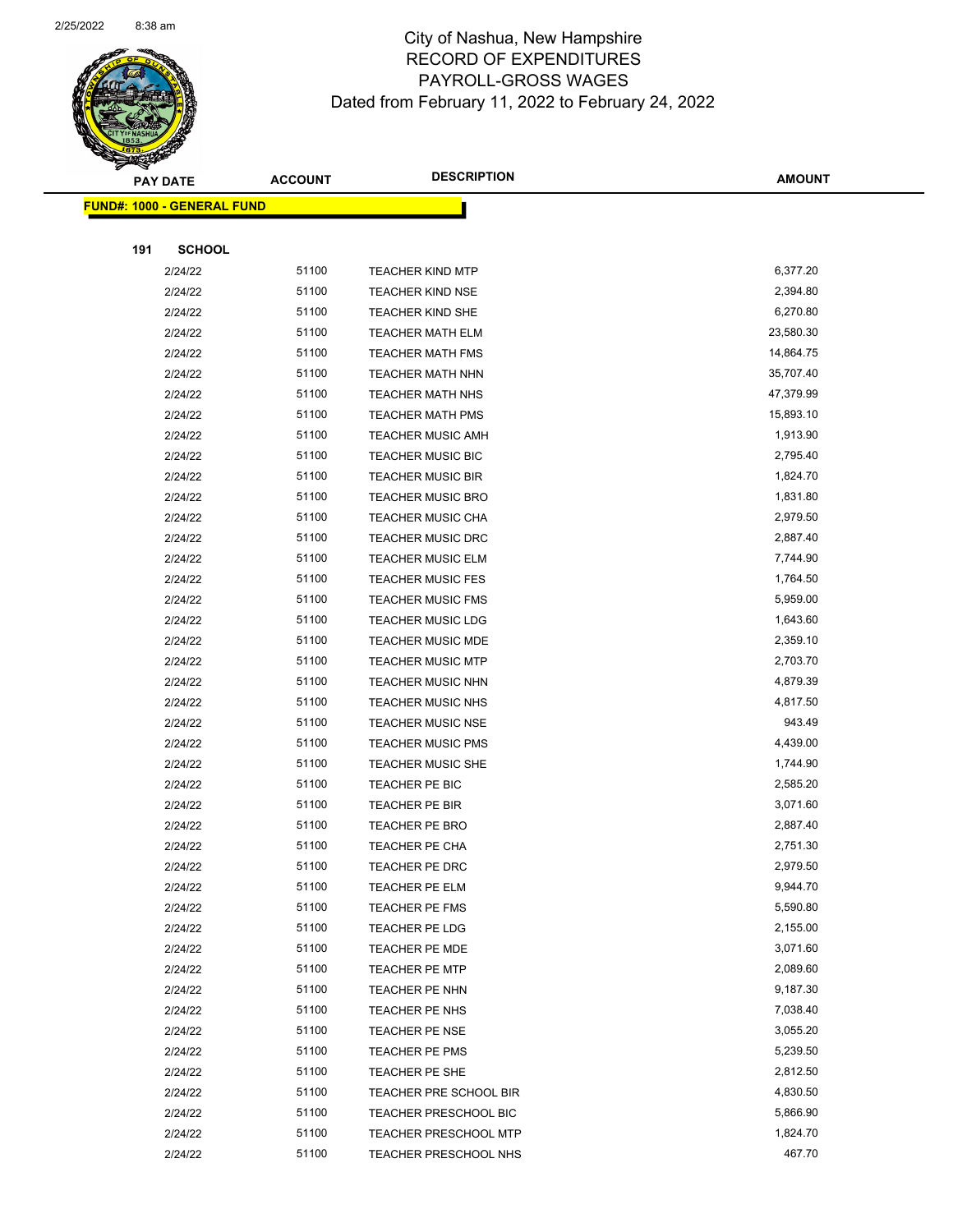

|     | <b>PAY DATE</b>                    | <b>ACCOUNT</b> | <b>DESCRIPTION</b>           | <b>AMOUNT</b> |
|-----|------------------------------------|----------------|------------------------------|---------------|
|     | <u> FUND#: 1000 - GENERAL FUND</u> |                |                              |               |
|     |                                    |                |                              |               |
| 191 | <b>SCHOOL</b>                      |                |                              |               |
|     | 2/24/22                            | 51100          | <b>TEACHER KIND MTP</b>      | 6,377.20      |
|     | 2/24/22                            | 51100          | <b>TEACHER KIND NSE</b>      | 2,394.80      |
|     | 2/24/22                            | 51100          | TEACHER KIND SHE             | 6,270.80      |
|     | 2/24/22                            | 51100          | <b>TEACHER MATH ELM</b>      | 23,580.30     |
|     | 2/24/22                            | 51100          | <b>TEACHER MATH FMS</b>      | 14,864.75     |
|     | 2/24/22                            | 51100          | <b>TEACHER MATH NHN</b>      | 35,707.40     |
|     | 2/24/22                            | 51100          | <b>TEACHER MATH NHS</b>      | 47,379.99     |
|     | 2/24/22                            | 51100          | <b>TEACHER MATH PMS</b>      | 15,893.10     |
|     | 2/24/22                            | 51100          | <b>TEACHER MUSIC AMH</b>     | 1,913.90      |
|     | 2/24/22                            | 51100          | TEACHER MUSIC BIC            | 2,795.40      |
|     | 2/24/22                            | 51100          | <b>TEACHER MUSIC BIR</b>     | 1,824.70      |
|     | 2/24/22                            | 51100          | TEACHER MUSIC BRO            | 1,831.80      |
|     | 2/24/22                            | 51100          | <b>TEACHER MUSIC CHA</b>     | 2,979.50      |
|     | 2/24/22                            | 51100          | <b>TEACHER MUSIC DRC</b>     | 2,887.40      |
|     | 2/24/22                            | 51100          | <b>TEACHER MUSIC ELM</b>     | 7,744.90      |
|     | 2/24/22                            | 51100          | <b>TEACHER MUSIC FES</b>     | 1,764.50      |
|     | 2/24/22                            | 51100          | <b>TEACHER MUSIC FMS</b>     | 5,959.00      |
|     | 2/24/22                            | 51100          | <b>TEACHER MUSIC LDG</b>     | 1,643.60      |
|     | 2/24/22                            | 51100          | <b>TEACHER MUSIC MDE</b>     | 2,359.10      |
|     | 2/24/22                            | 51100          | <b>TEACHER MUSIC MTP</b>     | 2,703.70      |
|     | 2/24/22                            | 51100          | <b>TEACHER MUSIC NHN</b>     | 4,879.39      |
|     | 2/24/22                            | 51100          | <b>TEACHER MUSIC NHS</b>     | 4,817.50      |
|     | 2/24/22                            | 51100          | <b>TEACHER MUSIC NSE</b>     | 943.49        |
|     | 2/24/22                            | 51100          | <b>TEACHER MUSIC PMS</b>     | 4,439.00      |
|     | 2/24/22                            | 51100          | TEACHER MUSIC SHE            | 1,744.90      |
|     | 2/24/22                            | 51100          | TEACHER PE BIC               | 2,585.20      |
|     | 2/24/22                            | 51100          | TEACHER PE BIR               | 3,071.60      |
|     | 2/24/22                            | 51100          | TEACHER PE BRO               | 2,887.40      |
|     | 2/24/22                            | 51100          | <b>TEACHER PE CHA</b>        | 2,751.30      |
|     | 2/24/22                            | 51100          | TEACHER PE DRC               | 2,979.50      |
|     | 2/24/22                            | 51100          | TEACHER PE ELM               | 9,944.70      |
|     | 2/24/22                            | 51100          | TEACHER PE FMS               | 5,590.80      |
|     | 2/24/22                            | 51100          | TEACHER PE LDG               | 2,155.00      |
|     | 2/24/22                            | 51100          | <b>TEACHER PE MDE</b>        | 3,071.60      |
|     | 2/24/22                            | 51100          | <b>TEACHER PE MTP</b>        | 2,089.60      |
|     | 2/24/22                            | 51100          | TEACHER PE NHN               | 9,187.30      |
|     | 2/24/22                            | 51100          | TEACHER PE NHS               | 7,038.40      |
|     | 2/24/22                            | 51100          | TEACHER PE NSE               | 3,055.20      |
|     | 2/24/22                            | 51100          | TEACHER PE PMS               | 5,239.50      |
|     | 2/24/22                            | 51100          | TEACHER PE SHE               | 2,812.50      |
|     | 2/24/22                            | 51100          | TEACHER PRE SCHOOL BIR       | 4,830.50      |
|     | 2/24/22                            | 51100          | <b>TEACHER PRESCHOOL BIC</b> | 5,866.90      |
|     | 2/24/22                            | 51100          | TEACHER PRESCHOOL MTP        | 1,824.70      |
|     | 2/24/22                            | 51100          | <b>TEACHER PRESCHOOL NHS</b> | 467.70        |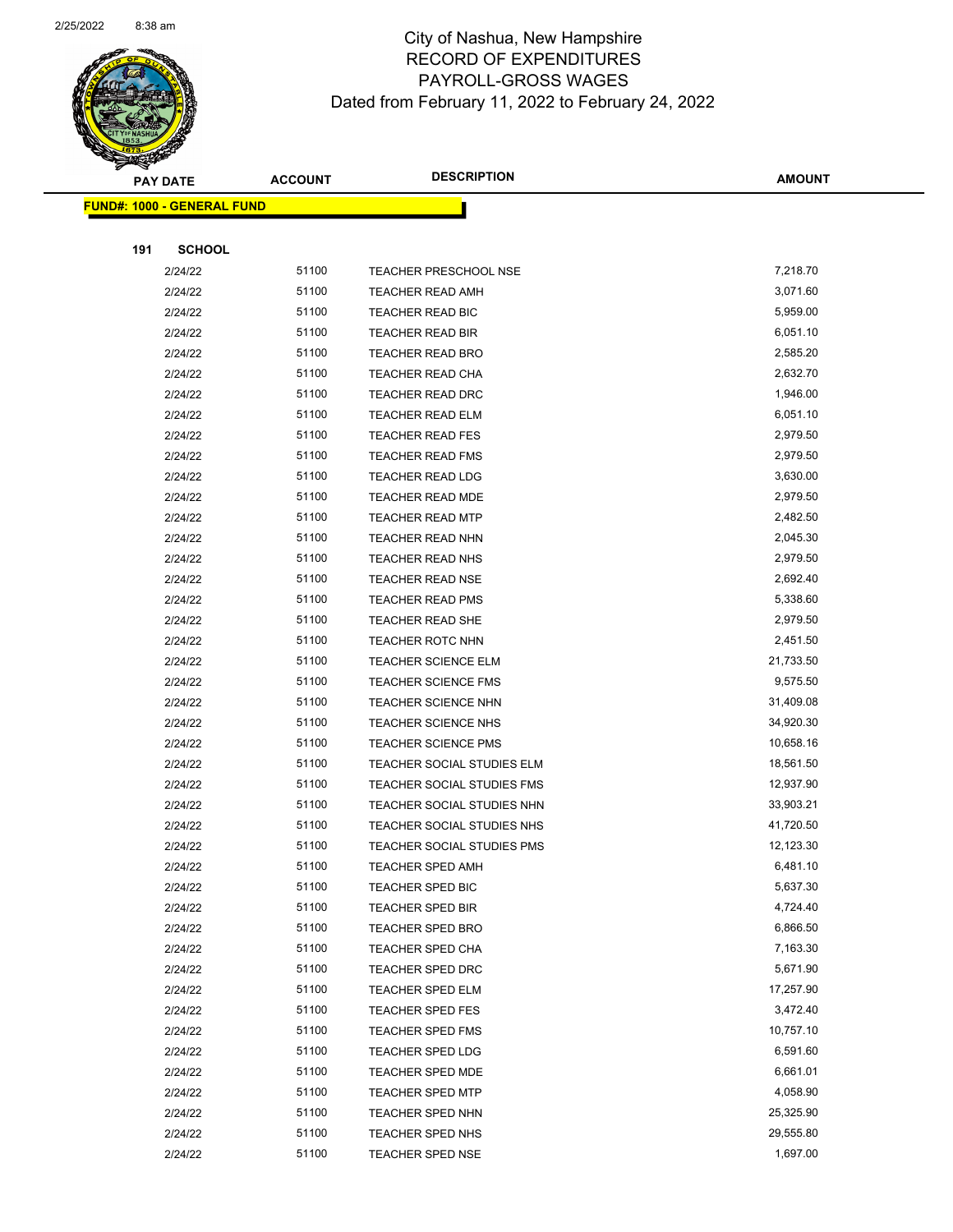

Page 78 of 104

|     | <b>PAY DATE</b>                    | <b>ACCOUNT</b> | <b>DESCRIPTION</b>           | <b>AMOUNT</b> |
|-----|------------------------------------|----------------|------------------------------|---------------|
|     | <u> FUND#: 1000 - GENERAL FUND</u> |                |                              |               |
|     |                                    |                |                              |               |
| 191 | <b>SCHOOL</b>                      |                |                              |               |
|     | 2/24/22                            | 51100          | <b>TEACHER PRESCHOOL NSE</b> | 7,218.70      |
|     | 2/24/22                            | 51100          | <b>TEACHER READ AMH</b>      | 3,071.60      |
|     | 2/24/22                            | 51100          | <b>TEACHER READ BIC</b>      | 5,959.00      |
|     | 2/24/22                            | 51100          | TEACHER READ BIR             | 6,051.10      |
|     | 2/24/22                            | 51100          | TEACHER READ BRO             | 2,585.20      |
|     | 2/24/22                            | 51100          | TEACHER READ CHA             | 2,632.70      |
|     | 2/24/22                            | 51100          | <b>TEACHER READ DRC</b>      | 1,946.00      |
|     | 2/24/22                            | 51100          | <b>TEACHER READ ELM</b>      | 6,051.10      |
|     | 2/24/22                            | 51100          | <b>TEACHER READ FES</b>      | 2,979.50      |
|     | 2/24/22                            | 51100          | TEACHER READ FMS             | 2,979.50      |
|     | 2/24/22                            | 51100          | <b>TEACHER READ LDG</b>      | 3,630.00      |
|     | 2/24/22                            | 51100          | <b>TEACHER READ MDE</b>      | 2,979.50      |
|     | 2/24/22                            | 51100          | <b>TEACHER READ MTP</b>      | 2,482.50      |
|     | 2/24/22                            | 51100          | <b>TEACHER READ NHN</b>      | 2,045.30      |
|     | 2/24/22                            | 51100          | <b>TEACHER READ NHS</b>      | 2,979.50      |
|     | 2/24/22                            | 51100          | <b>TEACHER READ NSE</b>      | 2,692.40      |
|     | 2/24/22                            | 51100          | <b>TEACHER READ PMS</b>      | 5,338.60      |
|     | 2/24/22                            | 51100          | <b>TEACHER READ SHE</b>      | 2,979.50      |
|     | 2/24/22                            | 51100          | <b>TEACHER ROTC NHN</b>      | 2,451.50      |
|     | 2/24/22                            | 51100          | <b>TEACHER SCIENCE ELM</b>   | 21,733.50     |
|     | 2/24/22                            | 51100          | <b>TEACHER SCIENCE FMS</b>   | 9,575.50      |
|     | 2/24/22                            | 51100          | <b>TEACHER SCIENCE NHN</b>   | 31,409.08     |
|     | 2/24/22                            | 51100          | <b>TEACHER SCIENCE NHS</b>   | 34,920.30     |
|     | 2/24/22                            | 51100          | <b>TEACHER SCIENCE PMS</b>   | 10,658.16     |
|     | 2/24/22                            | 51100          | TEACHER SOCIAL STUDIES ELM   | 18,561.50     |
|     | 2/24/22                            | 51100          | TEACHER SOCIAL STUDIES FMS   | 12,937.90     |
|     | 2/24/22                            | 51100          | TEACHER SOCIAL STUDIES NHN   | 33,903.21     |
|     | 2/24/22                            | 51100          | TEACHER SOCIAL STUDIES NHS   | 41,720.50     |
|     | 2/24/22                            | 51100          | TEACHER SOCIAL STUDIES PMS   | 12,123.30     |
|     | 2/24/22                            | 51100          | TEACHER SPED AMH             | 6,481.10      |
|     | 2/24/22                            | 51100          | TEACHER SPED BIC             | 5,637.30      |
|     | 2/24/22                            | 51100          | <b>TEACHER SPED BIR</b>      | 4,724.40      |
|     | 2/24/22                            | 51100          | <b>TEACHER SPED BRO</b>      | 6,866.50      |
|     | 2/24/22                            | 51100          | <b>TEACHER SPED CHA</b>      | 7,163.30      |
|     | 2/24/22                            | 51100          | TEACHER SPED DRC             | 5,671.90      |
|     | 2/24/22                            | 51100          | <b>TEACHER SPED ELM</b>      | 17,257.90     |
|     | 2/24/22                            | 51100          | <b>TEACHER SPED FES</b>      | 3,472.40      |
|     | 2/24/22                            | 51100          | TEACHER SPED FMS             | 10,757.10     |
|     | 2/24/22                            | 51100          | <b>TEACHER SPED LDG</b>      | 6,591.60      |
|     | 2/24/22                            | 51100          | <b>TEACHER SPED MDE</b>      | 6,661.01      |
|     | 2/24/22                            | 51100          | <b>TEACHER SPED MTP</b>      | 4,058.90      |
|     | 2/24/22                            | 51100          | <b>TEACHER SPED NHN</b>      | 25,325.90     |
|     | 2/24/22                            | 51100          | <b>TEACHER SPED NHS</b>      | 29,555.80     |
|     | 2/24/22                            | 51100          | <b>TEACHER SPED NSE</b>      | 1,697.00      |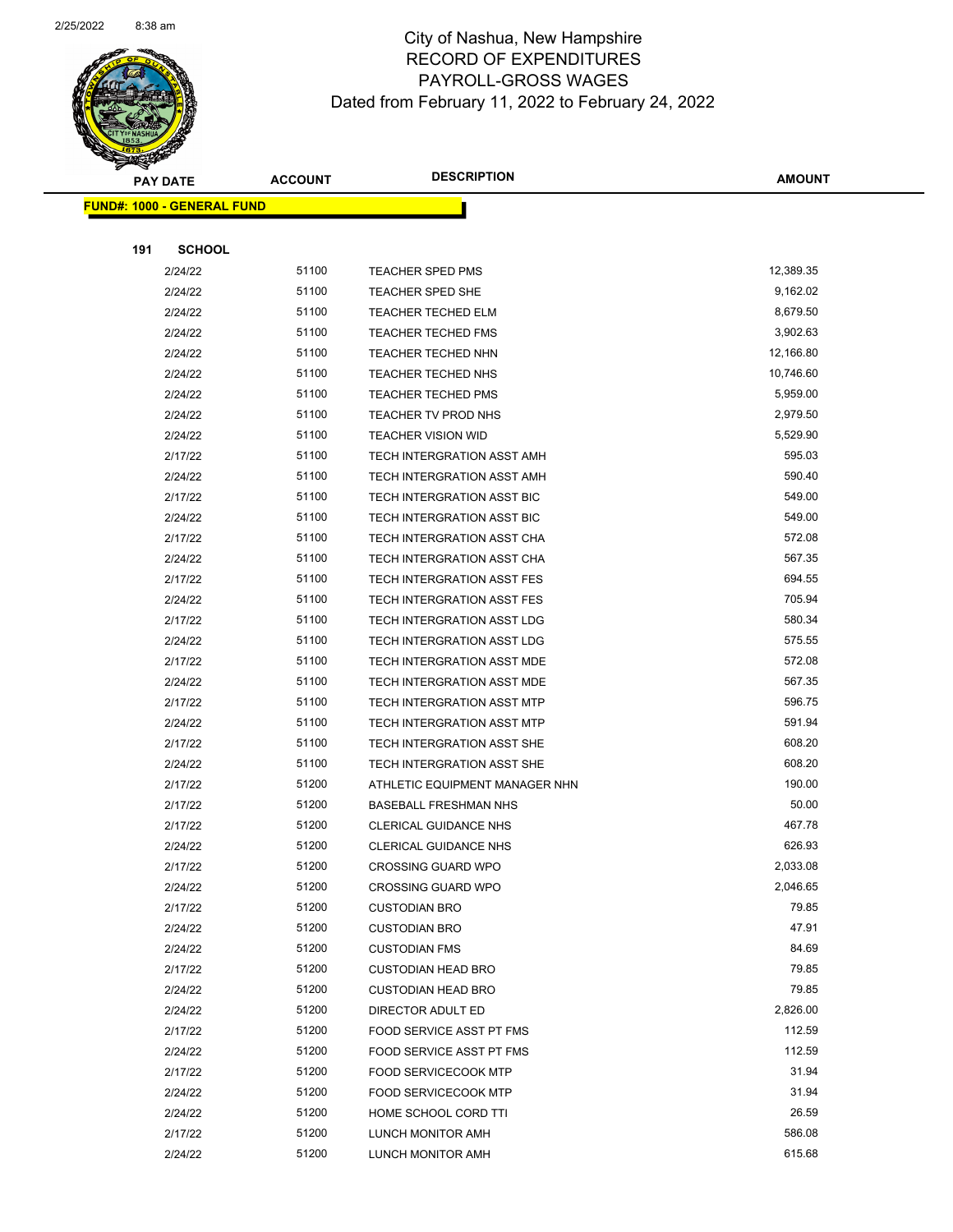

Page 79 of 104

|     | <b>PAY DATE</b>                    | <b>ACCOUNT</b> | <b>DESCRIPTION</b>                | <b>AMOUNT</b> |
|-----|------------------------------------|----------------|-----------------------------------|---------------|
|     | <u> FUND#: 1000 - GENERAL FUND</u> |                |                                   |               |
|     |                                    |                |                                   |               |
| 191 | <b>SCHOOL</b>                      |                |                                   |               |
|     | 2/24/22                            | 51100          | TEACHER SPED PMS                  | 12,389.35     |
|     | 2/24/22                            | 51100          | TEACHER SPED SHE                  | 9,162.02      |
|     | 2/24/22                            | 51100          | <b>TEACHER TECHED ELM</b>         | 8,679.50      |
|     | 2/24/22                            | 51100          | <b>TEACHER TECHED FMS</b>         | 3,902.63      |
|     | 2/24/22                            | 51100          | <b>TEACHER TECHED NHN</b>         | 12,166.80     |
|     | 2/24/22                            | 51100          | <b>TEACHER TECHED NHS</b>         | 10,746.60     |
|     | 2/24/22                            | 51100          | <b>TEACHER TECHED PMS</b>         | 5,959.00      |
|     | 2/24/22                            | 51100          | TEACHER TV PROD NHS               | 2,979.50      |
|     | 2/24/22                            | 51100          | <b>TEACHER VISION WID</b>         | 5,529.90      |
|     | 2/17/22                            | 51100          | TECH INTERGRATION ASST AMH        | 595.03        |
|     | 2/24/22                            | 51100          | TECH INTERGRATION ASST AMH        | 590.40        |
|     | 2/17/22                            | 51100          | TECH INTERGRATION ASST BIC        | 549.00        |
|     | 2/24/22                            | 51100          | TECH INTERGRATION ASST BIC        | 549.00        |
|     | 2/17/22                            | 51100          | TECH INTERGRATION ASST CHA        | 572.08        |
|     | 2/24/22                            | 51100          | TECH INTERGRATION ASST CHA        | 567.35        |
|     | 2/17/22                            | 51100          | TECH INTERGRATION ASST FES        | 694.55        |
|     | 2/24/22                            | 51100          | TECH INTERGRATION ASST FES        | 705.94        |
|     | 2/17/22                            | 51100          | TECH INTERGRATION ASST LDG        | 580.34        |
|     | 2/24/22                            | 51100          | TECH INTERGRATION ASST LDG        | 575.55        |
|     | 2/17/22                            | 51100          | TECH INTERGRATION ASST MDE        | 572.08        |
|     | 2/24/22                            | 51100          | TECH INTERGRATION ASST MDE        | 567.35        |
|     | 2/17/22                            | 51100          | <b>TECH INTERGRATION ASST MTP</b> | 596.75        |
|     | 2/24/22                            | 51100          | <b>TECH INTERGRATION ASST MTP</b> | 591.94        |
|     | 2/17/22                            | 51100          | TECH INTERGRATION ASST SHE        | 608.20        |
|     | 2/24/22                            | 51100          | TECH INTERGRATION ASST SHE        | 608.20        |
|     | 2/17/22                            | 51200          | ATHLETIC EQUIPMENT MANAGER NHN    | 190.00        |
|     | 2/17/22                            | 51200          | <b>BASEBALL FRESHMAN NHS</b>      | 50.00         |
|     | 2/17/22                            | 51200          | <b>CLERICAL GUIDANCE NHS</b>      | 467.78        |
|     | 2/24/22                            | 51200          | <b>CLERICAL GUIDANCE NHS</b>      | 626.93        |
|     | 2/17/22                            | 51200          | <b>CROSSING GUARD WPO</b>         | 2,033.08      |
|     | 2/24/22                            | 51200          | <b>CROSSING GUARD WPO</b>         | 2,046.65      |
|     | 2/17/22                            | 51200          | <b>CUSTODIAN BRO</b>              | 79.85         |
|     | 2/24/22                            | 51200          | <b>CUSTODIAN BRO</b>              | 47.91         |
|     | 2/24/22                            | 51200          | <b>CUSTODIAN FMS</b>              | 84.69         |
|     | 2/17/22                            | 51200          | <b>CUSTODIAN HEAD BRO</b>         | 79.85         |
|     | 2/24/22                            | 51200          | <b>CUSTODIAN HEAD BRO</b>         | 79.85         |
|     | 2/24/22                            | 51200          | DIRECTOR ADULT ED                 | 2,826.00      |
|     | 2/17/22                            | 51200          | FOOD SERVICE ASST PT FMS          | 112.59        |
|     | 2/24/22                            | 51200          | FOOD SERVICE ASST PT FMS          | 112.59        |
|     | 2/17/22                            | 51200          | <b>FOOD SERVICECOOK MTP</b>       | 31.94         |
|     | 2/24/22                            | 51200          | <b>FOOD SERVICECOOK MTP</b>       | 31.94         |
|     | 2/24/22                            | 51200          | HOME SCHOOL CORD TTI              | 26.59         |
|     | 2/17/22                            | 51200          | LUNCH MONITOR AMH                 | 586.08        |
|     | 2/24/22                            | 51200          | LUNCH MONITOR AMH                 | 615.68        |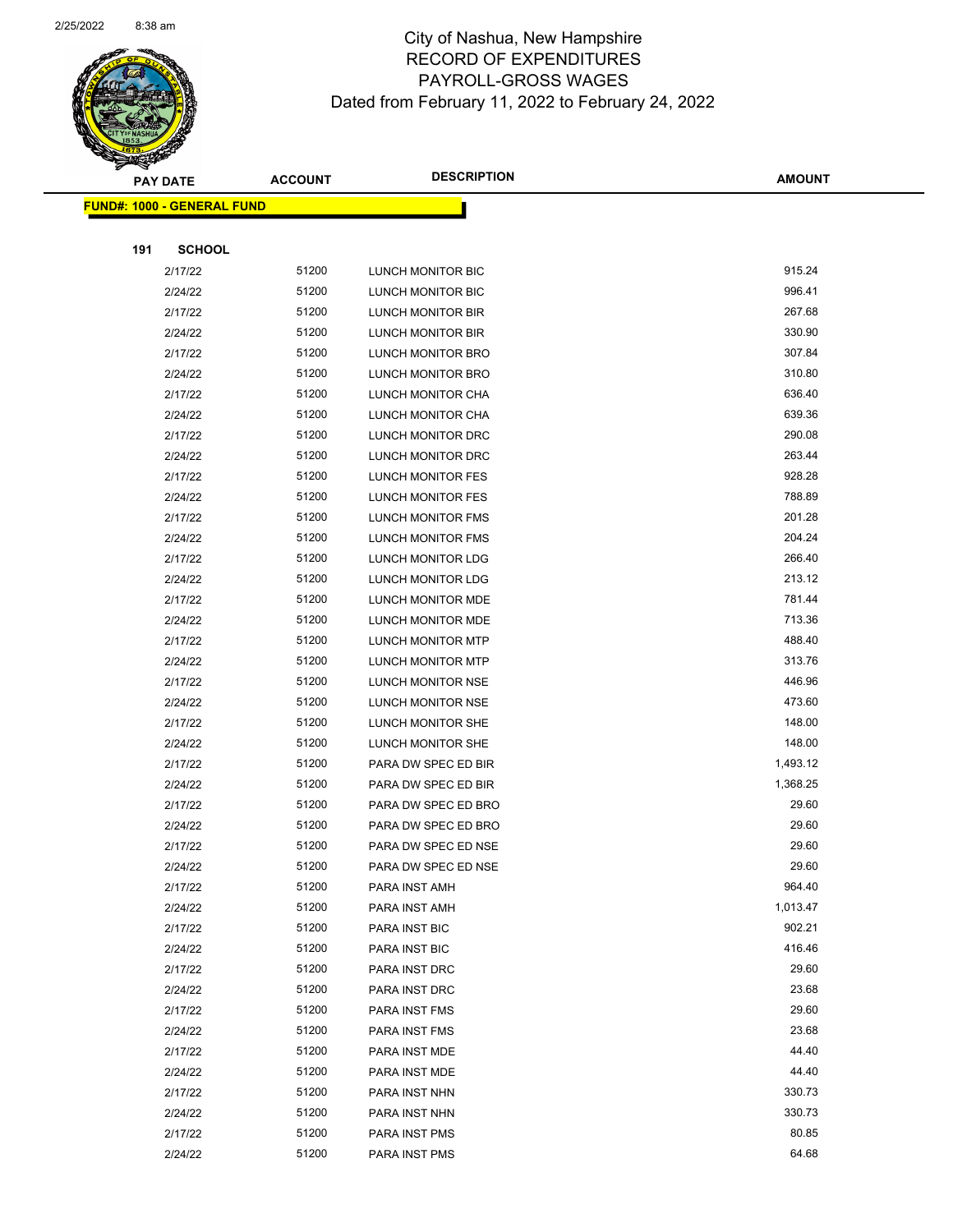

Page 80 of 104

|     | <b>PAY DATE</b>                   | <b>ACCOUNT</b> | <b>DESCRIPTION</b>       | <b>AMOUNT</b> |  |
|-----|-----------------------------------|----------------|--------------------------|---------------|--|
|     | <b>FUND#: 1000 - GENERAL FUND</b> |                |                          |               |  |
|     |                                   |                |                          |               |  |
| 191 | <b>SCHOOL</b>                     |                |                          |               |  |
|     | 2/17/22                           | 51200          | LUNCH MONITOR BIC        | 915.24        |  |
|     | 2/24/22                           | 51200          | LUNCH MONITOR BIC        | 996.41        |  |
|     | 2/17/22                           | 51200          | LUNCH MONITOR BIR        | 267.68        |  |
|     | 2/24/22                           | 51200          | LUNCH MONITOR BIR        | 330.90        |  |
|     | 2/17/22                           | 51200          | LUNCH MONITOR BRO        | 307.84        |  |
|     | 2/24/22                           | 51200          | LUNCH MONITOR BRO        | 310.80        |  |
|     | 2/17/22                           | 51200          | LUNCH MONITOR CHA        | 636.40        |  |
|     | 2/24/22                           | 51200          | LUNCH MONITOR CHA        | 639.36        |  |
|     | 2/17/22                           | 51200          | LUNCH MONITOR DRC        | 290.08        |  |
|     | 2/24/22                           | 51200          | LUNCH MONITOR DRC        | 263.44        |  |
|     | 2/17/22                           | 51200          | LUNCH MONITOR FES        | 928.28        |  |
|     | 2/24/22                           | 51200          | <b>LUNCH MONITOR FES</b> | 788.89        |  |
|     | 2/17/22                           | 51200          | LUNCH MONITOR FMS        | 201.28        |  |
|     | 2/24/22                           | 51200          | LUNCH MONITOR FMS        | 204.24        |  |
|     | 2/17/22                           | 51200          | LUNCH MONITOR LDG        | 266.40        |  |
|     | 2/24/22                           | 51200          | LUNCH MONITOR LDG        | 213.12        |  |
|     | 2/17/22                           | 51200          | LUNCH MONITOR MDE        | 781.44        |  |
|     | 2/24/22                           | 51200          | LUNCH MONITOR MDE        | 713.36        |  |
|     | 2/17/22                           | 51200          | LUNCH MONITOR MTP        | 488.40        |  |
|     | 2/24/22                           | 51200          | LUNCH MONITOR MTP        | 313.76        |  |
|     | 2/17/22                           | 51200          | LUNCH MONITOR NSE        | 446.96        |  |
|     | 2/24/22                           | 51200          | LUNCH MONITOR NSE        | 473.60        |  |
|     | 2/17/22                           | 51200          | LUNCH MONITOR SHE        | 148.00        |  |
|     | 2/24/22                           | 51200          | LUNCH MONITOR SHE        | 148.00        |  |
|     | 2/17/22                           | 51200          | PARA DW SPEC ED BIR      | 1,493.12      |  |
|     | 2/24/22                           | 51200          | PARA DW SPEC ED BIR      | 1,368.25      |  |
|     | 2/17/22                           | 51200          | PARA DW SPEC ED BRO      | 29.60         |  |
|     | 2/24/22                           | 51200          | PARA DW SPEC ED BRO      | 29.60         |  |
|     | 2/17/22                           | 51200          | PARA DW SPEC ED NSE      | 29.60         |  |
|     | 2/24/22                           | 51200          | PARA DW SPEC ED NSE      | 29.60         |  |
|     | 2/17/22                           | 51200          | PARA INST AMH            | 964.40        |  |
|     | 2/24/22                           | 51200          | PARA INST AMH            | 1,013.47      |  |
|     | 2/17/22                           | 51200          | PARA INST BIC            | 902.21        |  |
|     | 2/24/22                           | 51200          | PARA INST BIC            | 416.46        |  |
|     | 2/17/22                           | 51200          | PARA INST DRC            | 29.60         |  |
|     | 2/24/22                           | 51200          | PARA INST DRC            | 23.68         |  |
|     | 2/17/22                           | 51200          | PARA INST FMS            | 29.60         |  |
|     | 2/24/22                           | 51200          | PARA INST FMS            | 23.68         |  |
|     | 2/17/22                           | 51200          | PARA INST MDE            | 44.40         |  |
|     | 2/24/22                           | 51200          | PARA INST MDE            | 44.40         |  |
|     | 2/17/22                           | 51200          | PARA INST NHN            | 330.73        |  |
|     | 2/24/22                           | 51200          | PARA INST NHN            | 330.73        |  |
|     | 2/17/22                           | 51200          | PARA INST PMS            | 80.85         |  |
|     | 2/24/22                           | 51200          | PARA INST PMS            | 64.68         |  |
|     |                                   |                |                          |               |  |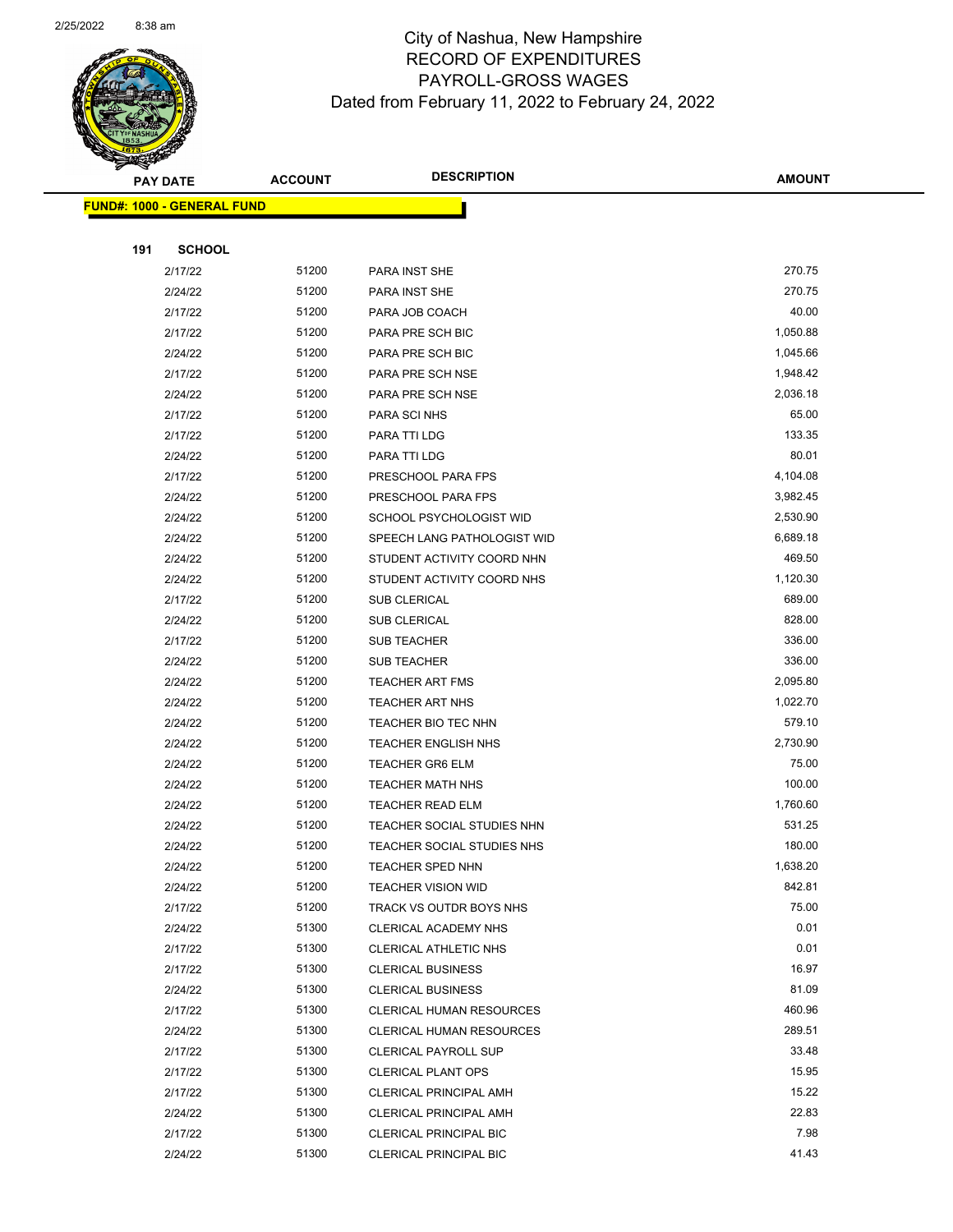

Page 81 of 104

 $\overline{\phantom{0}}$ 

|     | <b>PAY DATE</b>                    | <b>ACCOUNT</b> | <b>DESCRIPTION</b>              | <b>AMOUNT</b> |
|-----|------------------------------------|----------------|---------------------------------|---------------|
|     | <u> FUND#: 1000 - GENERAL FUND</u> |                |                                 |               |
|     |                                    |                |                                 |               |
| 191 | <b>SCHOOL</b>                      |                |                                 |               |
|     | 2/17/22                            | 51200          | PARA INST SHE                   | 270.75        |
|     | 2/24/22                            | 51200          | PARA INST SHE                   | 270.75        |
|     | 2/17/22                            | 51200          | PARA JOB COACH                  | 40.00         |
|     | 2/17/22                            | 51200          | PARA PRE SCH BIC                | 1,050.88      |
|     | 2/24/22                            | 51200          | PARA PRE SCH BIC                | 1,045.66      |
|     | 2/17/22                            | 51200          | PARA PRE SCH NSE                | 1,948.42      |
|     | 2/24/22                            | 51200          | PARA PRE SCH NSE                | 2,036.18      |
|     | 2/17/22                            | 51200          | PARA SCI NHS                    | 65.00         |
|     | 2/17/22                            | 51200          | PARA TTI LDG                    | 133.35        |
|     | 2/24/22                            | 51200          | PARA TTI LDG                    | 80.01         |
|     | 2/17/22                            | 51200          | PRESCHOOL PARA FPS              | 4,104.08      |
|     | 2/24/22                            | 51200          | PRESCHOOL PARA FPS              | 3,982.45      |
|     | 2/24/22                            | 51200          | SCHOOL PSYCHOLOGIST WID         | 2,530.90      |
|     | 2/24/22                            | 51200          | SPEECH LANG PATHOLOGIST WID     | 6,689.18      |
|     | 2/24/22                            | 51200          | STUDENT ACTIVITY COORD NHN      | 469.50        |
|     | 2/24/22                            | 51200          | STUDENT ACTIVITY COORD NHS      | 1,120.30      |
|     | 2/17/22                            | 51200          | <b>SUB CLERICAL</b>             | 689.00        |
|     | 2/24/22                            | 51200          | <b>SUB CLERICAL</b>             | 828.00        |
|     | 2/17/22                            | 51200          | SUB TEACHER                     | 336.00        |
|     | 2/24/22                            | 51200          | <b>SUB TEACHER</b>              | 336.00        |
|     | 2/24/22                            | 51200          | <b>TEACHER ART FMS</b>          | 2,095.80      |
|     | 2/24/22                            | 51200          | <b>TEACHER ART NHS</b>          | 1,022.70      |
|     | 2/24/22                            | 51200          | TEACHER BIO TEC NHN             | 579.10        |
|     | 2/24/22                            | 51200          | <b>TEACHER ENGLISH NHS</b>      | 2,730.90      |
|     | 2/24/22                            | 51200          | <b>TEACHER GR6 ELM</b>          | 75.00         |
|     | 2/24/22                            | 51200          | <b>TEACHER MATH NHS</b>         | 100.00        |
|     | 2/24/22                            | 51200          | TEACHER READ ELM                | 1,760.60      |
|     | 2/24/22                            | 51200          | TEACHER SOCIAL STUDIES NHN      | 531.25        |
|     | 2/24/22                            | 51200          | TEACHER SOCIAL STUDIES NHS      | 180.00        |
|     | 2/24/22                            | 51200          | TEACHER SPED NHN                | 1,638.20      |
|     | 2/24/22                            | 51200          | <b>TEACHER VISION WID</b>       | 842.81        |
|     | 2/17/22                            | 51200          | TRACK VS OUTDR BOYS NHS         | 75.00         |
|     | 2/24/22                            | 51300          | CLERICAL ACADEMY NHS            | 0.01          |
|     | 2/17/22                            | 51300          | CLERICAL ATHLETIC NHS           | 0.01          |
|     | 2/17/22                            | 51300          | <b>CLERICAL BUSINESS</b>        | 16.97         |
|     | 2/24/22                            | 51300          | <b>CLERICAL BUSINESS</b>        | 81.09         |
|     | 2/17/22                            | 51300          | <b>CLERICAL HUMAN RESOURCES</b> | 460.96        |
|     | 2/24/22                            | 51300          | CLERICAL HUMAN RESOURCES        | 289.51        |
|     | 2/17/22                            | 51300          | <b>CLERICAL PAYROLL SUP</b>     | 33.48         |
|     | 2/17/22                            | 51300          | <b>CLERICAL PLANT OPS</b>       | 15.95         |
|     | 2/17/22                            | 51300          | <b>CLERICAL PRINCIPAL AMH</b>   | 15.22         |
|     | 2/24/22                            | 51300          | <b>CLERICAL PRINCIPAL AMH</b>   | 22.83         |
|     | 2/17/22                            | 51300          | CLERICAL PRINCIPAL BIC          | 7.98          |
|     | 2/24/22                            | 51300          | <b>CLERICAL PRINCIPAL BIC</b>   | 41.43         |
|     |                                    |                |                                 |               |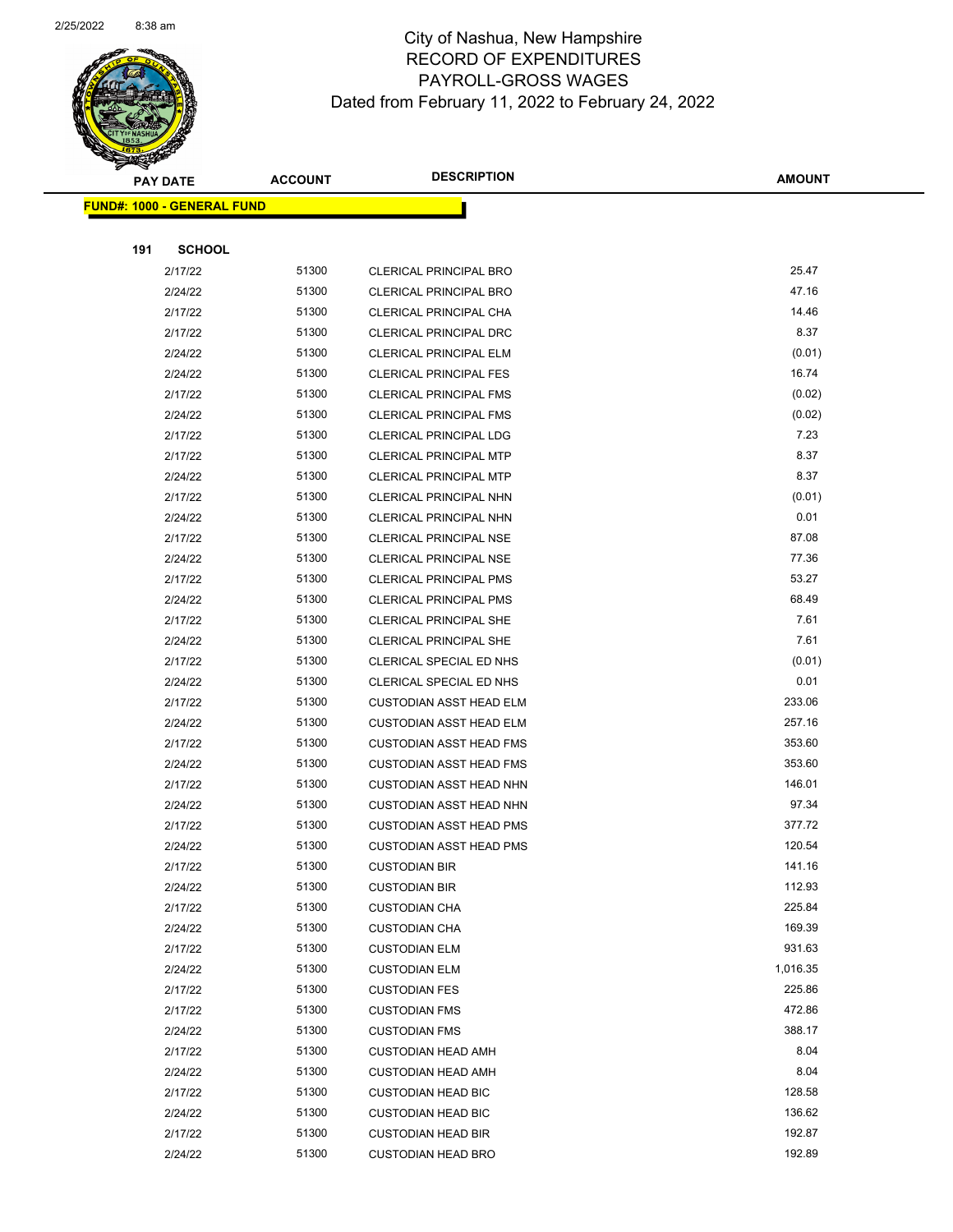

Page 82 of 104

|     | <b>PAY DATE</b>            | <b>ACCOUNT</b> | <b>DESCRIPTION</b>             | <b>AMOUNT</b> |
|-----|----------------------------|----------------|--------------------------------|---------------|
|     | FUND#: 1000 - GENERAL FUND |                |                                |               |
|     |                            |                |                                |               |
| 191 | <b>SCHOOL</b>              |                |                                |               |
|     | 2/17/22                    | 51300          | <b>CLERICAL PRINCIPAL BRO</b>  | 25.47         |
|     | 2/24/22                    | 51300          | <b>CLERICAL PRINCIPAL BRO</b>  | 47.16         |
|     | 2/17/22                    | 51300          | CLERICAL PRINCIPAL CHA         | 14.46         |
|     | 2/17/22                    | 51300          | CLERICAL PRINCIPAL DRC         | 8.37          |
|     | 2/24/22                    | 51300          | <b>CLERICAL PRINCIPAL ELM</b>  | (0.01)        |
|     | 2/24/22                    | 51300          | <b>CLERICAL PRINCIPAL FES</b>  | 16.74         |
|     | 2/17/22                    | 51300          | <b>CLERICAL PRINCIPAL FMS</b>  | (0.02)        |
|     | 2/24/22                    | 51300          | <b>CLERICAL PRINCIPAL FMS</b>  | (0.02)        |
|     | 2/17/22                    | 51300          | <b>CLERICAL PRINCIPAL LDG</b>  | 7.23          |
|     | 2/17/22                    | 51300          | <b>CLERICAL PRINCIPAL MTP</b>  | 8.37          |
|     | 2/24/22                    | 51300          | CLERICAL PRINCIPAL MTP         | 8.37          |
|     | 2/17/22                    | 51300          | <b>CLERICAL PRINCIPAL NHN</b>  | (0.01)        |
|     | 2/24/22                    | 51300          | CLERICAL PRINCIPAL NHN         | 0.01          |
|     | 2/17/22                    | 51300          | <b>CLERICAL PRINCIPAL NSE</b>  | 87.08         |
|     | 2/24/22                    | 51300          | <b>CLERICAL PRINCIPAL NSE</b>  | 77.36         |
|     | 2/17/22                    | 51300          | <b>CLERICAL PRINCIPAL PMS</b>  | 53.27         |
|     | 2/24/22                    | 51300          | <b>CLERICAL PRINCIPAL PMS</b>  | 68.49         |
|     | 2/17/22                    | 51300          | <b>CLERICAL PRINCIPAL SHE</b>  | 7.61          |
|     | 2/24/22                    | 51300          | <b>CLERICAL PRINCIPAL SHE</b>  | 7.61          |
|     | 2/17/22                    | 51300          | CLERICAL SPECIAL ED NHS        | (0.01)        |
|     | 2/24/22                    | 51300          | CLERICAL SPECIAL ED NHS        | 0.01          |
|     | 2/17/22                    | 51300          | <b>CUSTODIAN ASST HEAD ELM</b> | 233.06        |
|     | 2/24/22                    | 51300          | <b>CUSTODIAN ASST HEAD ELM</b> | 257.16        |
|     | 2/17/22                    | 51300          | <b>CUSTODIAN ASST HEAD FMS</b> | 353.60        |
|     | 2/24/22                    | 51300          | <b>CUSTODIAN ASST HEAD FMS</b> | 353.60        |
|     | 2/17/22                    | 51300          | <b>CUSTODIAN ASST HEAD NHN</b> | 146.01        |
|     | 2/24/22                    | 51300          | <b>CUSTODIAN ASST HEAD NHN</b> | 97.34         |
|     | 2/17/22                    | 51300          | <b>CUSTODIAN ASST HEAD PMS</b> | 377.72        |
|     | 2/24/22                    | 51300          | <b>CUSTODIAN ASST HEAD PMS</b> | 120.54        |
|     | 2/17/22                    | 51300          | <b>CUSTODIAN BIR</b>           | 141.16        |
|     | 2/24/22                    | 51300          | <b>CUSTODIAN BIR</b>           | 112.93        |
|     | 2/17/22                    | 51300          | <b>CUSTODIAN CHA</b>           | 225.84        |
|     | 2/24/22                    | 51300          | <b>CUSTODIAN CHA</b>           | 169.39        |
|     | 2/17/22                    | 51300          | <b>CUSTODIAN ELM</b>           | 931.63        |
|     | 2/24/22                    | 51300          | <b>CUSTODIAN ELM</b>           | 1,016.35      |
|     | 2/17/22                    | 51300          | <b>CUSTODIAN FES</b>           | 225.86        |
|     | 2/17/22                    | 51300          | <b>CUSTODIAN FMS</b>           | 472.86        |
|     | 2/24/22                    | 51300          | <b>CUSTODIAN FMS</b>           | 388.17        |
|     | 2/17/22                    | 51300          | <b>CUSTODIAN HEAD AMH</b>      | 8.04          |
|     | 2/24/22                    | 51300          | <b>CUSTODIAN HEAD AMH</b>      | 8.04          |
|     | 2/17/22                    | 51300          | <b>CUSTODIAN HEAD BIC</b>      | 128.58        |
|     | 2/24/22                    | 51300          | <b>CUSTODIAN HEAD BIC</b>      | 136.62        |
|     | 2/17/22                    | 51300          | <b>CUSTODIAN HEAD BIR</b>      | 192.87        |
|     | 2/24/22                    | 51300          | <b>CUSTODIAN HEAD BRO</b>      | 192.89        |
|     |                            |                |                                |               |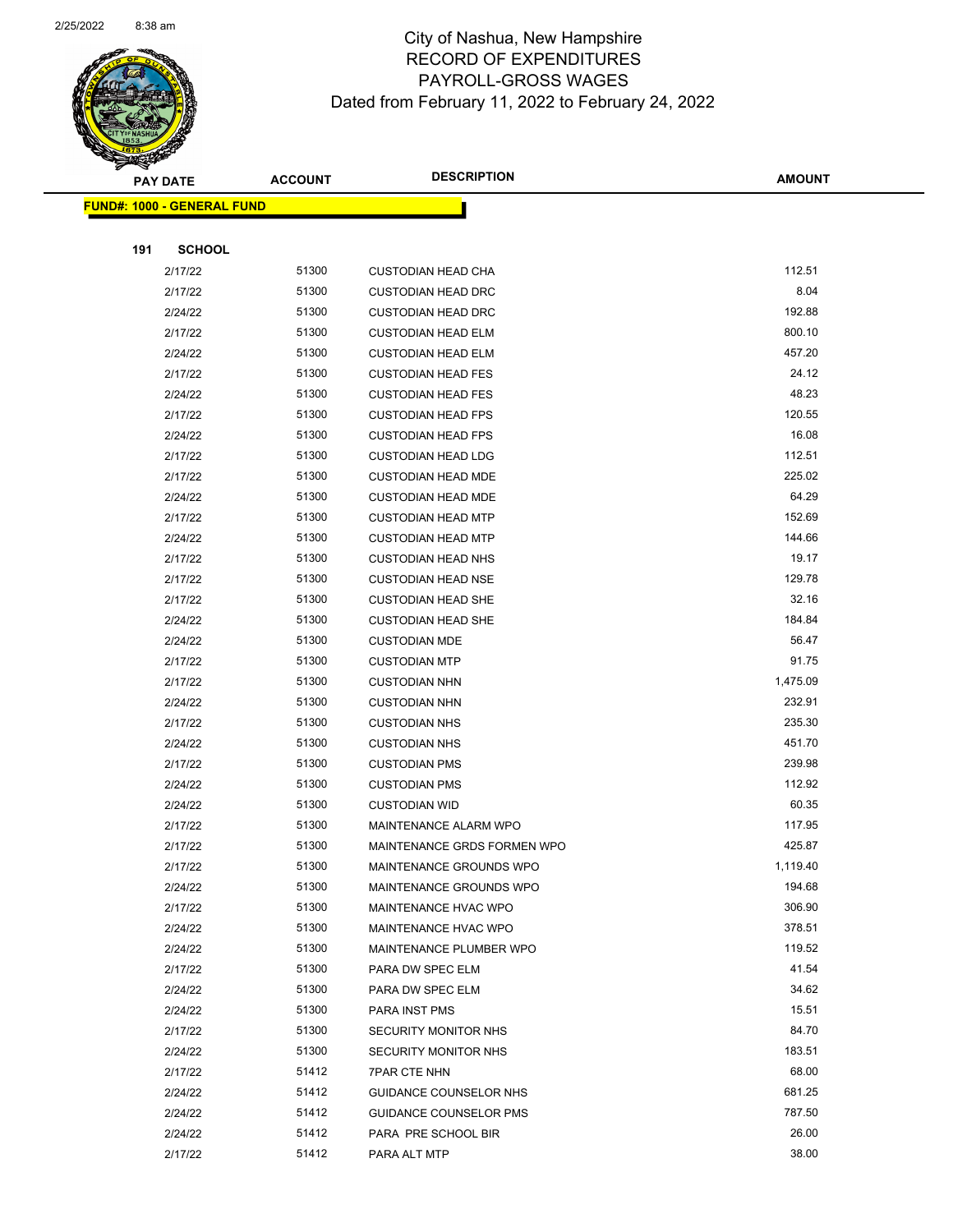

Page 83 of 104

|     | <b>PAY DATE</b>                    | <b>ACCOUNT</b> | <b>DESCRIPTION</b>            | <b>AMOUNT</b> |
|-----|------------------------------------|----------------|-------------------------------|---------------|
|     | <u> FUND#: 1000 - GENERAL FUND</u> |                |                               |               |
|     |                                    |                |                               |               |
| 191 | <b>SCHOOL</b>                      |                |                               |               |
|     | 2/17/22                            | 51300          | <b>CUSTODIAN HEAD CHA</b>     | 112.51        |
|     | 2/17/22                            | 51300          | <b>CUSTODIAN HEAD DRC</b>     | 8.04          |
|     | 2/24/22                            | 51300          | <b>CUSTODIAN HEAD DRC</b>     | 192.88        |
|     | 2/17/22                            | 51300          | <b>CUSTODIAN HEAD ELM</b>     | 800.10        |
|     | 2/24/22                            | 51300          | <b>CUSTODIAN HEAD ELM</b>     | 457.20        |
|     | 2/17/22                            | 51300          | <b>CUSTODIAN HEAD FES</b>     | 24.12         |
|     | 2/24/22                            | 51300          | <b>CUSTODIAN HEAD FES</b>     | 48.23         |
|     | 2/17/22                            | 51300          | <b>CUSTODIAN HEAD FPS</b>     | 120.55        |
|     | 2/24/22                            | 51300          | <b>CUSTODIAN HEAD FPS</b>     | 16.08         |
|     | 2/17/22                            | 51300          | <b>CUSTODIAN HEAD LDG</b>     | 112.51        |
|     | 2/17/22                            | 51300          | <b>CUSTODIAN HEAD MDE</b>     | 225.02        |
|     | 2/24/22                            | 51300          | <b>CUSTODIAN HEAD MDE</b>     | 64.29         |
|     | 2/17/22                            | 51300          | <b>CUSTODIAN HEAD MTP</b>     | 152.69        |
|     | 2/24/22                            | 51300          | <b>CUSTODIAN HEAD MTP</b>     | 144.66        |
|     | 2/17/22                            | 51300          | <b>CUSTODIAN HEAD NHS</b>     | 19.17         |
|     | 2/17/22                            | 51300          | <b>CUSTODIAN HEAD NSE</b>     | 129.78        |
|     | 2/17/22                            | 51300          | <b>CUSTODIAN HEAD SHE</b>     | 32.16         |
|     | 2/24/22                            | 51300          | <b>CUSTODIAN HEAD SHE</b>     | 184.84        |
|     | 2/24/22                            | 51300          | <b>CUSTODIAN MDE</b>          | 56.47         |
|     | 2/17/22                            | 51300          | <b>CUSTODIAN MTP</b>          | 91.75         |
|     | 2/17/22                            | 51300          | <b>CUSTODIAN NHN</b>          | 1,475.09      |
|     | 2/24/22                            | 51300          | <b>CUSTODIAN NHN</b>          | 232.91        |
|     | 2/17/22                            | 51300          | <b>CUSTODIAN NHS</b>          | 235.30        |
|     | 2/24/22                            | 51300          | <b>CUSTODIAN NHS</b>          | 451.70        |
|     | 2/17/22                            | 51300          | <b>CUSTODIAN PMS</b>          | 239.98        |
|     | 2/24/22                            | 51300          | <b>CUSTODIAN PMS</b>          | 112.92        |
|     | 2/24/22                            | 51300          | <b>CUSTODIAN WID</b>          | 60.35         |
|     | 2/17/22                            | 51300          | MAINTENANCE ALARM WPO         | 117.95        |
|     | 2/17/22                            | 51300          | MAINTENANCE GRDS FORMEN WPO   | 425.87        |
|     | 2/17/22                            | 51300          | MAINTENANCE GROUNDS WPO       | 1,119.40      |
|     | 2/24/22                            | 51300          | MAINTENANCE GROUNDS WPO       | 194.68        |
|     | 2/17/22                            | 51300          | MAINTENANCE HVAC WPO          | 306.90        |
|     | 2/24/22                            | 51300          | MAINTENANCE HVAC WPO          | 378.51        |
|     | 2/24/22                            | 51300          | MAINTENANCE PLUMBER WPO       | 119.52        |
|     | 2/17/22                            | 51300          | PARA DW SPEC ELM              | 41.54         |
|     | 2/24/22                            | 51300          | PARA DW SPEC ELM              | 34.62         |
|     | 2/24/22                            | 51300          | PARA INST PMS                 | 15.51         |
|     | 2/17/22                            | 51300          | SECURITY MONITOR NHS          | 84.70         |
|     | 2/24/22                            | 51300          | <b>SECURITY MONITOR NHS</b>   | 183.51        |
|     | 2/17/22                            | 51412          | <b>7PAR CTE NHN</b>           | 68.00         |
|     | 2/24/22                            | 51412          | GUIDANCE COUNSELOR NHS        | 681.25        |
|     | 2/24/22                            | 51412          | <b>GUIDANCE COUNSELOR PMS</b> | 787.50        |
|     | 2/24/22                            | 51412          | PARA PRE SCHOOL BIR           | 26.00         |
|     | 2/17/22                            | 51412          | PARA ALT MTP                  | 38.00         |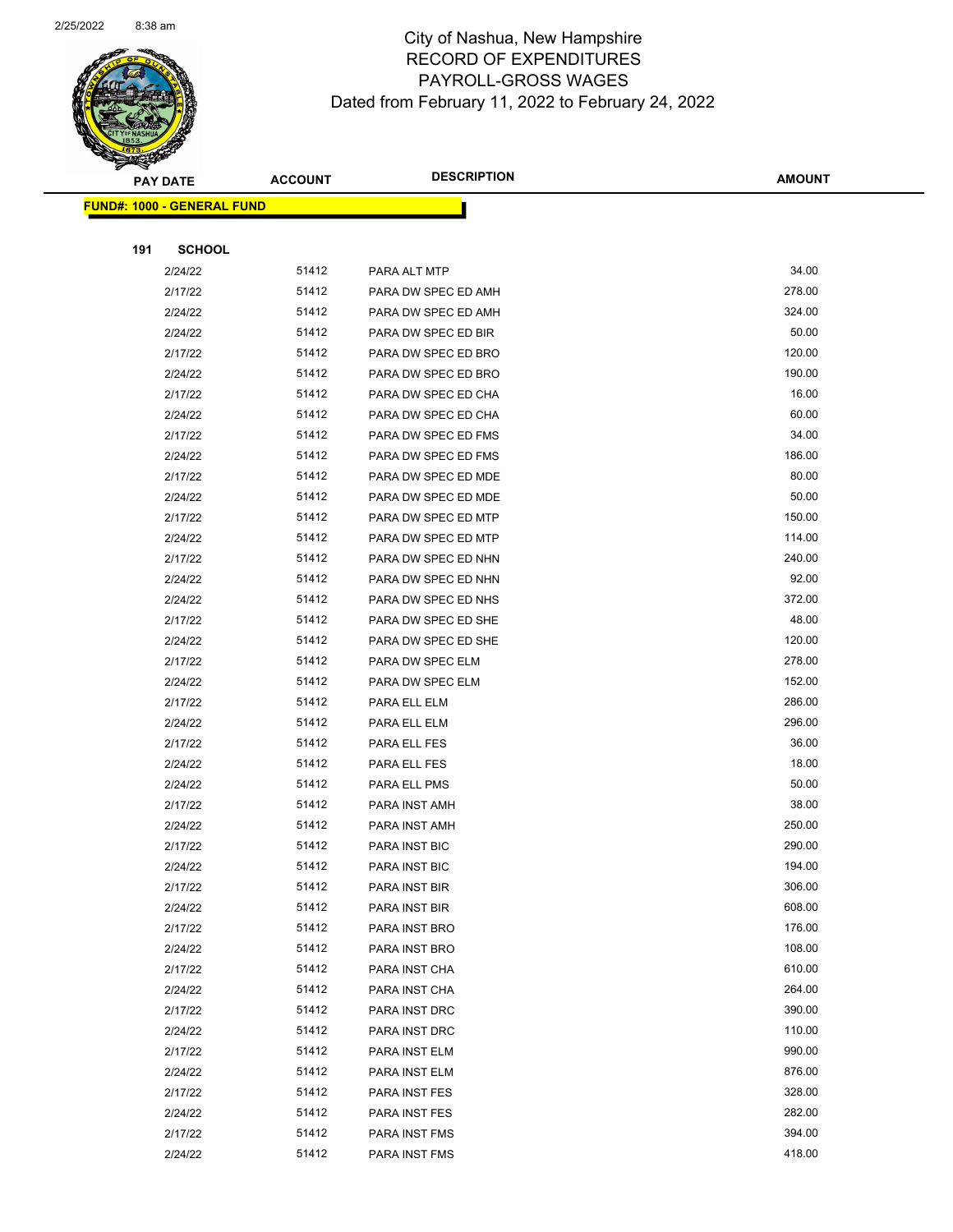

Page 84 of 104

|     | <b>PAY DATE</b>                    | <b>ACCOUNT</b> | <b>DESCRIPTION</b>   | <b>AMOUNT</b> |
|-----|------------------------------------|----------------|----------------------|---------------|
|     | <u> FUND#: 1000 - GENERAL FUND</u> |                |                      |               |
|     |                                    |                |                      |               |
| 191 | <b>SCHOOL</b>                      |                |                      |               |
|     | 2/24/22                            | 51412          | PARA ALT MTP         | 34.00         |
|     | 2/17/22                            | 51412          | PARA DW SPEC ED AMH  | 278.00        |
|     | 2/24/22                            | 51412          | PARA DW SPEC ED AMH  | 324.00        |
|     | 2/24/22                            | 51412          | PARA DW SPEC ED BIR  | 50.00         |
|     | 2/17/22                            | 51412          | PARA DW SPEC ED BRO  | 120.00        |
|     | 2/24/22                            | 51412          | PARA DW SPEC ED BRO  | 190.00        |
|     | 2/17/22                            | 51412          | PARA DW SPEC ED CHA  | 16.00         |
|     | 2/24/22                            | 51412          | PARA DW SPEC ED CHA  | 60.00         |
|     | 2/17/22                            | 51412          | PARA DW SPEC ED FMS  | 34.00         |
|     | 2/24/22                            | 51412          | PARA DW SPEC ED FMS  | 186.00        |
|     | 2/17/22                            | 51412          | PARA DW SPEC ED MDE  | 80.00         |
|     | 2/24/22                            | 51412          | PARA DW SPEC ED MDE  | 50.00         |
|     | 2/17/22                            | 51412          | PARA DW SPEC ED MTP  | 150.00        |
|     | 2/24/22                            | 51412          | PARA DW SPEC ED MTP  | 114.00        |
|     | 2/17/22                            | 51412          | PARA DW SPEC ED NHN  | 240.00        |
|     | 2/24/22                            | 51412          | PARA DW SPEC ED NHN  | 92.00         |
|     | 2/24/22                            | 51412          | PARA DW SPEC ED NHS  | 372.00        |
|     | 2/17/22                            | 51412          | PARA DW SPEC ED SHE  | 48.00         |
|     | 2/24/22                            | 51412          | PARA DW SPEC ED SHE  | 120.00        |
|     | 2/17/22                            | 51412          | PARA DW SPEC ELM     | 278.00        |
|     | 2/24/22                            | 51412          | PARA DW SPEC ELM     | 152.00        |
|     | 2/17/22                            | 51412          | PARA ELL ELM         | 286.00        |
|     | 2/24/22                            | 51412          | PARA ELL ELM         | 296.00        |
|     | 2/17/22                            | 51412          | PARA ELL FES         | 36.00         |
|     | 2/24/22                            | 51412          | PARA ELL FES         | 18.00         |
|     | 2/24/22                            | 51412          | PARA ELL PMS         | 50.00         |
|     | 2/17/22                            | 51412          | PARA INST AMH        | 38.00         |
|     | 2/24/22                            | 51412          | PARA INST AMH        | 250.00        |
|     | 2/17/22                            | 51412          | <b>PARA INST BIC</b> | 290.00        |
|     | 2/24/22                            | 51412          | PARA INST BIC        | 194.00        |
|     | 2/17/22                            | 51412          | PARA INST BIR        | 306.00        |
|     | 2/24/22                            | 51412          | PARA INST BIR        | 608.00        |
|     | 2/17/22                            | 51412          | PARA INST BRO        | 176.00        |
|     | 2/24/22                            | 51412          | PARA INST BRO        | 108.00        |
|     | 2/17/22                            | 51412          | PARA INST CHA        | 610.00        |
|     | 2/24/22                            | 51412          | PARA INST CHA        | 264.00        |
|     | 2/17/22                            | 51412          | PARA INST DRC        | 390.00        |
|     | 2/24/22                            | 51412          | PARA INST DRC        | 110.00        |
|     | 2/17/22                            | 51412          | PARA INST ELM        | 990.00        |
|     | 2/24/22                            | 51412          | PARA INST ELM        | 876.00        |
|     | 2/17/22                            | 51412          | PARA INST FES        | 328.00        |
|     | 2/24/22                            | 51412          | PARA INST FES        | 282.00        |
|     | 2/17/22                            | 51412          | PARA INST FMS        | 394.00        |
|     | 2/24/22                            | 51412          | PARA INST FMS        | 418.00        |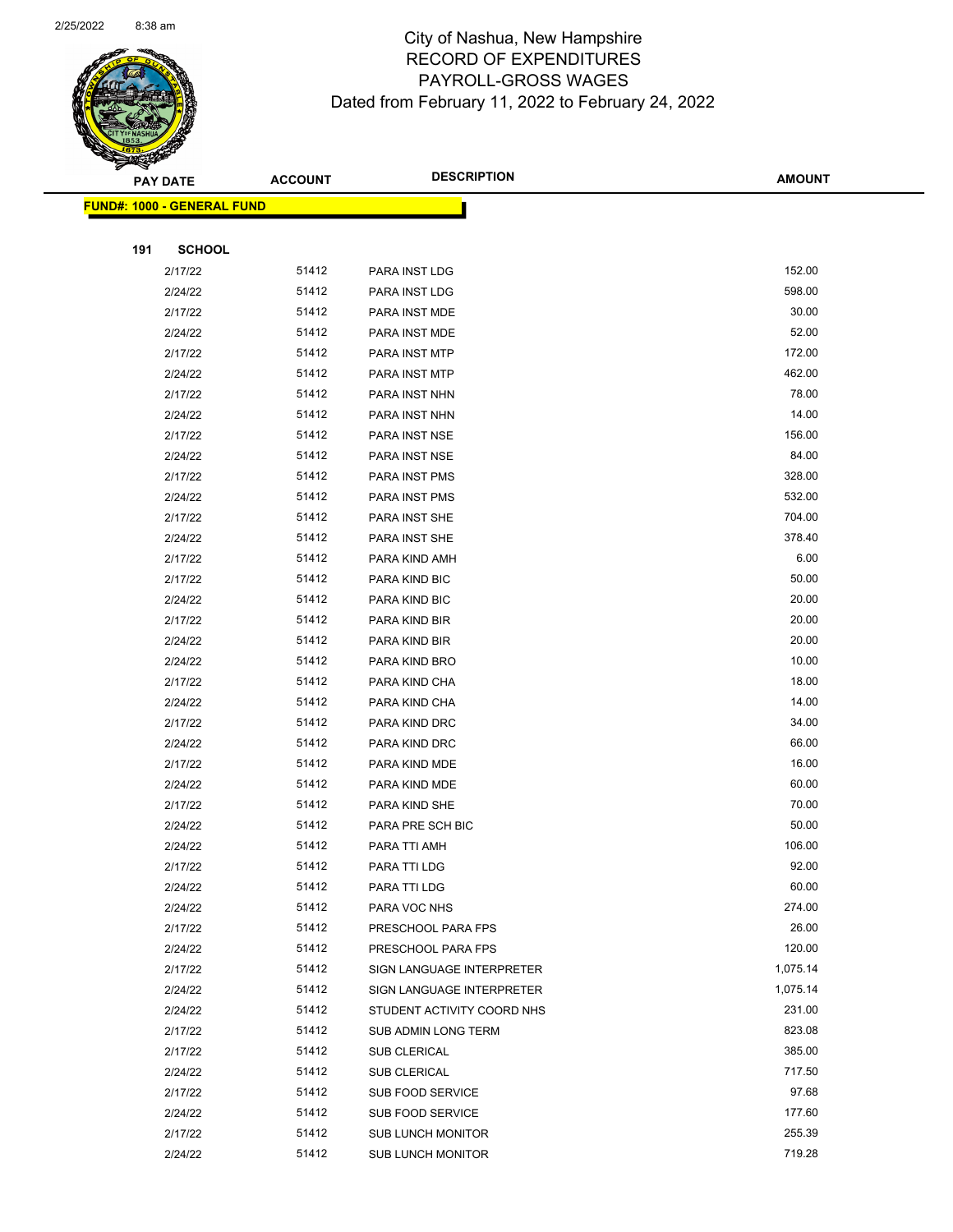

| <b>FUND#: 1000 - GENERAL FUND</b> |                |                                  |                |
|-----------------------------------|----------------|----------------------------------|----------------|
|                                   |                |                                  |                |
| 191<br><b>SCHOOL</b>              |                |                                  |                |
| 2/17/22                           | 51412          | PARA INST LDG                    | 152.00         |
| 2/24/22                           | 51412          | PARA INST LDG                    | 598.00         |
| 2/17/22                           | 51412          | PARA INST MDE                    | 30.00          |
| 2/24/22                           | 51412          | PARA INST MDE                    | 52.00          |
| 2/17/22                           | 51412          | PARA INST MTP                    | 172.00         |
| 2/24/22                           | 51412          | PARA INST MTP                    | 462.00         |
| 2/17/22                           | 51412          | PARA INST NHN                    | 78.00          |
| 2/24/22                           | 51412          | PARA INST NHN                    | 14.00          |
| 2/17/22                           | 51412          | PARA INST NSE                    | 156.00         |
| 2/24/22                           | 51412          | PARA INST NSE                    | 84.00          |
| 2/17/22                           | 51412          | PARA INST PMS                    | 328.00         |
| 2/24/22                           | 51412          | PARA INST PMS                    | 532.00         |
| 2/17/22                           | 51412          | PARA INST SHE                    | 704.00         |
| 2/24/22                           | 51412          | PARA INST SHE                    | 378.40         |
| 2/17/22                           | 51412          | PARA KIND AMH                    | 6.00           |
| 2/17/22                           | 51412          | PARA KIND BIC                    | 50.00          |
| 2/24/22                           | 51412          | PARA KIND BIC                    | 20.00          |
| 2/17/22                           | 51412          | PARA KIND BIR                    | 20.00          |
| 2/24/22                           | 51412          | PARA KIND BIR                    | 20.00          |
| 2/24/22                           | 51412          | PARA KIND BRO                    | 10.00          |
| 2/17/22                           | 51412          | PARA KIND CHA                    | 18.00          |
| 2/24/22                           | 51412          | PARA KIND CHA                    | 14.00          |
| 2/17/22                           | 51412          | PARA KIND DRC                    | 34.00          |
| 2/24/22                           | 51412          | PARA KIND DRC                    | 66.00          |
| 2/17/22                           | 51412          | PARA KIND MDE                    | 16.00          |
| 2/24/22                           | 51412<br>51412 | PARA KIND MDE                    | 60.00<br>70.00 |
| 2/17/22                           |                | PARA KIND SHE                    | 50.00          |
| 2/24/22                           | 51412<br>51412 | PARA PRE SCH BIC<br>PARA TTI AMH | 106.00         |
| 2/24/22<br>2/17/22                | 51412          | PARA TTI LDG                     | 92.00          |
| 2/24/22                           | 51412          | PARA TTI LDG                     | 60.00          |
| 2/24/22                           | 51412          | PARA VOC NHS                     | 274.00         |
| 2/17/22                           | 51412          | PRESCHOOL PARA FPS               | 26.00          |
| 2/24/22                           | 51412          | PRESCHOOL PARA FPS               | 120.00         |
| 2/17/22                           | 51412          | SIGN LANGUAGE INTERPRETER        | 1,075.14       |
| 2/24/22                           | 51412          | SIGN LANGUAGE INTERPRETER        | 1,075.14       |
| 2/24/22                           | 51412          | STUDENT ACTIVITY COORD NHS       | 231.00         |
| 2/17/22                           | 51412          | SUB ADMIN LONG TERM              | 823.08         |
| 2/17/22                           | 51412          | SUB CLERICAL                     | 385.00         |
| 2/24/22                           | 51412          | SUB CLERICAL                     | 717.50         |
| 2/17/22                           | 51412          | SUB FOOD SERVICE                 | 97.68          |
| 2/24/22                           | 51412          | SUB FOOD SERVICE                 | 177.60         |
| 2/17/22                           | 51412          | <b>SUB LUNCH MONITOR</b>         | 255.39         |
| 2/24/22                           | 51412          | <b>SUB LUNCH MONITOR</b>         | 719.28         |
|                                   |                |                                  |                |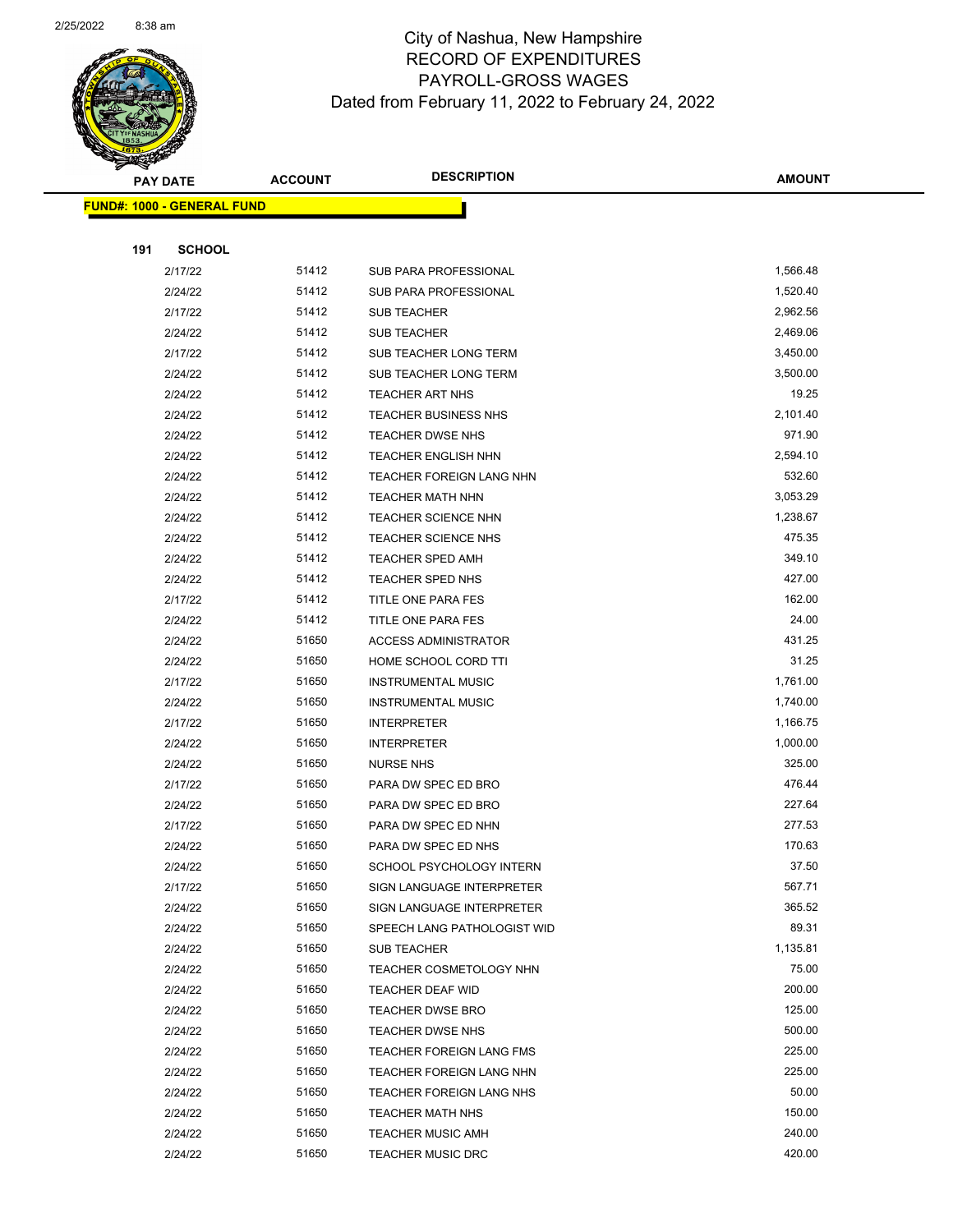

Page 86 of 104

|     | <b>PAY DATE</b>                    | <b>ACCOUNT</b> | <b>DESCRIPTION</b>                                 | <b>AMOUNT</b>     |
|-----|------------------------------------|----------------|----------------------------------------------------|-------------------|
|     | <u> FUND#: 1000 - GENERAL FUND</u> |                |                                                    |                   |
|     |                                    |                |                                                    |                   |
| 191 | <b>SCHOOL</b>                      |                |                                                    |                   |
|     | 2/17/22                            | 51412          | SUB PARA PROFESSIONAL                              | 1,566.48          |
|     | 2/24/22                            | 51412          | SUB PARA PROFESSIONAL                              | 1,520.40          |
|     | 2/17/22                            | 51412          | <b>SUB TEACHER</b>                                 | 2,962.56          |
|     | 2/24/22                            | 51412          | <b>SUB TEACHER</b>                                 | 2,469.06          |
|     | 2/17/22                            | 51412          | SUB TEACHER LONG TERM                              | 3,450.00          |
|     | 2/24/22                            | 51412          | <b>SUB TEACHER LONG TERM</b>                       | 3,500.00          |
|     | 2/24/22                            | 51412          | <b>TEACHER ART NHS</b>                             | 19.25             |
|     | 2/24/22                            | 51412          | <b>TEACHER BUSINESS NHS</b>                        | 2,101.40          |
|     | 2/24/22                            | 51412          | TEACHER DWSE NHS                                   | 971.90            |
|     | 2/24/22                            | 51412          | TEACHER ENGLISH NHN                                | 2,594.10          |
|     | 2/24/22                            | 51412          | TEACHER FOREIGN LANG NHN                           | 532.60            |
|     | 2/24/22                            | 51412          | <b>TEACHER MATH NHN</b>                            | 3,053.29          |
|     | 2/24/22                            | 51412          | <b>TEACHER SCIENCE NHN</b>                         | 1,238.67          |
|     | 2/24/22                            | 51412          | <b>TEACHER SCIENCE NHS</b>                         | 475.35            |
|     | 2/24/22                            | 51412          | <b>TEACHER SPED AMH</b>                            | 349.10            |
|     | 2/24/22                            | 51412          | TEACHER SPED NHS                                   | 427.00            |
|     | 2/17/22                            | 51412          | TITLE ONE PARA FES                                 | 162.00            |
|     | 2/24/22                            | 51412          | TITLE ONE PARA FES                                 | 24.00             |
|     | 2/24/22                            | 51650          | <b>ACCESS ADMINISTRATOR</b>                        | 431.25            |
|     | 2/24/22                            | 51650          | HOME SCHOOL CORD TTI                               | 31.25             |
|     | 2/17/22                            | 51650          | <b>INSTRUMENTAL MUSIC</b>                          | 1,761.00          |
|     | 2/24/22                            | 51650          | <b>INSTRUMENTAL MUSIC</b>                          | 1,740.00          |
|     | 2/17/22                            | 51650          | <b>INTERPRETER</b>                                 | 1,166.75          |
|     | 2/24/22                            | 51650          | <b>INTERPRETER</b>                                 | 1,000.00          |
|     | 2/24/22                            | 51650          | <b>NURSE NHS</b>                                   | 325.00            |
|     | 2/17/22                            | 51650          | PARA DW SPEC ED BRO                                | 476.44            |
|     | 2/24/22                            | 51650          | PARA DW SPEC ED BRO                                | 227.64            |
|     | 2/17/22                            | 51650          | PARA DW SPEC ED NHN                                | 277.53            |
|     | 2/24/22                            | 51650          | PARA DW SPEC ED NHS                                | 170.63            |
|     | 2/24/22                            | 51650          | SCHOOL PSYCHOLOGY INTERN                           | 37.50             |
|     | 2/17/22                            | 51650          | SIGN LANGUAGE INTERPRETER                          | 567.71            |
|     | 2/24/22                            | 51650          | SIGN LANGUAGE INTERPRETER                          | 365.52            |
|     | 2/24/22                            | 51650          | SPEECH LANG PATHOLOGIST WID                        | 89.31<br>1,135.81 |
|     | 2/24/22                            | 51650<br>51650 | SUB TEACHER                                        | 75.00             |
|     | 2/24/22                            | 51650          | TEACHER COSMETOLOGY NHN                            | 200.00            |
|     | 2/24/22<br>2/24/22                 | 51650          | <b>TEACHER DEAF WID</b><br><b>TEACHER DWSE BRO</b> | 125.00            |
|     | 2/24/22                            | 51650          | TEACHER DWSE NHS                                   | 500.00            |
|     | 2/24/22                            | 51650          | TEACHER FOREIGN LANG FMS                           | 225.00            |
|     | 2/24/22                            | 51650          | TEACHER FOREIGN LANG NHN                           | 225.00            |
|     | 2/24/22                            | 51650          | TEACHER FOREIGN LANG NHS                           | 50.00             |
|     | 2/24/22                            | 51650          | <b>TEACHER MATH NHS</b>                            | 150.00            |
|     | 2/24/22                            | 51650          | <b>TEACHER MUSIC AMH</b>                           | 240.00            |
|     | 2/24/22                            | 51650          | <b>TEACHER MUSIC DRC</b>                           | 420.00            |
|     |                                    |                |                                                    |                   |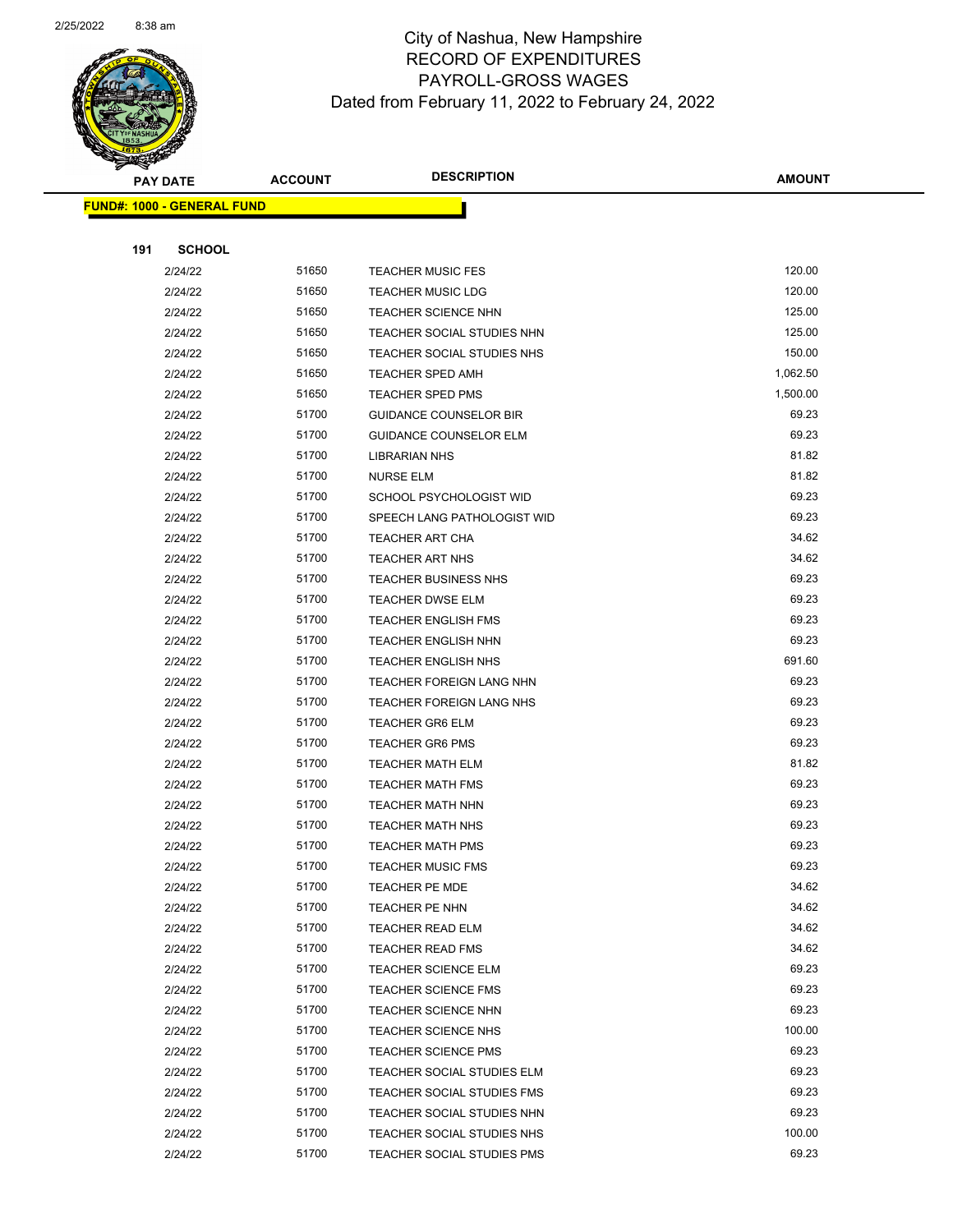

Page 87 of 104

|     | <b>PAY DATE</b>                   | <b>ACCOUNT</b> | <b>DESCRIPTION</b>              | <b>AMOUNT</b> |
|-----|-----------------------------------|----------------|---------------------------------|---------------|
|     | <b>FUND#: 1000 - GENERAL FUND</b> |                |                                 |               |
|     |                                   |                |                                 |               |
| 191 | <b>SCHOOL</b>                     |                |                                 |               |
|     | 2/24/22                           | 51650          | <b>TEACHER MUSIC FES</b>        | 120.00        |
|     | 2/24/22                           | 51650          | <b>TEACHER MUSIC LDG</b>        | 120.00        |
|     | 2/24/22                           | 51650          | <b>TEACHER SCIENCE NHN</b>      | 125.00        |
|     | 2/24/22                           | 51650          | TEACHER SOCIAL STUDIES NHN      | 125.00        |
|     | 2/24/22                           | 51650          | TEACHER SOCIAL STUDIES NHS      | 150.00        |
|     | 2/24/22                           | 51650          | <b>TEACHER SPED AMH</b>         | 1,062.50      |
|     | 2/24/22                           | 51650          | <b>TEACHER SPED PMS</b>         | 1,500.00      |
|     | 2/24/22                           | 51700          | <b>GUIDANCE COUNSELOR BIR</b>   | 69.23         |
|     | 2/24/22                           | 51700          | <b>GUIDANCE COUNSELOR ELM</b>   | 69.23         |
|     | 2/24/22                           | 51700          | <b>LIBRARIAN NHS</b>            | 81.82         |
|     | 2/24/22                           | 51700          | <b>NURSE ELM</b>                | 81.82         |
|     | 2/24/22                           | 51700          | <b>SCHOOL PSYCHOLOGIST WID</b>  | 69.23         |
|     | 2/24/22                           | 51700          | SPEECH LANG PATHOLOGIST WID     | 69.23         |
|     | 2/24/22                           | 51700          | <b>TEACHER ART CHA</b>          | 34.62         |
|     | 2/24/22                           | 51700          | <b>TEACHER ART NHS</b>          | 34.62         |
|     | 2/24/22                           | 51700          | <b>TEACHER BUSINESS NHS</b>     | 69.23         |
|     | 2/24/22                           | 51700          | <b>TEACHER DWSE ELM</b>         | 69.23         |
|     | 2/24/22                           | 51700          | <b>TEACHER ENGLISH FMS</b>      | 69.23         |
|     | 2/24/22                           | 51700          | <b>TEACHER ENGLISH NHN</b>      | 69.23         |
|     | 2/24/22                           | 51700          | <b>TEACHER ENGLISH NHS</b>      | 691.60        |
|     | 2/24/22                           | 51700          | <b>TEACHER FOREIGN LANG NHN</b> | 69.23         |
|     | 2/24/22                           | 51700          | <b>TEACHER FOREIGN LANG NHS</b> | 69.23         |
|     | 2/24/22                           | 51700          | <b>TEACHER GR6 ELM</b>          | 69.23         |
|     | 2/24/22                           | 51700          | <b>TEACHER GR6 PMS</b>          | 69.23         |
|     | 2/24/22                           | 51700          | <b>TEACHER MATH ELM</b>         | 81.82         |
|     | 2/24/22                           | 51700          | <b>TEACHER MATH FMS</b>         | 69.23         |
|     | 2/24/22                           | 51700          | <b>TEACHER MATH NHN</b>         | 69.23         |
|     | 2/24/22                           | 51700          | <b>TEACHER MATH NHS</b>         | 69.23         |
|     | 2/24/22                           | 51700          | <b>TEACHER MATH PMS</b>         | 69.23         |
|     | 2/24/22                           | 51700          | TEACHER MUSIC FMS               | 69.23         |
|     | 2/24/22                           | 51700          | TEACHER PE MDE                  | 34.62         |
|     | 2/24/22                           | 51700          | TEACHER PE NHN                  | 34.62         |
|     | 2/24/22                           | 51700          | <b>TEACHER READ ELM</b>         | 34.62         |
|     | 2/24/22                           | 51700          | <b>TEACHER READ FMS</b>         | 34.62         |
|     | 2/24/22                           | 51700          | <b>TEACHER SCIENCE ELM</b>      | 69.23         |
|     | 2/24/22                           | 51700          | <b>TEACHER SCIENCE FMS</b>      | 69.23         |
|     | 2/24/22                           | 51700          | <b>TEACHER SCIENCE NHN</b>      | 69.23         |
|     | 2/24/22                           | 51700          | <b>TEACHER SCIENCE NHS</b>      | 100.00        |
|     | 2/24/22                           | 51700          | <b>TEACHER SCIENCE PMS</b>      | 69.23         |
|     | 2/24/22                           | 51700          | TEACHER SOCIAL STUDIES ELM      | 69.23         |
|     | 2/24/22                           | 51700          | TEACHER SOCIAL STUDIES FMS      | 69.23         |
|     | 2/24/22                           | 51700          | TEACHER SOCIAL STUDIES NHN      | 69.23         |
|     | 2/24/22                           | 51700          | TEACHER SOCIAL STUDIES NHS      | 100.00        |
|     | 2/24/22                           | 51700          | TEACHER SOCIAL STUDIES PMS      | 69.23         |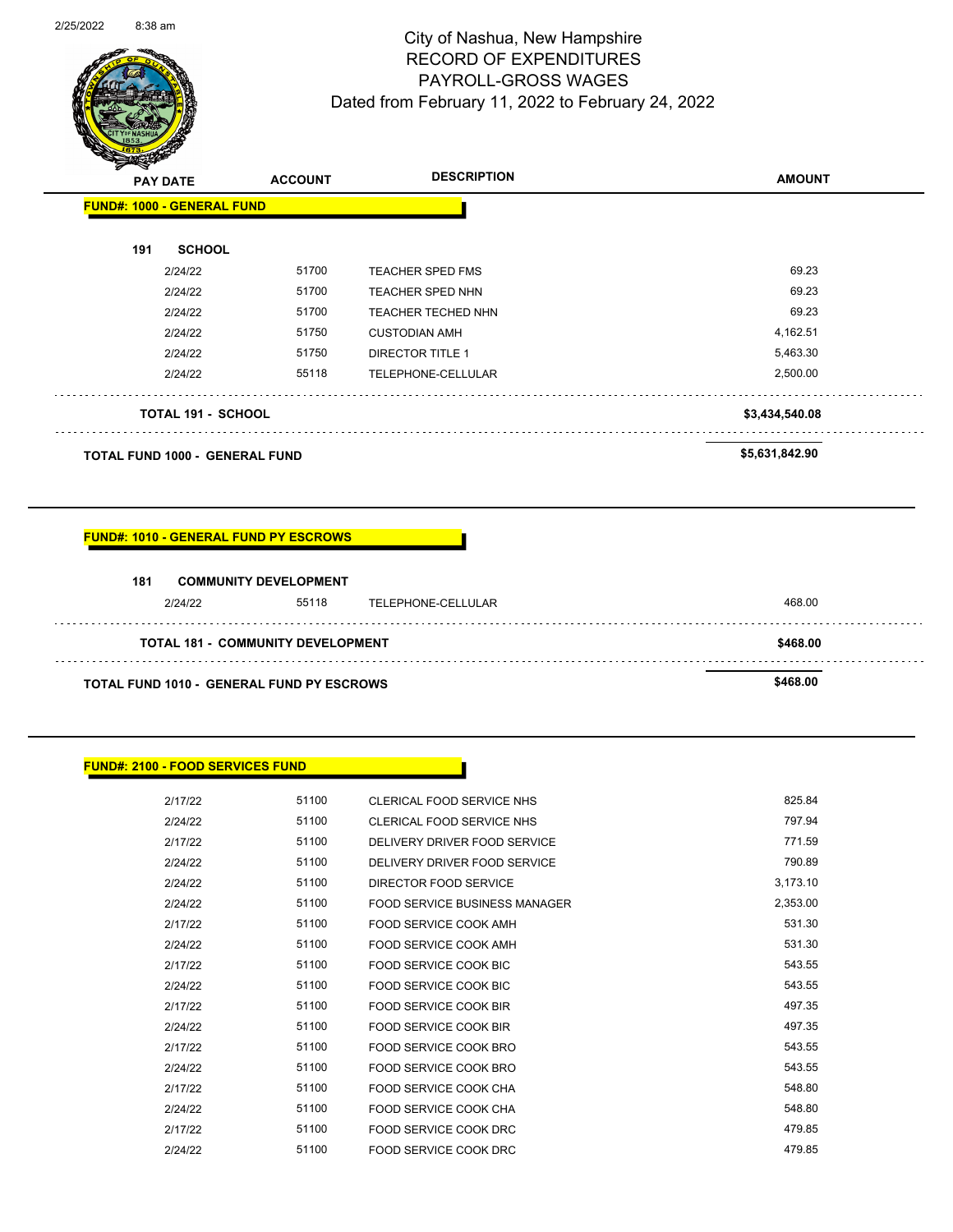

Page 88 of 104

|     | <b>PAY DATE</b>                       | <b>ACCOUNT</b> | <b>DESCRIPTION</b>        | <b>AMOUNT</b>  |
|-----|---------------------------------------|----------------|---------------------------|----------------|
|     | <b>FUND#: 1000 - GENERAL FUND</b>     |                |                           |                |
| 191 | <b>SCHOOL</b>                         |                |                           |                |
|     | 2/24/22                               | 51700          | <b>TEACHER SPED FMS</b>   | 69.23          |
|     | 2/24/22                               | 51700          | <b>TEACHER SPED NHN</b>   | 69.23          |
|     | 2/24/22                               | 51700          | <b>TEACHER TECHED NHN</b> | 69.23          |
|     | 2/24/22                               | 51750          | <b>CUSTODIAN AMH</b>      | 4,162.51       |
|     | 2/24/22                               | 51750          | <b>DIRECTOR TITLE 1</b>   | 5,463.30       |
|     | 2/24/22                               | 55118          | TELEPHONE-CELLULAR        | 2,500.00       |
|     | <b>TOTAL 191 - SCHOOL</b>             |                |                           | \$3,434,540.08 |
|     | <b>TOTAL FUND 1000 - GENERAL FUND</b> |                |                           | \$5,631,842.90 |

#### **FUND#: 1010 - GENERAL FUND PY ESCROWS**

| 181                                              | <b>COMMUNITY DEVELOPMENT</b> |                    |                |
|--------------------------------------------------|------------------------------|--------------------|----------------|
| 2124122                                          | 55118                        | TELEPHONE-CELLULAR | 468.00         |
| <b>TOTAL 181 - COMMUNITY DEVELOPMENT</b>         |                              |                    | \$468.00       |
| <b>TOTAL FUND 1010 - GENERAL FUND PY ESCROWS</b> |                              |                    | <b>ደ468 00</b> |

### **FUND#: 2100 - FOOD SERVICES FUND**

Ġ.

 $\ddot{\phantom{a}}$ 

| 2/17/22 | 51100 | CLERICAL FOOD SERVICE NHS     | 825.84   |
|---------|-------|-------------------------------|----------|
| 2/24/22 | 51100 | CLERICAL FOOD SERVICE NHS     | 797.94   |
| 2/17/22 | 51100 | DELIVERY DRIVER FOOD SERVICE  | 771.59   |
| 2/24/22 | 51100 | DELIVERY DRIVER FOOD SERVICE  | 790.89   |
| 2/24/22 | 51100 | DIRECTOR FOOD SERVICE         | 3,173.10 |
| 2/24/22 | 51100 | FOOD SERVICE BUSINESS MANAGER | 2,353.00 |
| 2/17/22 | 51100 | FOOD SERVICE COOK AMH         | 531.30   |
| 2/24/22 | 51100 | FOOD SERVICE COOK AMH         | 531.30   |
| 2/17/22 | 51100 | FOOD SERVICE COOK BIC         | 543.55   |
| 2/24/22 | 51100 | FOOD SERVICE COOK BIC         | 543.55   |
| 2/17/22 | 51100 | FOOD SERVICE COOK BIR         | 497.35   |
| 2/24/22 | 51100 | FOOD SERVICE COOK BIR         | 497.35   |
| 2/17/22 | 51100 | FOOD SERVICE COOK BRO         | 543.55   |
| 2/24/22 | 51100 | FOOD SERVICE COOK BRO         | 543.55   |
| 2/17/22 | 51100 | FOOD SERVICE COOK CHA         | 548.80   |
| 2/24/22 | 51100 | FOOD SERVICE COOK CHA         | 548.80   |
| 2/17/22 | 51100 | FOOD SERVICE COOK DRC         | 479.85   |
| 2/24/22 | 51100 | FOOD SERVICE COOK DRC         | 479.85   |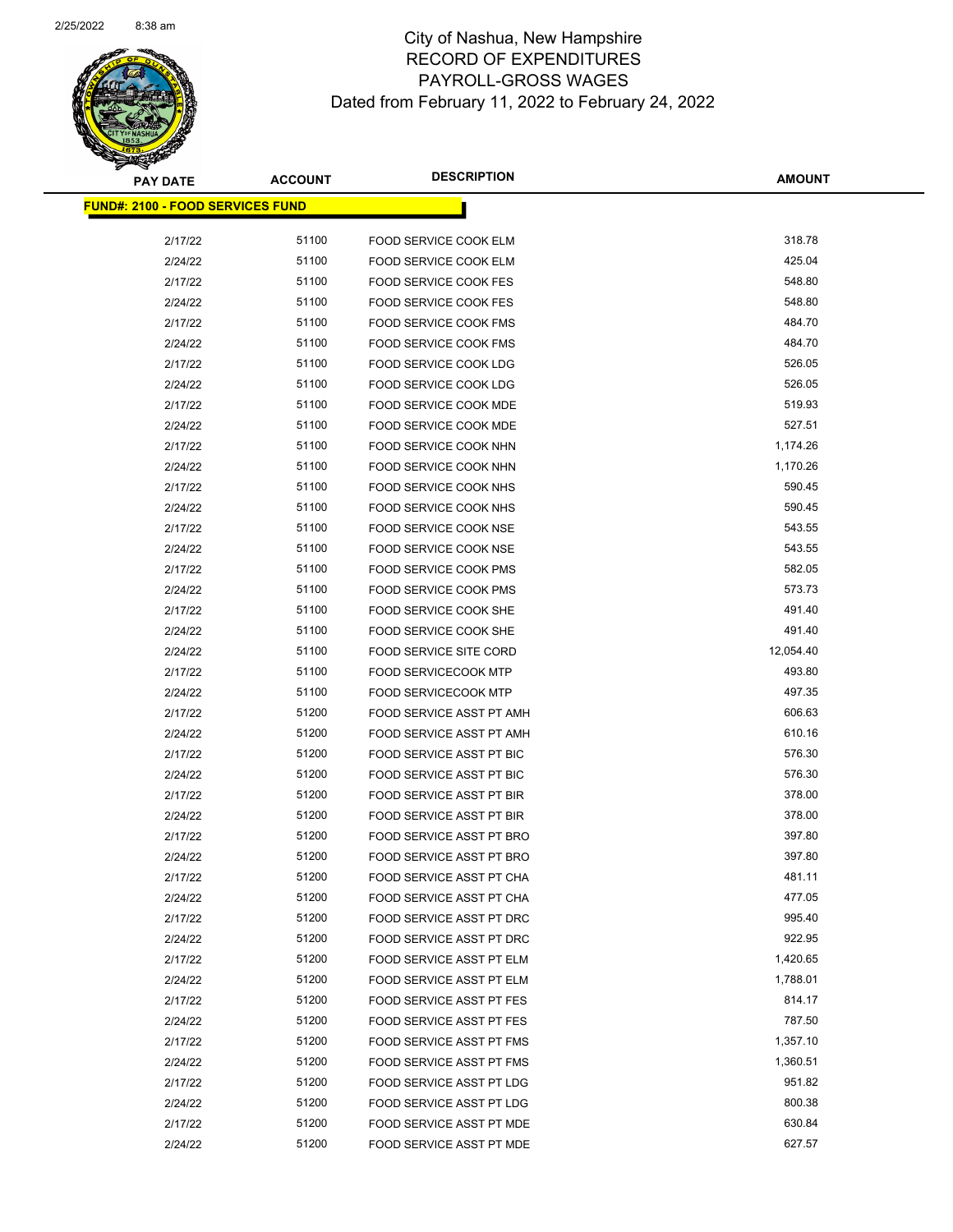

| <u> FUND#: 2100 - FOOD SERVICES FUND</u> |       |                                 |           |  |  |
|------------------------------------------|-------|---------------------------------|-----------|--|--|
| 2/17/22                                  | 51100 | FOOD SERVICE COOK ELM           | 318.78    |  |  |
| 2/24/22                                  | 51100 | FOOD SERVICE COOK ELM           | 425.04    |  |  |
| 2/17/22                                  | 51100 | <b>FOOD SERVICE COOK FES</b>    | 548.80    |  |  |
| 2/24/22                                  | 51100 | <b>FOOD SERVICE COOK FES</b>    | 548.80    |  |  |
| 2/17/22                                  | 51100 | FOOD SERVICE COOK FMS           | 484.70    |  |  |
| 2/24/22                                  | 51100 | <b>FOOD SERVICE COOK FMS</b>    | 484.70    |  |  |
| 2/17/22                                  | 51100 | FOOD SERVICE COOK LDG           | 526.05    |  |  |
| 2/24/22                                  | 51100 | FOOD SERVICE COOK LDG           | 526.05    |  |  |
| 2/17/22                                  | 51100 | <b>FOOD SERVICE COOK MDE</b>    | 519.93    |  |  |
| 2/24/22                                  | 51100 | <b>FOOD SERVICE COOK MDE</b>    | 527.51    |  |  |
| 2/17/22                                  | 51100 | FOOD SERVICE COOK NHN           | 1,174.26  |  |  |
| 2/24/22                                  | 51100 | FOOD SERVICE COOK NHN           | 1,170.26  |  |  |
| 2/17/22                                  | 51100 | FOOD SERVICE COOK NHS           | 590.45    |  |  |
| 2/24/22                                  | 51100 | FOOD SERVICE COOK NHS           | 590.45    |  |  |
| 2/17/22                                  | 51100 | FOOD SERVICE COOK NSE           | 543.55    |  |  |
| 2/24/22                                  | 51100 | FOOD SERVICE COOK NSE           | 543.55    |  |  |
| 2/17/22                                  | 51100 | FOOD SERVICE COOK PMS           | 582.05    |  |  |
| 2/24/22                                  | 51100 | FOOD SERVICE COOK PMS           | 573.73    |  |  |
| 2/17/22                                  | 51100 | FOOD SERVICE COOK SHE           | 491.40    |  |  |
| 2/24/22                                  | 51100 | FOOD SERVICE COOK SHE           | 491.40    |  |  |
| 2/24/22                                  | 51100 | FOOD SERVICE SITE CORD          | 12,054.40 |  |  |
| 2/17/22                                  | 51100 | <b>FOOD SERVICECOOK MTP</b>     | 493.80    |  |  |
| 2/24/22                                  | 51100 | <b>FOOD SERVICECOOK MTP</b>     | 497.35    |  |  |
| 2/17/22                                  | 51200 | FOOD SERVICE ASST PT AMH        | 606.63    |  |  |
| 2/24/22                                  | 51200 | FOOD SERVICE ASST PT AMH        | 610.16    |  |  |
| 2/17/22                                  | 51200 | FOOD SERVICE ASST PT BIC        | 576.30    |  |  |
| 2/24/22                                  | 51200 | FOOD SERVICE ASST PT BIC        | 576.30    |  |  |
| 2/17/22                                  | 51200 | FOOD SERVICE ASST PT BIR        | 378.00    |  |  |
| 2/24/22                                  | 51200 | FOOD SERVICE ASST PT BIR        | 378.00    |  |  |
| 2/17/22                                  | 51200 | FOOD SERVICE ASST PT BRO        | 397.80    |  |  |
| 2/24/22                                  | 51200 | FOOD SERVICE ASST PT BRO        | 397.80    |  |  |
| 2/17/22                                  | 51200 | FOOD SERVICE ASST PT CHA        | 481.11    |  |  |
| 2/24/22                                  | 51200 | FOOD SERVICE ASST PT CHA        | 477.05    |  |  |
| 2/17/22                                  | 51200 | FOOD SERVICE ASST PT DRC        | 995.40    |  |  |
| 2/24/22                                  | 51200 | FOOD SERVICE ASST PT DRC        | 922.95    |  |  |
| 2/17/22                                  | 51200 | FOOD SERVICE ASST PT ELM        | 1,420.65  |  |  |
| 2/24/22                                  | 51200 | FOOD SERVICE ASST PT ELM        | 1,788.01  |  |  |
| 2/17/22                                  | 51200 | FOOD SERVICE ASST PT FES        | 814.17    |  |  |
| 2/24/22                                  | 51200 | <b>FOOD SERVICE ASST PT FES</b> | 787.50    |  |  |
| 2/17/22                                  | 51200 | FOOD SERVICE ASST PT FMS        | 1,357.10  |  |  |
| 2/24/22                                  | 51200 | FOOD SERVICE ASST PT FMS        | 1,360.51  |  |  |
| 2/17/22                                  | 51200 | FOOD SERVICE ASST PT LDG        | 951.82    |  |  |
| 2/24/22                                  | 51200 | FOOD SERVICE ASST PT LDG        | 800.38    |  |  |
| 2/17/22                                  | 51200 | FOOD SERVICE ASST PT MDE        | 630.84    |  |  |
| 2/24/22                                  | 51200 | FOOD SERVICE ASST PT MDE        | 627.57    |  |  |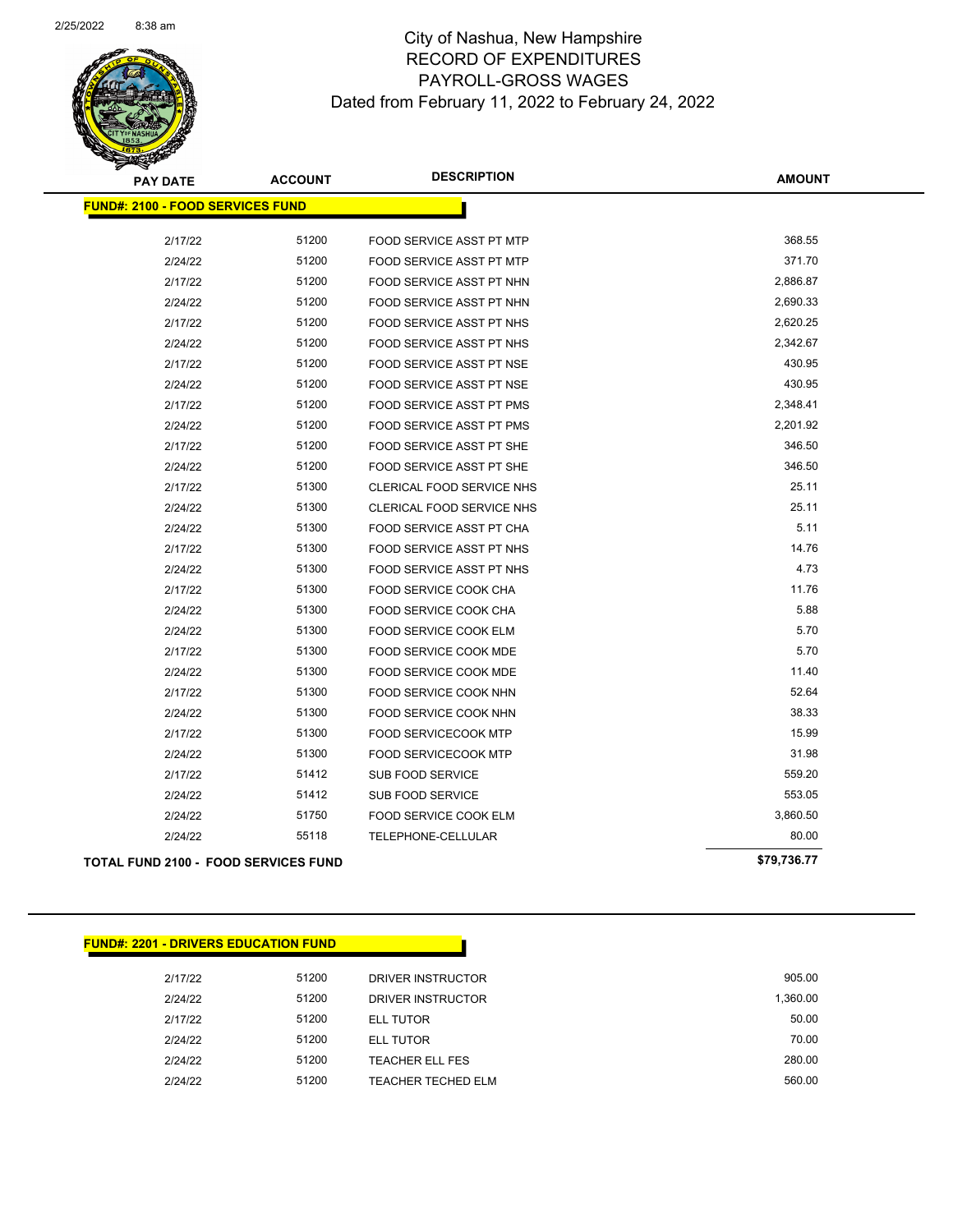

| <b>PAY DATE</b>                             | <b>ACCOUNT</b> | <b>DESCRIPTION</b>              | <b>AMOUNT</b> |
|---------------------------------------------|----------------|---------------------------------|---------------|
| <b>FUND#: 2100 - FOOD SERVICES FUND</b>     |                |                                 |               |
| 2/17/22                                     | 51200          | FOOD SERVICE ASST PT MTP        | 368.55        |
| 2/24/22                                     | 51200          | FOOD SERVICE ASST PT MTP        | 371.70        |
| 2/17/22                                     | 51200          | FOOD SERVICE ASST PT NHN        | 2,886.87      |
| 2/24/22                                     | 51200          | FOOD SERVICE ASST PT NHN        | 2,690.33      |
| 2/17/22                                     | 51200          | FOOD SERVICE ASST PT NHS        | 2,620.25      |
| 2/24/22                                     | 51200          | <b>FOOD SERVICE ASST PT NHS</b> | 2,342.67      |
| 2/17/22                                     | 51200          | FOOD SERVICE ASST PT NSE        | 430.95        |
| 2/24/22                                     | 51200          | <b>FOOD SERVICE ASST PT NSE</b> | 430.95        |
| 2/17/22                                     | 51200          | FOOD SERVICE ASST PT PMS        | 2,348.41      |
| 2/24/22                                     | 51200          | FOOD SERVICE ASST PT PMS        | 2,201.92      |
| 2/17/22                                     | 51200          | FOOD SERVICE ASST PT SHE        | 346.50        |
| 2/24/22                                     | 51200          | FOOD SERVICE ASST PT SHE        | 346.50        |
| 2/17/22                                     | 51300          | CLERICAL FOOD SERVICE NHS       | 25.11         |
| 2/24/22                                     | 51300          | CLERICAL FOOD SERVICE NHS       | 25.11         |
| 2/24/22                                     | 51300          | FOOD SERVICE ASST PT CHA        | 5.11          |
| 2/17/22                                     | 51300          | <b>FOOD SERVICE ASST PT NHS</b> | 14.76         |
| 2/24/22                                     | 51300          | FOOD SERVICE ASST PT NHS        | 4.73          |
| 2/17/22                                     | 51300          | FOOD SERVICE COOK CHA           | 11.76         |
| 2/24/22                                     | 51300          | FOOD SERVICE COOK CHA           | 5.88          |
| 2/24/22                                     | 51300          | FOOD SERVICE COOK ELM           | 5.70          |
| 2/17/22                                     | 51300          | <b>FOOD SERVICE COOK MDE</b>    | 5.70          |
| 2/24/22                                     | 51300          | <b>FOOD SERVICE COOK MDE</b>    | 11.40         |
| 2/17/22                                     | 51300          | FOOD SERVICE COOK NHN           | 52.64         |
| 2/24/22                                     | 51300          | FOOD SERVICE COOK NHN           | 38.33         |
| 2/17/22                                     | 51300          | <b>FOOD SERVICECOOK MTP</b>     | 15.99         |
| 2/24/22                                     | 51300          | <b>FOOD SERVICECOOK MTP</b>     | 31.98         |
| 2/17/22                                     | 51412          | <b>SUB FOOD SERVICE</b>         | 559.20        |
| 2/24/22                                     | 51412          | <b>SUB FOOD SERVICE</b>         | 553.05        |
| 2/24/22                                     | 51750          | FOOD SERVICE COOK ELM           | 3,860.50      |
| 2/24/22                                     | 55118          | TELEPHONE-CELLULAR              | 80.00         |
| <b>TOTAL FUND 2100 - FOOD SERVICES FUND</b> |                |                                 | \$79,736.77   |

### **FUND#: 2201 - DRIVERS EDUCATION FUND**

| 905.00   | DRIVER INSTRUCTOR      | 51200 | 2/17/22 |
|----------|------------------------|-------|---------|
| 1.360.00 | DRIVER INSTRUCTOR      | 51200 | 2/24/22 |
| 50.00    | ELL TUTOR              | 51200 | 2/17/22 |
| 70.00    | <b>ELL TUTOR</b>       | 51200 | 2/24/22 |
| 280.00   | <b>TEACHER ELL FES</b> | 51200 | 2/24/22 |
| 560.00   | TEACHER TECHED ELM     | 51200 | 2/24/22 |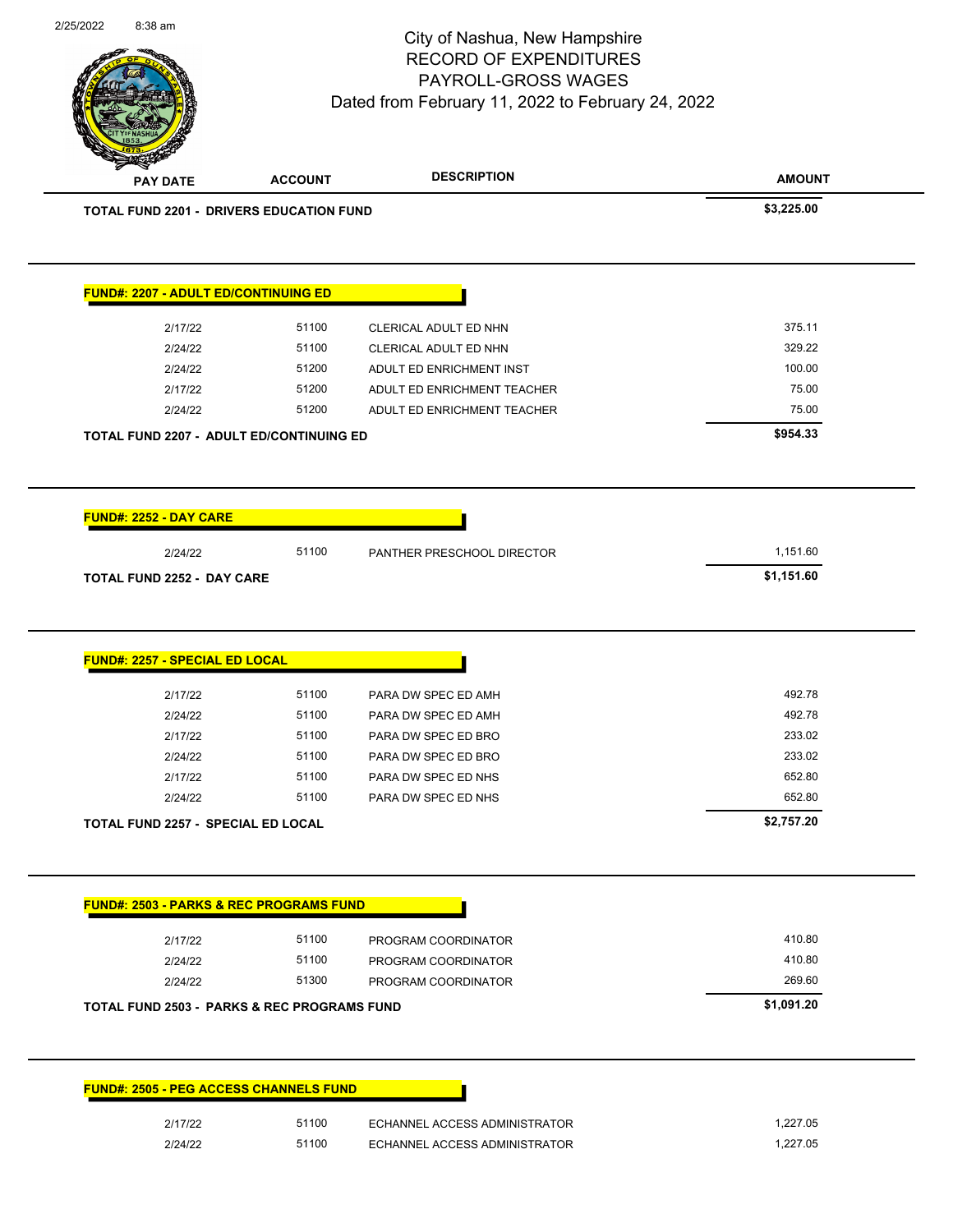

Page 91 of 104

| <b>PAY DATE</b>                                                                                              | <b>ACCOUNT</b> | <b>DESCRIPTION</b>            | <b>AMOUNT</b>    |
|--------------------------------------------------------------------------------------------------------------|----------------|-------------------------------|------------------|
| <b>TOTAL FUND 2201 - DRIVERS EDUCATION FUND</b>                                                              |                |                               | \$3,225.00       |
|                                                                                                              |                |                               |                  |
| <b>FUND#: 2207 - ADULT ED/CONTINUING ED</b>                                                                  |                |                               |                  |
| 2/17/22                                                                                                      | 51100          | CLERICAL ADULT ED NHN         | 375.11           |
| 2/24/22                                                                                                      | 51100          | CLERICAL ADULT ED NHN         | 329.22           |
| 2/24/22                                                                                                      | 51200          | ADULT ED ENRICHMENT INST      | 100.00           |
| 2/17/22                                                                                                      | 51200          | ADULT ED ENRICHMENT TEACHER   | 75.00            |
| 2/24/22                                                                                                      | 51200          | ADULT ED ENRICHMENT TEACHER   | 75.00            |
| TOTAL FUND 2207 - ADULT ED/CONTINUING ED                                                                     |                |                               | \$954.33         |
|                                                                                                              |                |                               |                  |
| <b>FUND#: 2252 - DAY CARE</b>                                                                                |                |                               |                  |
|                                                                                                              |                |                               |                  |
| 2/24/22                                                                                                      | 51100          | PANTHER PRESCHOOL DIRECTOR    | 1,151.60         |
| <b>TOTAL FUND 2252 - DAY CARE</b>                                                                            |                |                               | \$1,151.60       |
|                                                                                                              |                |                               |                  |
|                                                                                                              |                |                               |                  |
| 2/17/22                                                                                                      | 51100          | PARA DW SPEC ED AMH           | 492.78           |
| 2/24/22                                                                                                      | 51100          | PARA DW SPEC ED AMH           | 492.78           |
| 2/17/22                                                                                                      | 51100          | PARA DW SPEC ED BRO           | 233.02           |
| 2/24/22                                                                                                      | 51100          | PARA DW SPEC ED BRO           | 233.02           |
| 2/17/22                                                                                                      | 51100<br>51100 | PARA DW SPEC ED NHS           | 652.80<br>652.80 |
| <b>FUND#: 2257 - SPECIAL ED LOCAL</b><br>2/24/22<br><b>TOTAL FUND 2257 - SPECIAL ED LOCAL</b>                |                | PARA DW SPEC ED NHS           | \$2,757.20       |
|                                                                                                              |                |                               |                  |
|                                                                                                              |                |                               |                  |
|                                                                                                              |                |                               |                  |
| 2/17/22                                                                                                      | 51100          | PROGRAM COORDINATOR           | 410.80           |
| 2/24/22                                                                                                      | 51100          | PROGRAM COORDINATOR           | 410.80           |
| 2/24/22                                                                                                      | 51300          | PROGRAM COORDINATOR           | 269.60           |
| <b>FUND#: 2503 - PARKS &amp; REC PROGRAMS FUND</b><br><b>TOTAL FUND 2503 - PARKS &amp; REC PROGRAMS FUND</b> |                |                               | \$1,091.20       |
|                                                                                                              |                |                               |                  |
| <b>FUND#: 2505 - PEG ACCESS CHANNELS FUND</b>                                                                |                |                               |                  |
| 2/17/22                                                                                                      | 51100          | ECHANNEL ACCESS ADMINISTRATOR | 1,227.05         |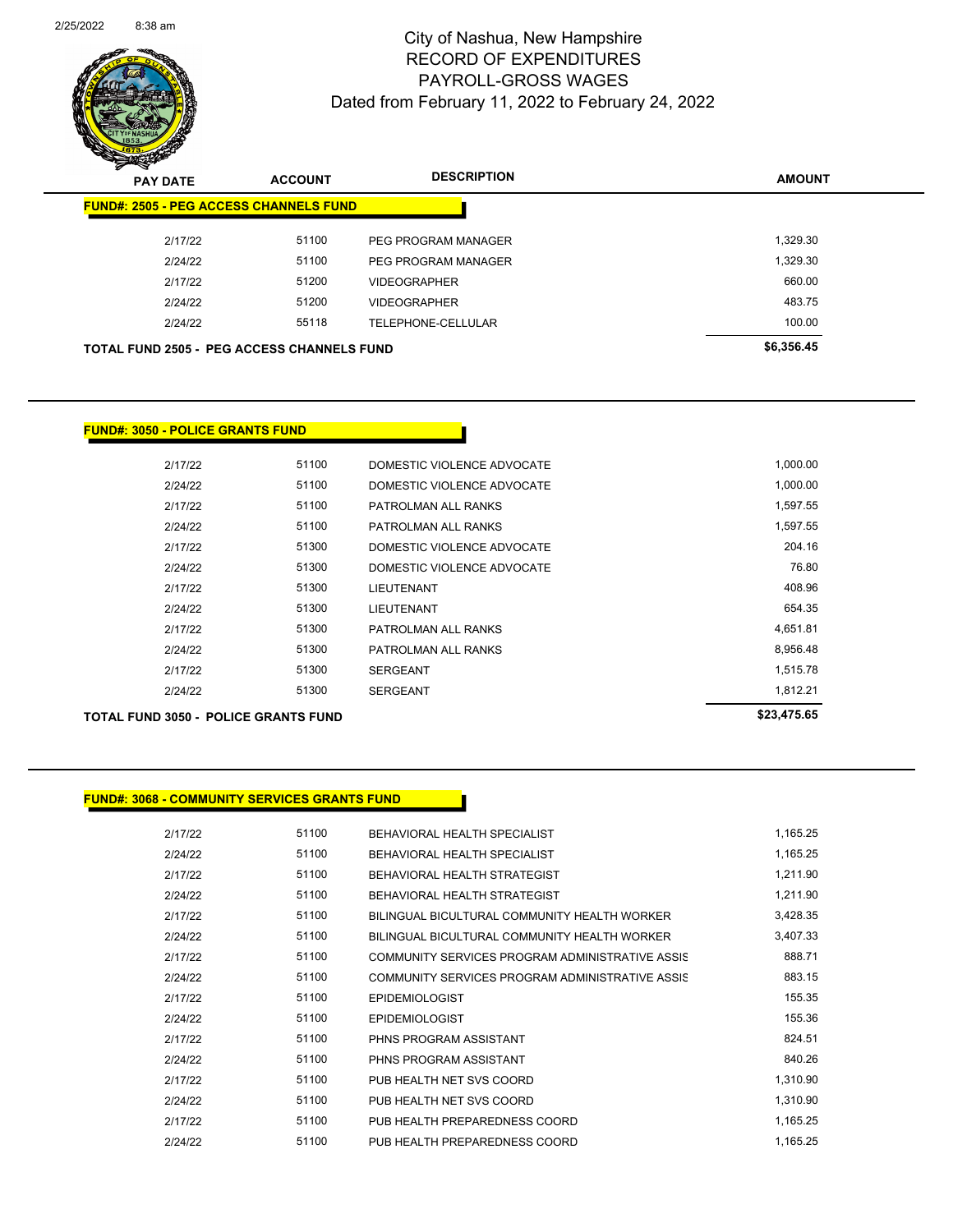

Page 92 of 104

| <b>PAY DATE</b>                                   | <b>ACCOUNT</b> | <b>DESCRIPTION</b>  | <b>AMOUNT</b> |
|---------------------------------------------------|----------------|---------------------|---------------|
| <b>FUND#: 2505 - PEG ACCESS CHANNELS FUND</b>     |                |                     |               |
| 2/17/22                                           | 51100          | PEG PROGRAM MANAGER | 1,329.30      |
| 2/24/22                                           | 51100          | PEG PROGRAM MANAGER | 1,329.30      |
| 2/17/22                                           | 51200          | <b>VIDEOGRAPHER</b> | 660.00        |
| 2/24/22                                           | 51200          | <b>VIDEOGRAPHER</b> | 483.75        |
| 2/24/22                                           | 55118          | TELEPHONE-CELLULAR  | 100.00        |
| <b>TOTAL FUND 2505 - PEG ACCESS CHANNELS FUND</b> |                |                     | \$6,356.45    |

#### **FUND#: 3050 - POLICE GRANTS FUND**

| 2/24/22 | 51300 | <b>SERGEANT</b>            | 1.812.21 |
|---------|-------|----------------------------|----------|
| 2/17/22 | 51300 | <b>SERGEANT</b>            | 1.515.78 |
| 2/24/22 | 51300 | PATROLMAN ALL RANKS        | 8.956.48 |
| 2/17/22 | 51300 | PATROLMAN ALL RANKS        | 4.651.81 |
| 2/24/22 | 51300 | LIEUTENANT                 | 654.35   |
| 2/17/22 | 51300 | <b>LIEUTENANT</b>          | 408.96   |
| 2/24/22 | 51300 | DOMESTIC VIOLENCE ADVOCATE | 76.80    |
| 2/17/22 | 51300 | DOMESTIC VIOLENCE ADVOCATE | 204.16   |
| 2/24/22 | 51100 | PATROLMAN ALL RANKS        | 1.597.55 |
| 2/17/22 | 51100 | PATROLMAN ALL RANKS        | 1.597.55 |
| 2/24/22 | 51100 | DOMESTIC VIOLENCE ADVOCATE | 1,000.00 |
| 2/17/22 | 51100 | DOMESTIC VIOLENCE ADVOCATE | 1,000.00 |
|         |       |                            |          |

### **TOTAL FUND 3050 - POLICE GRANTS FUND \$23,475.65**

#### **FUND#: 3068 - COMMUNITY SERVICES GRANTS FUND**

2/17/22 51100 BEHAVIORAL HEALTH SPECIALIST 1,165.25 2/24/22 51100 BEHAVIORAL HEALTH SPECIALIST 1,165.25 2/17/22 51100 BEHAVIORAL HEALTH STRATEGIST 1,211.90 2/24/22 51100 BEHAVIORAL HEALTH STRATEGIST 1,211.90 2/17/22 51100 BILINGUAL BICULTURAL COMMUNITY HEALTH WORKER 3,428.35 2/24/22 51100 BILINGUAL BICULTURAL COMMUNITY HEALTH WORKER 3,407.33 2/17/22 51100 COMMUNITY SERVICES PROGRAM ADMINISTRATIVE ASSIS 888.71 2/24/22 **51100 COMMUNITY SERVICES PROGRAM ADMINISTRATIVE ASSIS** 883.15 2/17/22 51100 EPIDEMIOLOGIST 155.35 2/24/22 51100 EPIDEMIOLOGIST 155.36 2/17/22 51100 PHNS PROGRAM ASSISTANT 824.51 2/24/22 51100 PHNS PROGRAM ASSISTANT 840.26 2/17/22 51100 PUB HEALTH NET SVS COORD 1,310.90 2/24/22 51100 PUB HEALTH NET SVS COORD 1,310.90 2/17/22 51100 PUB HEALTH PREPAREDNESS COORD 1,165.25 2/24/22 51100 PUB HEALTH PREPAREDNESS COORD 1,165.25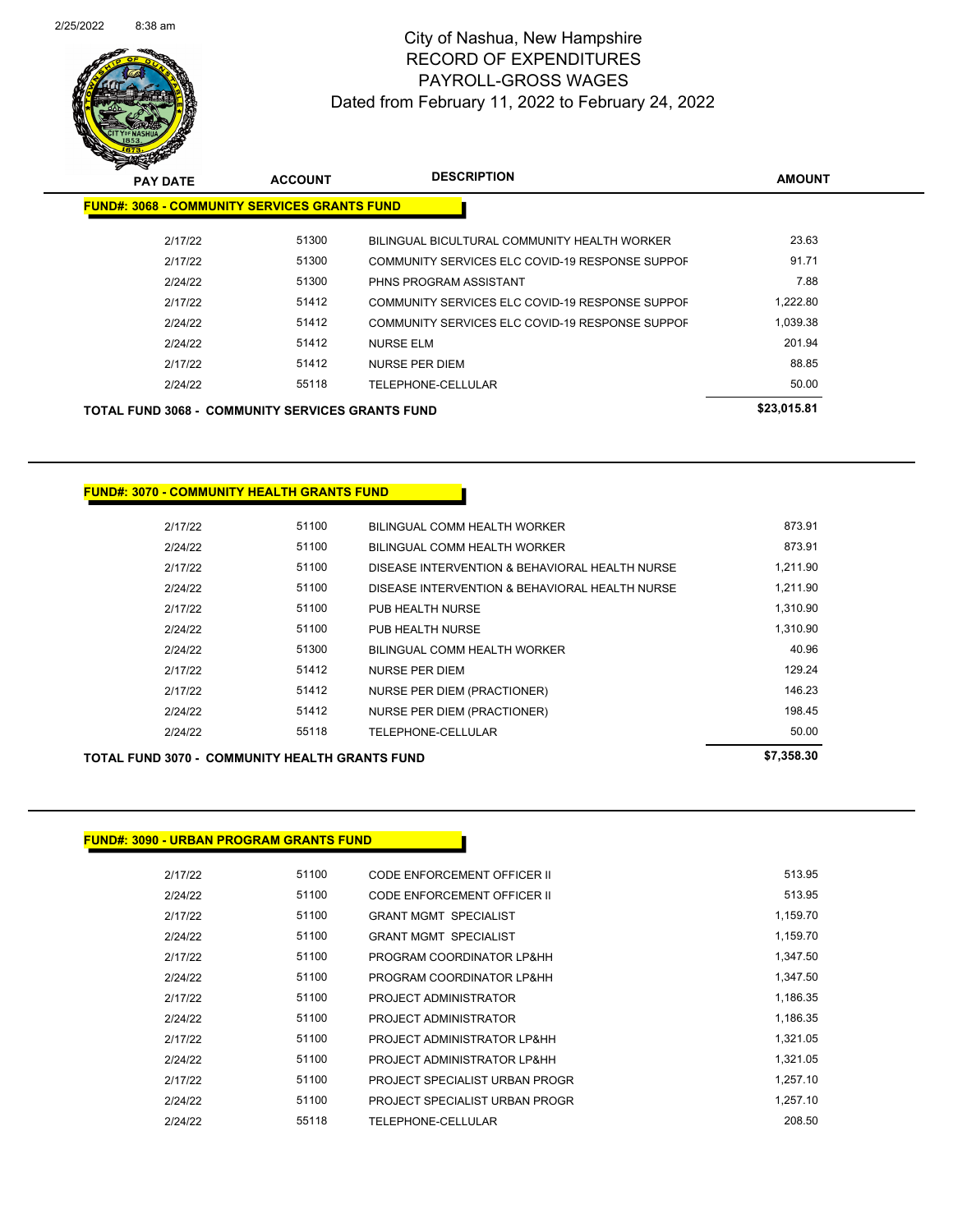

| <b>PAY DATE</b>                                         | <b>ACCOUNT</b> | <b>DESCRIPTION</b>                              | <b>AMOUNT</b> |
|---------------------------------------------------------|----------------|-------------------------------------------------|---------------|
| <b>FUND#: 3068 - COMMUNITY SERVICES GRANTS FUND</b>     |                |                                                 |               |
| 2/17/22                                                 | 51300          | BILINGUAL BICULTURAL COMMUNITY HEALTH WORKER    | 23.63         |
| 2/17/22                                                 | 51300          | COMMUNITY SERVICES ELC COVID-19 RESPONSE SUPPOF | 91.71         |
| 2/24/22                                                 | 51300          | PHNS PROGRAM ASSISTANT                          | 7.88          |
| 2/17/22                                                 | 51412          | COMMUNITY SERVICES ELC COVID-19 RESPONSE SUPPOF | 1,222.80      |
| 2/24/22                                                 | 51412          | COMMUNITY SERVICES ELC COVID-19 RESPONSE SUPPOF | 1.039.38      |
| 2/24/22                                                 | 51412          | NURSE ELM                                       | 201.94        |
| 2/17/22                                                 | 51412          | NURSE PER DIEM                                  | 88.85         |
| 2/24/22                                                 | 55118          | TELEPHONE-CELLULAR                              | 50.00         |
| <b>TOTAL FUND 3068 - COMMUNITY SERVICES GRANTS FUND</b> | \$23,015.81    |                                                 |               |

**FUND#: 3070 - COMMUNITY HEALTH GRANTS FUND**

| TOTAL FUND 3070 -  COMMUNITY HEALTH GRANTS FUND | \$7,358,30 |                                                |          |
|-------------------------------------------------|------------|------------------------------------------------|----------|
| 2/24/22                                         | 55118      | <b>TELEPHONE-CELLULAR</b>                      | 50.00    |
| 2/24/22                                         | 51412      | NURSE PER DIEM (PRACTIONER)                    | 198.45   |
| 2/17/22                                         | 51412      | NURSE PER DIEM (PRACTIONER)                    | 146.23   |
| 2/17/22                                         | 51412      | NURSE PER DIEM                                 | 129.24   |
| 2/24/22                                         | 51300      | BILINGUAL COMM HEALTH WORKER                   | 40.96    |
| 2/24/22                                         | 51100      | PUB HEALTH NURSE                               | 1,310.90 |
| 2/17/22                                         | 51100      | PUB HEALTH NURSE                               | 1,310.90 |
| 2/24/22                                         | 51100      | DISEASE INTERVENTION & BEHAVIORAL HEALTH NURSE | 1,211.90 |
| 2/17/22                                         | 51100      | DISEASE INTERVENTION & BEHAVIORAL HEALTH NURSE | 1,211.90 |
| 2/24/22                                         | 51100      | BILINGUAL COMM HEALTH WORKER                   | 873.91   |
| 2/17/22                                         | 51100      | BILINGUAL COMM HEALTH WORKER                   | 873.91   |
|                                                 |            |                                                |          |

### **FUND#: 3090 - URBAN PROGRAM GRANTS FUND**

| 2/17/22 | 51100 | CODE ENFORCEMENT OFFICER II    | 513.95   |
|---------|-------|--------------------------------|----------|
| 2/24/22 | 51100 | CODE ENFORCEMENT OFFICER II    | 513.95   |
| 2/17/22 | 51100 | <b>GRANT MGMT SPECIALIST</b>   | 1,159.70 |
| 2/24/22 | 51100 | <b>GRANT MGMT SPECIALIST</b>   | 1,159.70 |
| 2/17/22 | 51100 | PROGRAM COORDINATOR LP&HH      | 1,347.50 |
| 2/24/22 | 51100 | PROGRAM COORDINATOR LP&HH      | 1,347.50 |
| 2/17/22 | 51100 | PROJECT ADMINISTRATOR          | 1,186.35 |
| 2/24/22 | 51100 | PROJECT ADMINISTRATOR          | 1.186.35 |
| 2/17/22 | 51100 | PROJECT ADMINISTRATOR LP&HH    | 1.321.05 |
| 2/24/22 | 51100 | PROJECT ADMINISTRATOR LP&HH    | 1.321.05 |
| 2/17/22 | 51100 | PROJECT SPECIALIST URBAN PROGR | 1,257.10 |
| 2/24/22 | 51100 | PROJECT SPECIALIST URBAN PROGR | 1.257.10 |
| 2/24/22 | 55118 | TELEPHONE-CELLULAR             | 208.50   |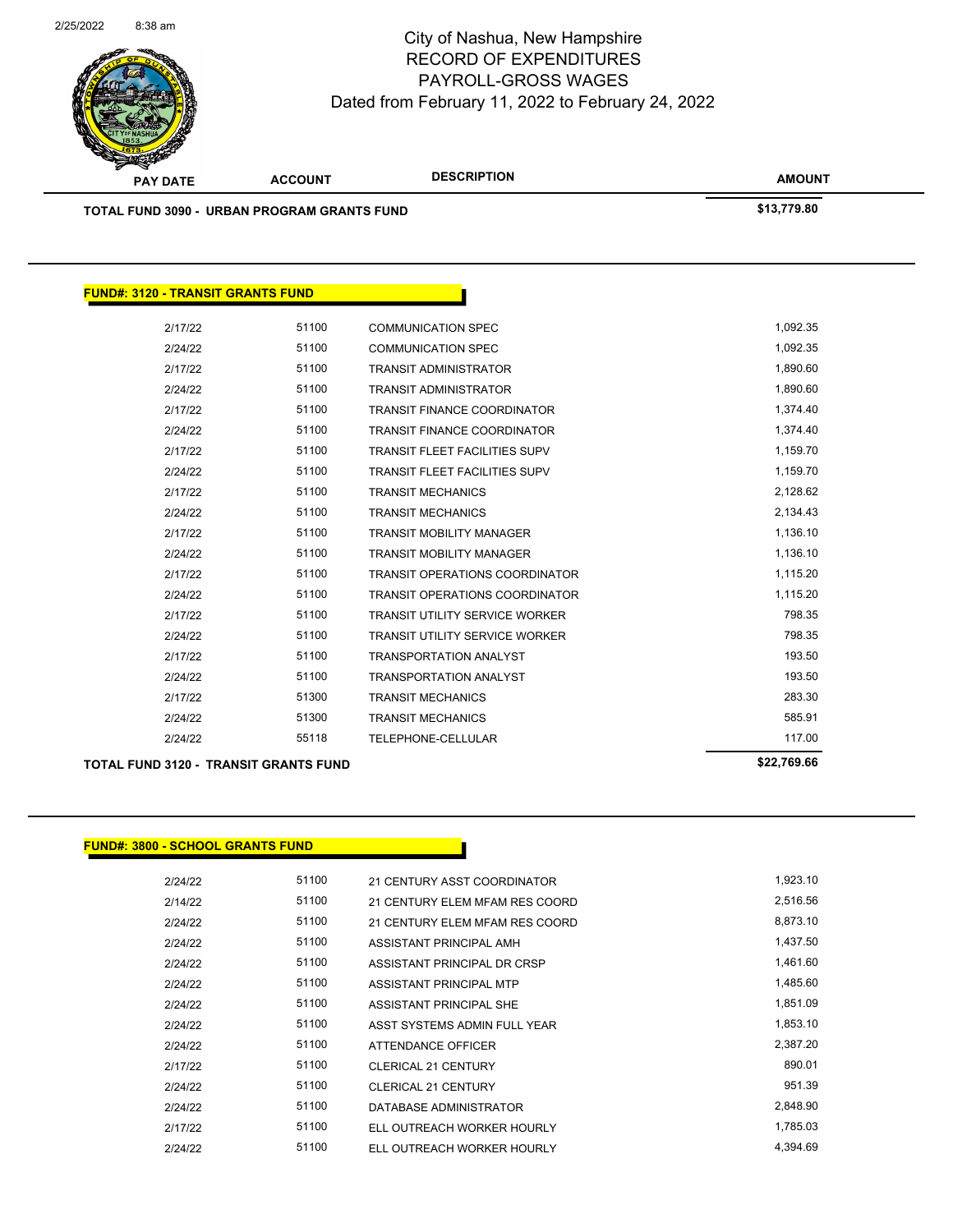

|                                          | <b>TOTAL FUND 3090 - URBAN PROGRAM GRANTS FUND</b> |                                       | \$13,779.80 |
|------------------------------------------|----------------------------------------------------|---------------------------------------|-------------|
|                                          |                                                    |                                       |             |
| <b>FUND#: 3120 - TRANSIT GRANTS FUND</b> |                                                    |                                       |             |
| 2/17/22                                  | 51100                                              | <b>COMMUNICATION SPEC</b>             | 1,092.35    |
| 2/24/22                                  | 51100                                              | <b>COMMUNICATION SPEC</b>             | 1,092.35    |
| 2/17/22                                  | 51100                                              | <b>TRANSIT ADMINISTRATOR</b>          | 1,890.60    |
| 2/24/22                                  | 51100                                              | TRANSIT ADMINISTRATOR                 | 1,890.60    |
| 2/17/22                                  | 51100                                              | <b>TRANSIT FINANCE COORDINATOR</b>    | 1,374.40    |
| 2/24/22                                  | 51100                                              | <b>TRANSIT FINANCE COORDINATOR</b>    | 1,374.40    |
| 2/17/22                                  | 51100                                              | TRANSIT FLEET FACILITIES SUPV         | 1,159.70    |
| 2/24/22                                  | 51100                                              | <b>TRANSIT FLEET FACILITIES SUPV</b>  | 1,159.70    |
| 2/17/22                                  | 51100                                              | <b>TRANSIT MECHANICS</b>              | 2,128.62    |
| 2/24/22                                  | 51100                                              | <b>TRANSIT MECHANICS</b>              | 2,134.43    |
| 2/17/22                                  | 51100                                              | <b>TRANSIT MOBILITY MANAGER</b>       | 1,136.10    |
| 2/24/22                                  | 51100                                              | <b>TRANSIT MOBILITY MANAGER</b>       | 1,136.10    |
| 2/17/22                                  | 51100                                              | <b>TRANSIT OPERATIONS COORDINATOR</b> | 1,115.20    |
| 2/24/22                                  | 51100                                              | TRANSIT OPERATIONS COORDINATOR        | 1,115.20    |
| 2/17/22                                  | 51100                                              | <b>TRANSIT UTILITY SERVICE WORKER</b> | 798.35      |
| 2/24/22                                  | 51100                                              | TRANSIT UTILITY SERVICE WORKER        | 798.35      |
| 2/17/22                                  | 51100                                              | <b>TRANSPORTATION ANALYST</b>         | 193.50      |
| 2/24/22                                  | 51100                                              | <b>TRANSPORTATION ANALYST</b>         | 193.50      |
| 2/17/22                                  | 51300                                              | <b>TRANSIT MECHANICS</b>              | 283.30      |
| 2/24/22                                  | 51300                                              | <b>TRANSIT MECHANICS</b>              | 585.91      |
| 2/24/22                                  | 55118                                              | TELEPHONE-CELLULAR                    | 117.00      |
|                                          | <b>TOTAL FUND 3120 - TRANSIT GRANTS FUND</b>       |                                       | \$22,769.66 |

### **FUND#: 3800 - SCHOOL GRANTS FUND**

| 2/24/22 | 51100 | 21 CENTURY ASST COORDINATOR    | 1,923.10 |
|---------|-------|--------------------------------|----------|
| 2/14/22 | 51100 | 21 CENTURY ELEM MFAM RES COORD | 2,516.56 |
| 2/24/22 | 51100 | 21 CENTURY ELEM MFAM RES COORD | 8,873.10 |
| 2/24/22 | 51100 | ASSISTANT PRINCIPAL AMH        | 1,437.50 |
| 2/24/22 | 51100 | ASSISTANT PRINCIPAL DR CRSP    | 1,461.60 |
| 2/24/22 | 51100 | ASSISTANT PRINCIPAL MTP        | 1,485.60 |
| 2/24/22 | 51100 | ASSISTANT PRINCIPAL SHE        | 1,851.09 |
| 2/24/22 | 51100 | ASST SYSTEMS ADMIN FULL YEAR   | 1,853.10 |
| 2/24/22 | 51100 | ATTENDANCE OFFICER             | 2,387.20 |
| 2/17/22 | 51100 | <b>CLERICAL 21 CENTURY</b>     | 890.01   |
| 2/24/22 | 51100 | <b>CLERICAL 21 CENTURY</b>     | 951.39   |
| 2/24/22 | 51100 | DATABASE ADMINISTRATOR         | 2,848.90 |
| 2/17/22 | 51100 | ELL OUTREACH WORKER HOURLY     | 1.785.03 |
| 2/24/22 | 51100 | ELL OUTREACH WORKER HOURLY     | 4.394.69 |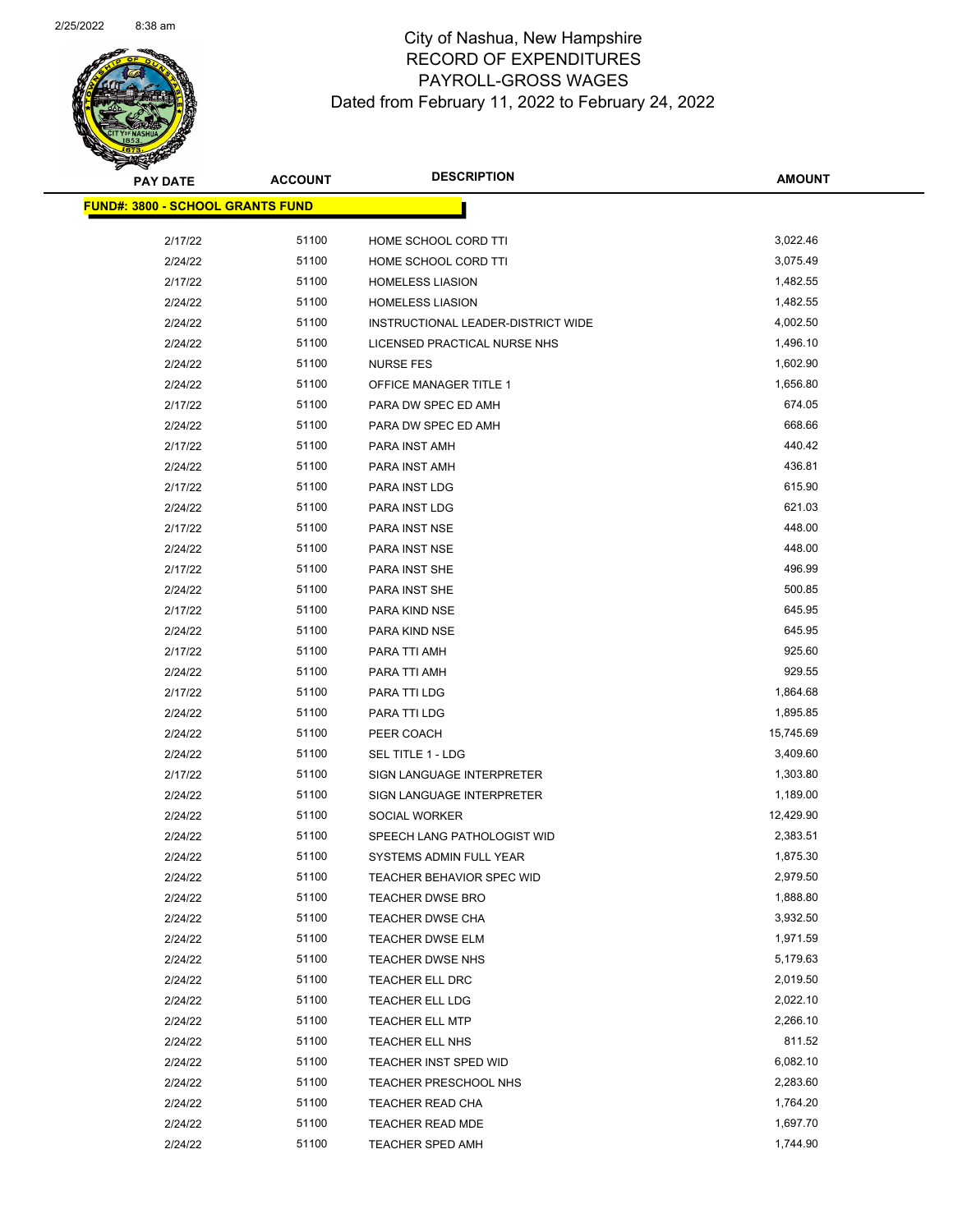

| <u> FUND#: 3800 - SCHOOL GRANTS FUND</u> |       |                                    |           |
|------------------------------------------|-------|------------------------------------|-----------|
| 2/17/22                                  | 51100 | HOME SCHOOL CORD TTI               | 3,022.46  |
| 2/24/22                                  | 51100 | HOME SCHOOL CORD TTI               | 3,075.49  |
| 2/17/22                                  | 51100 | <b>HOMELESS LIASION</b>            | 1,482.55  |
| 2/24/22                                  | 51100 | <b>HOMELESS LIASION</b>            | 1,482.55  |
| 2/24/22                                  | 51100 | INSTRUCTIONAL LEADER-DISTRICT WIDE | 4,002.50  |
| 2/24/22                                  | 51100 | LICENSED PRACTICAL NURSE NHS       | 1,496.10  |
| 2/24/22                                  | 51100 | <b>NURSE FES</b>                   | 1,602.90  |
| 2/24/22                                  | 51100 | OFFICE MANAGER TITLE 1             | 1,656.80  |
| 2/17/22                                  | 51100 | PARA DW SPEC ED AMH                | 674.05    |
| 2/24/22                                  | 51100 | PARA DW SPEC ED AMH                | 668.66    |
| 2/17/22                                  | 51100 | PARA INST AMH                      | 440.42    |
| 2/24/22                                  | 51100 | PARA INST AMH                      | 436.81    |
| 2/17/22                                  | 51100 | PARA INST LDG                      | 615.90    |
| 2/24/22                                  | 51100 | PARA INST LDG                      | 621.03    |
| 2/17/22                                  | 51100 | PARA INST NSE                      | 448.00    |
| 2/24/22                                  | 51100 | PARA INST NSE                      | 448.00    |
| 2/17/22                                  | 51100 | PARA INST SHE                      | 496.99    |
| 2/24/22                                  | 51100 | PARA INST SHE                      | 500.85    |
| 2/17/22                                  | 51100 | PARA KIND NSE                      | 645.95    |
| 2/24/22                                  | 51100 | PARA KIND NSE                      | 645.95    |
| 2/17/22                                  | 51100 | PARA TTI AMH                       | 925.60    |
| 2/24/22                                  | 51100 | PARA TTI AMH                       | 929.55    |
| 2/17/22                                  | 51100 | PARA TTI LDG                       | 1,864.68  |
| 2/24/22                                  | 51100 | PARA TTI LDG                       | 1,895.85  |
| 2/24/22                                  | 51100 | PEER COACH                         | 15,745.69 |
| 2/24/22                                  | 51100 | SEL TITLE 1 - LDG                  | 3,409.60  |
| 2/17/22                                  | 51100 | SIGN LANGUAGE INTERPRETER          | 1,303.80  |
| 2/24/22                                  | 51100 | SIGN LANGUAGE INTERPRETER          | 1,189.00  |
| 2/24/22                                  | 51100 | SOCIAL WORKER                      | 12,429.90 |
| 2/24/22                                  | 51100 | SPEECH LANG PATHOLOGIST WID        | 2,383.51  |
| 2/24/22                                  | 51100 | SYSTEMS ADMIN FULL YEAR            | 1,875.30  |
| 2/24/22                                  | 51100 | TEACHER BEHAVIOR SPEC WID          | 2,979.50  |
| 2/24/22                                  | 51100 | <b>TEACHER DWSE BRO</b>            | 1,888.80  |
| 2/24/22                                  | 51100 | TEACHER DWSE CHA                   | 3,932.50  |
| 2/24/22                                  | 51100 | <b>TEACHER DWSE ELM</b>            | 1,971.59  |
| 2/24/22                                  | 51100 | TEACHER DWSE NHS                   | 5,179.63  |
| 2/24/22                                  | 51100 | TEACHER ELL DRC                    | 2,019.50  |
| 2/24/22                                  | 51100 | TEACHER ELL LDG                    | 2,022.10  |
| 2/24/22                                  | 51100 | <b>TEACHER ELL MTP</b>             | 2,266.10  |
| 2/24/22                                  | 51100 | TEACHER ELL NHS                    | 811.52    |
| 2/24/22                                  | 51100 | TEACHER INST SPED WID              | 6,082.10  |
| 2/24/22                                  | 51100 | TEACHER PRESCHOOL NHS              | 2,283.60  |
| 2/24/22                                  | 51100 | TEACHER READ CHA                   | 1,764.20  |
| 2/24/22                                  | 51100 | TEACHER READ MDE                   | 1,697.70  |
| 2/24/22                                  | 51100 | TEACHER SPED AMH                   | 1,744.90  |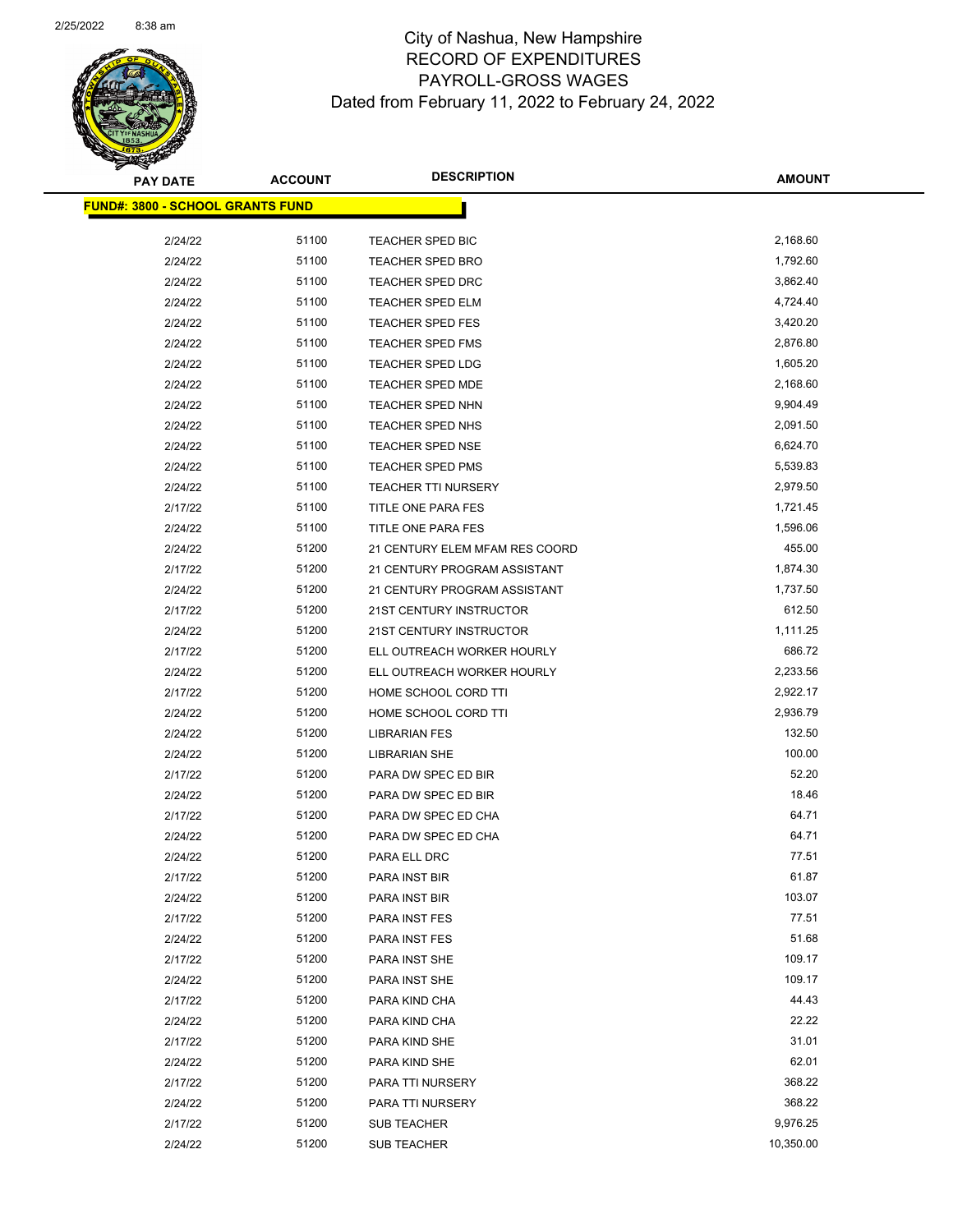

| <b>FUND#: 3800 - SCHOOL GRANTS FUND</b> |       |                                |           |  |
|-----------------------------------------|-------|--------------------------------|-----------|--|
| 2/24/22                                 | 51100 | <b>TEACHER SPED BIC</b>        | 2,168.60  |  |
| 2/24/22                                 | 51100 | TEACHER SPED BRO               | 1,792.60  |  |
| 2/24/22                                 | 51100 | <b>TEACHER SPED DRC</b>        | 3,862.40  |  |
| 2/24/22                                 | 51100 | <b>TEACHER SPED ELM</b>        | 4,724.40  |  |
| 2/24/22                                 | 51100 | <b>TEACHER SPED FES</b>        | 3,420.20  |  |
| 2/24/22                                 | 51100 | <b>TEACHER SPED FMS</b>        | 2,876.80  |  |
| 2/24/22                                 | 51100 | TEACHER SPED LDG               | 1,605.20  |  |
| 2/24/22                                 | 51100 | <b>TEACHER SPED MDE</b>        | 2,168.60  |  |
| 2/24/22                                 | 51100 | <b>TEACHER SPED NHN</b>        | 9,904.49  |  |
| 2/24/22                                 | 51100 | TEACHER SPED NHS               | 2,091.50  |  |
| 2/24/22                                 | 51100 | <b>TEACHER SPED NSE</b>        | 6,624.70  |  |
| 2/24/22                                 | 51100 | <b>TEACHER SPED PMS</b>        | 5,539.83  |  |
| 2/24/22                                 | 51100 | <b>TEACHER TTI NURSERY</b>     | 2,979.50  |  |
| 2/17/22                                 | 51100 | TITLE ONE PARA FES             | 1,721.45  |  |
| 2/24/22                                 | 51100 | TITLE ONE PARA FES             | 1,596.06  |  |
| 2/24/22                                 | 51200 | 21 CENTURY ELEM MFAM RES COORD | 455.00    |  |
| 2/17/22                                 | 51200 | 21 CENTURY PROGRAM ASSISTANT   | 1,874.30  |  |
| 2/24/22                                 | 51200 | 21 CENTURY PROGRAM ASSISTANT   | 1,737.50  |  |
| 2/17/22                                 | 51200 | 21ST CENTURY INSTRUCTOR        | 612.50    |  |
| 2/24/22                                 | 51200 | 21ST CENTURY INSTRUCTOR        | 1,111.25  |  |
| 2/17/22                                 | 51200 | ELL OUTREACH WORKER HOURLY     | 686.72    |  |
| 2/24/22                                 | 51200 | ELL OUTREACH WORKER HOURLY     | 2,233.56  |  |
| 2/17/22                                 | 51200 | HOME SCHOOL CORD TTI           | 2,922.17  |  |
| 2/24/22                                 | 51200 | HOME SCHOOL CORD TTI           | 2,936.79  |  |
| 2/24/22                                 | 51200 | <b>LIBRARIAN FES</b>           | 132.50    |  |
| 2/24/22                                 | 51200 | <b>LIBRARIAN SHE</b>           | 100.00    |  |
| 2/17/22                                 | 51200 | PARA DW SPEC ED BIR            | 52.20     |  |
| 2/24/22                                 | 51200 | PARA DW SPEC ED BIR            | 18.46     |  |
| 2/17/22                                 | 51200 | PARA DW SPEC ED CHA            | 64.71     |  |
| 2/24/22                                 | 51200 | PARA DW SPEC ED CHA            | 64.71     |  |
| 2/24/22                                 | 51200 | PARA ELL DRC                   | 77.51     |  |
| 2/17/22                                 | 51200 | PARA INST BIR                  | 61.87     |  |
| 2/24/22                                 | 51200 | PARA INST BIR                  | 103.07    |  |
| 2/17/22                                 | 51200 | PARA INST FES                  | 77.51     |  |
| 2/24/22                                 | 51200 | PARA INST FES                  | 51.68     |  |
| 2/17/22                                 | 51200 | PARA INST SHE                  | 109.17    |  |
| 2/24/22                                 | 51200 | PARA INST SHE                  | 109.17    |  |
| 2/17/22                                 | 51200 | PARA KIND CHA                  | 44.43     |  |
| 2/24/22                                 | 51200 | PARA KIND CHA                  | 22.22     |  |
| 2/17/22                                 | 51200 | PARA KIND SHE                  | 31.01     |  |
| 2/24/22                                 | 51200 | PARA KIND SHE                  | 62.01     |  |
| 2/17/22                                 | 51200 | PARA TTI NURSERY               | 368.22    |  |
| 2/24/22                                 | 51200 | PARA TTI NURSERY               | 368.22    |  |
| 2/17/22                                 | 51200 | SUB TEACHER                    | 9,976.25  |  |
| 2/24/22                                 | 51200 | SUB TEACHER                    | 10,350.00 |  |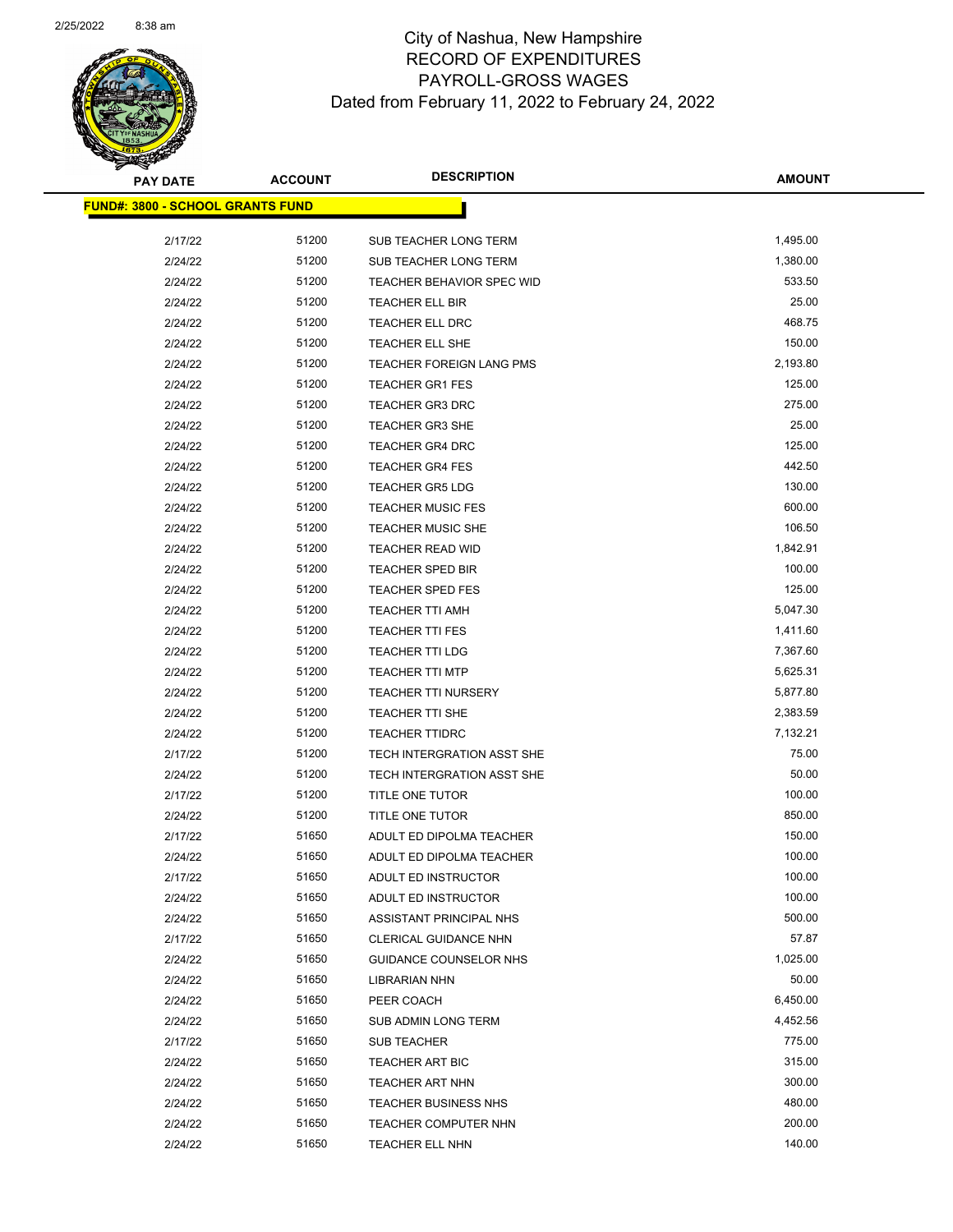

| <b>PAY DATE</b>                         | <b>ACCOUNT</b> | <b>DESCRIPTION</b>               | <b>AMOUNT</b> |
|-----------------------------------------|----------------|----------------------------------|---------------|
| <b>FUND#: 3800 - SCHOOL GRANTS FUND</b> |                |                                  |               |
| 2/17/22                                 | 51200          | SUB TEACHER LONG TERM            | 1,495.00      |
| 2/24/22                                 | 51200          | SUB TEACHER LONG TERM            | 1,380.00      |
| 2/24/22                                 | 51200          | <b>TEACHER BEHAVIOR SPEC WID</b> | 533.50        |
| 2/24/22                                 | 51200          | TEACHER ELL BIR                  | 25.00         |
| 2/24/22                                 | 51200          | <b>TEACHER ELL DRC</b>           | 468.75        |
| 2/24/22                                 | 51200          | TEACHER ELL SHE                  | 150.00        |
| 2/24/22                                 | 51200          | TEACHER FOREIGN LANG PMS         | 2,193.80      |
| 2/24/22                                 | 51200          | <b>TEACHER GR1 FES</b>           | 125.00        |
| 2/24/22                                 | 51200          | <b>TEACHER GR3 DRC</b>           | 275.00        |
| 2/24/22                                 | 51200          | <b>TEACHER GR3 SHE</b>           | 25.00         |
| 2/24/22                                 | 51200          | <b>TEACHER GR4 DRC</b>           | 125.00        |
| 2/24/22                                 | 51200          | <b>TEACHER GR4 FES</b>           | 442.50        |
| 2/24/22                                 | 51200          | <b>TEACHER GR5 LDG</b>           | 130.00        |
| 2/24/22                                 | 51200          | <b>TEACHER MUSIC FES</b>         | 600.00        |
| 2/24/22                                 | 51200          | <b>TEACHER MUSIC SHE</b>         | 106.50        |
| 2/24/22                                 | 51200          | <b>TEACHER READ WID</b>          | 1,842.91      |
| 2/24/22                                 | 51200          | <b>TEACHER SPED BIR</b>          | 100.00        |
| 2/24/22                                 | 51200          | <b>TEACHER SPED FES</b>          | 125.00        |
| 2/24/22                                 | 51200          | <b>TEACHER TTI AMH</b>           | 5,047.30      |
| 2/24/22                                 | 51200          | <b>TEACHER TTI FES</b>           | 1,411.60      |
| 2/24/22                                 | 51200          | <b>TEACHER TTI LDG</b>           | 7,367.60      |
| 2/24/22                                 | 51200          | <b>TEACHER TTI MTP</b>           | 5,625.31      |
| 2/24/22                                 | 51200          | <b>TEACHER TTI NURSERY</b>       | 5,877.80      |
| 2/24/22                                 | 51200          | TEACHER TTI SHE                  | 2,383.59      |
| 2/24/22                                 | 51200          | <b>TEACHER TTIDRC</b>            | 7,132.21      |
| 2/17/22                                 | 51200          | TECH INTERGRATION ASST SHE       | 75.00         |
| 2/24/22                                 | 51200          | TECH INTERGRATION ASST SHE       | 50.00         |
| 2/17/22                                 | 51200          | TITLE ONE TUTOR                  | 100.00        |
| 2/24/22                                 | 51200          | TITLE ONE TUTOR                  | 850.00        |
| 2/17/22                                 | 51650          | ADULT ED DIPOLMA TEACHER         | 150.00        |
| 2/24/22                                 | 51650          | ADULT ED DIPOLMA TEACHER         | 100.00        |
| 2/17/22                                 | 51650          | ADULT ED INSTRUCTOR              | 100.00        |
| 2/24/22                                 | 51650          | ADULT ED INSTRUCTOR              | 100.00        |
| 2/24/22                                 | 51650          | ASSISTANT PRINCIPAL NHS          | 500.00        |
| 2/17/22                                 | 51650          | CLERICAL GUIDANCE NHN            | 57.87         |
| 2/24/22                                 | 51650          | GUIDANCE COUNSELOR NHS           | 1,025.00      |
| 2/24/22                                 | 51650          | <b>LIBRARIAN NHN</b>             | 50.00         |
| 2/24/22                                 | 51650          | PEER COACH                       | 6,450.00      |
| 2/24/22                                 | 51650          | SUB ADMIN LONG TERM              | 4,452.56      |
| 2/17/22                                 | 51650          | SUB TEACHER                      | 775.00        |
| 2/24/22                                 | 51650          | <b>TEACHER ART BIC</b>           | 315.00        |
| 2/24/22                                 | 51650          | <b>TEACHER ART NHN</b>           | 300.00        |
| 2/24/22                                 | 51650          | <b>TEACHER BUSINESS NHS</b>      | 480.00        |
| 2/24/22                                 | 51650          | TEACHER COMPUTER NHN             | 200.00        |
| 2/24/22                                 | 51650          | <b>TEACHER ELL NHN</b>           | 140.00        |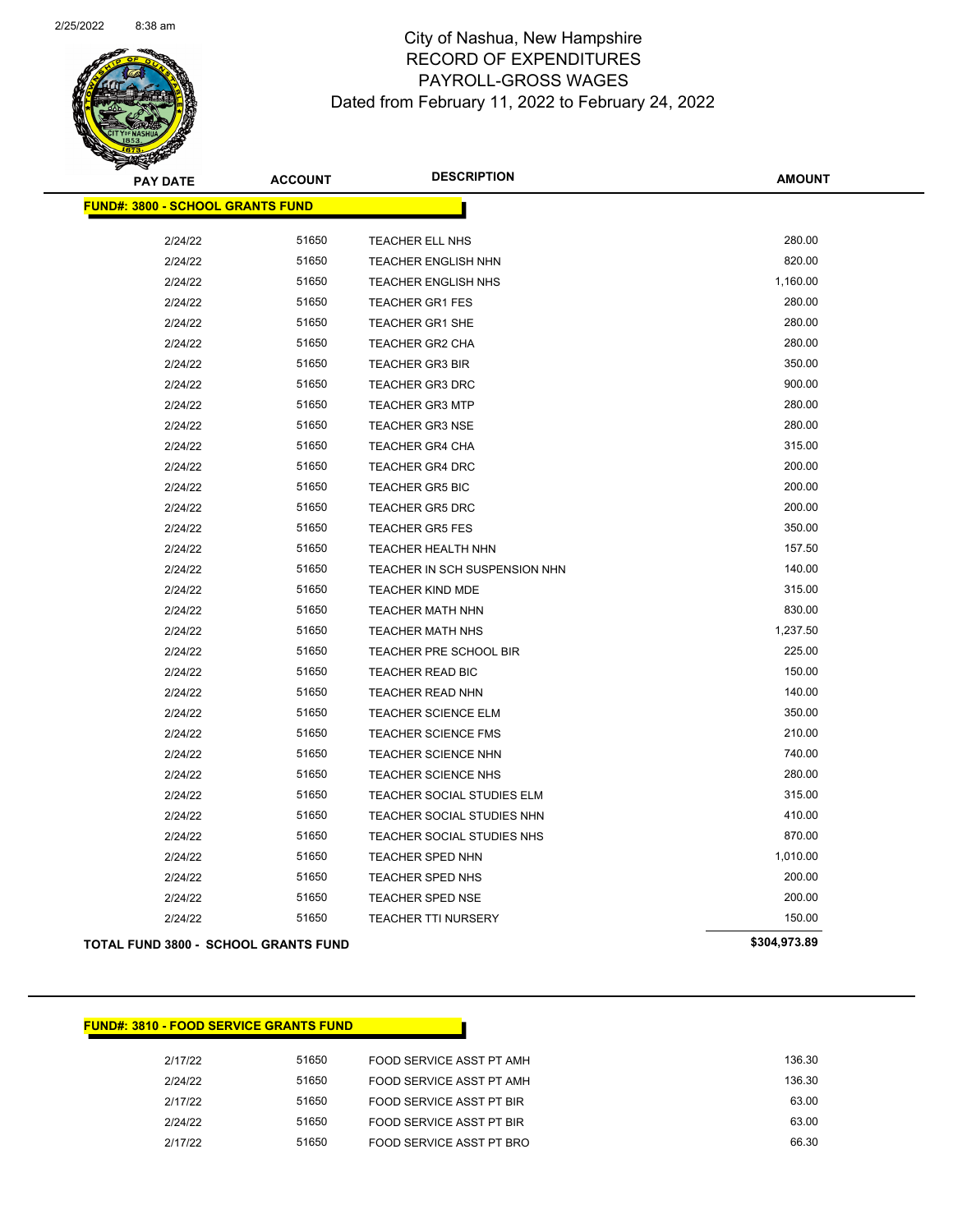

**AMOUNT**

| <b>FUND#: 3800 - SCHOOL GRANTS FUND</b>     |                                        |              |
|---------------------------------------------|----------------------------------------|--------------|
|                                             |                                        |              |
| 2/24/22                                     | 51650<br><b>TEACHER ELL NHS</b>        | 280.00       |
| 2/24/22                                     | 51650<br><b>TEACHER ENGLISH NHN</b>    | 820.00       |
| 2/24/22                                     | 51650<br><b>TEACHER ENGLISH NHS</b>    | 1,160.00     |
| 2/24/22                                     | 51650<br><b>TEACHER GR1 FES</b>        | 280.00       |
| 2/24/22                                     | 51650<br><b>TEACHER GR1 SHE</b>        | 280.00       |
| 2/24/22                                     | 51650<br>TEACHER GR2 CHA               | 280.00       |
| 2/24/22                                     | 51650<br><b>TEACHER GR3 BIR</b>        | 350.00       |
| 2/24/22                                     | 51650<br><b>TEACHER GR3 DRC</b>        | 900.00       |
| 2/24/22                                     | 51650<br><b>TEACHER GR3 MTP</b>        | 280.00       |
| 2/24/22                                     | 51650<br><b>TEACHER GR3 NSE</b>        | 280.00       |
| 2/24/22                                     | 51650<br><b>TEACHER GR4 CHA</b>        | 315.00       |
| 2/24/22                                     | 51650<br><b>TEACHER GR4 DRC</b>        | 200.00       |
| 2/24/22                                     | 51650<br><b>TEACHER GR5 BIC</b>        | 200.00       |
| 2/24/22                                     | 51650<br><b>TEACHER GR5 DRC</b>        | 200.00       |
| 2/24/22                                     | 51650<br><b>TEACHER GR5 FES</b>        | 350.00       |
| 2/24/22                                     | 51650<br><b>TEACHER HEALTH NHN</b>     | 157.50       |
| 2/24/22                                     | 51650<br>TEACHER IN SCH SUSPENSION NHN | 140.00       |
| 2/24/22                                     | 51650<br><b>TEACHER KIND MDE</b>       | 315.00       |
| 2/24/22                                     | 51650<br><b>TEACHER MATH NHN</b>       | 830.00       |
| 2/24/22                                     | 51650<br><b>TEACHER MATH NHS</b>       | 1,237.50     |
| 2/24/22                                     | 51650<br>TEACHER PRE SCHOOL BIR        | 225.00       |
| 2/24/22                                     | 51650<br><b>TEACHER READ BIC</b>       | 150.00       |
| 2/24/22                                     | 51650<br><b>TEACHER READ NHN</b>       | 140.00       |
| 2/24/22                                     | 51650<br><b>TEACHER SCIENCE ELM</b>    | 350.00       |
| 2/24/22                                     | 51650<br><b>TEACHER SCIENCE FMS</b>    | 210.00       |
| 2/24/22                                     | 51650<br>TEACHER SCIENCE NHN           | 740.00       |
| 2/24/22                                     | 51650<br><b>TEACHER SCIENCE NHS</b>    | 280.00       |
| 2/24/22                                     | 51650<br>TEACHER SOCIAL STUDIES ELM    | 315.00       |
| 2/24/22                                     | 51650<br>TEACHER SOCIAL STUDIES NHN    | 410.00       |
| 2/24/22                                     | 51650<br>TEACHER SOCIAL STUDIES NHS    | 870.00       |
| 2/24/22                                     | 51650<br><b>TEACHER SPED NHN</b>       | 1,010.00     |
| 2/24/22                                     | 51650<br><b>TEACHER SPED NHS</b>       | 200.00       |
| 2/24/22                                     | 51650<br><b>TEACHER SPED NSE</b>       | 200.00       |
| 2/24/22                                     | 51650<br><b>TEACHER TTI NURSERY</b>    | 150.00       |
| <b>TOTAL FUND 3800 - SCHOOL GRANTS FUND</b> |                                        | \$304,973.89 |

### **FUND#: 3810 - FOOD SERVICE GRANTS FUND**

| 2/17/22 | 51650 | FOOD SERVICE ASST PT AMH | 136.30 |
|---------|-------|--------------------------|--------|
| 2/24/22 | 51650 | FOOD SERVICE ASST PT AMH | 136.30 |
| 2/17/22 | 51650 | FOOD SERVICE ASST PT BIR | 63.00  |
| 2124122 | 51650 | FOOD SERVICE ASST PT BIR | 63.00  |
| 2/17/22 | 51650 | FOOD SERVICE ASST PT BRO | 66.30  |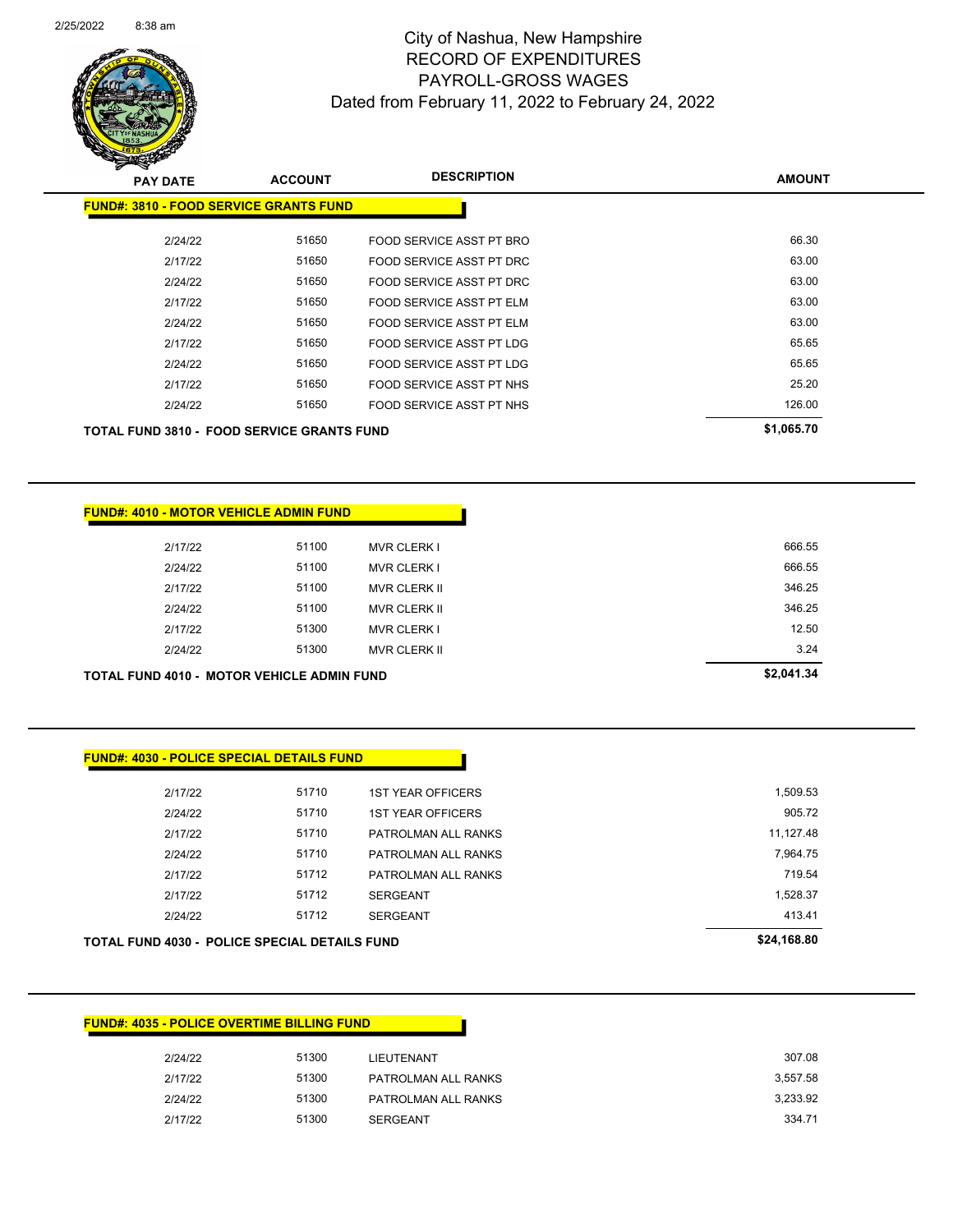

Page 99 of 104

| <b>PAY DATE</b>                                   | <b>ACCOUNT</b> | <b>DESCRIPTION</b>              | <b>AMOUNT</b>  |
|---------------------------------------------------|----------------|---------------------------------|----------------|
| <b>FUND#: 3810 - FOOD SERVICE GRANTS FUND</b>     |                |                                 |                |
| 2/24/22                                           | 51650          | FOOD SERVICE ASST PT BRO        | 66.30          |
|                                                   | 51650          |                                 | 63.00          |
| 2/17/22                                           |                | FOOD SERVICE ASST PT DRC        |                |
| 2/24/22                                           | 51650          | FOOD SERVICE ASST PT DRC        | 63.00<br>63.00 |
| 2/17/22                                           | 51650          | <b>FOOD SERVICE ASST PT ELM</b> |                |
| 2/24/22                                           | 51650          | FOOD SERVICE ASST PT ELM        | 63.00          |
| 2/17/22                                           | 51650          | FOOD SERVICE ASST PT LDG        | 65.65          |
| 2/24/22                                           | 51650          | <b>FOOD SERVICE ASST PT LDG</b> | 65.65          |
| 2/17/22                                           | 51650          | FOOD SERVICE ASST PT NHS        | 25.20          |
| 2/24/22                                           | 51650          | FOOD SERVICE ASST PT NHS        | 126.00         |
| <b>TOTAL FUND 3810 - FOOD SERVICE GRANTS FUND</b> |                |                                 | \$1,065.70     |

|         | <b>FUND#: 4010 - MOTOR VEHICLE ADMIN FUND</b>     |                     |            |
|---------|---------------------------------------------------|---------------------|------------|
| 2/17/22 | 51100                                             | <b>MVR CLERK I</b>  | 666.55     |
| 2/24/22 | 51100                                             | <b>MVR CLERK I</b>  | 666.55     |
| 2/17/22 | 51100                                             | <b>MVR CLERK II</b> | 346.25     |
| 2/24/22 | 51100                                             | <b>MVR CLERK II</b> | 346.25     |
| 2/17/22 | 51300                                             | <b>MVR CLERK I</b>  | 12.50      |
| 2/24/22 | 51300                                             | <b>MVR CLERK II</b> | 3.24       |
|         | <b>TOTAL FUND 4010 - MOTOR VEHICLE ADMIN FUND</b> |                     | \$2,041.34 |

|  | <b>FUND#: 4030 - POLICE SPECIAL DETAILS FUND</b> |  |
|--|--------------------------------------------------|--|
|  |                                                  |  |

| <b>TOTAL FUND 4030 - POLICE SPECIAL DETAILS FUND</b> |       |                          | \$24,168.80 |
|------------------------------------------------------|-------|--------------------------|-------------|
| 2/24/22                                              | 51712 | <b>SERGEANT</b>          | 413.41      |
| 2/17/22                                              | 51712 | <b>SERGEANT</b>          | 1,528.37    |
| 2/17/22                                              | 51712 | PATROLMAN ALL RANKS      | 719.54      |
| 2/24/22                                              | 51710 | PATROLMAN ALL RANKS      | 7,964.75    |
| 2/17/22                                              | 51710 | PATROLMAN ALL RANKS      | 11,127.48   |
| 2/24/22                                              | 51710 | <b>1ST YEAR OFFICERS</b> | 905.72      |
| 2/17/22                                              | 51710 | <b>1ST YEAR OFFICERS</b> | 1,509.53    |
|                                                      |       |                          |             |

| 2/24/22 | 51300 | LIEUTENANT          | 307.08   |
|---------|-------|---------------------|----------|
| 2/17/22 | 51300 | PATROLMAN ALL RANKS | 3.557.58 |
| 2/24/22 | 51300 | PATROLMAN ALL RANKS | 3,233.92 |
| 2/17/22 | 51300 | <b>SERGEANT</b>     | 334.71   |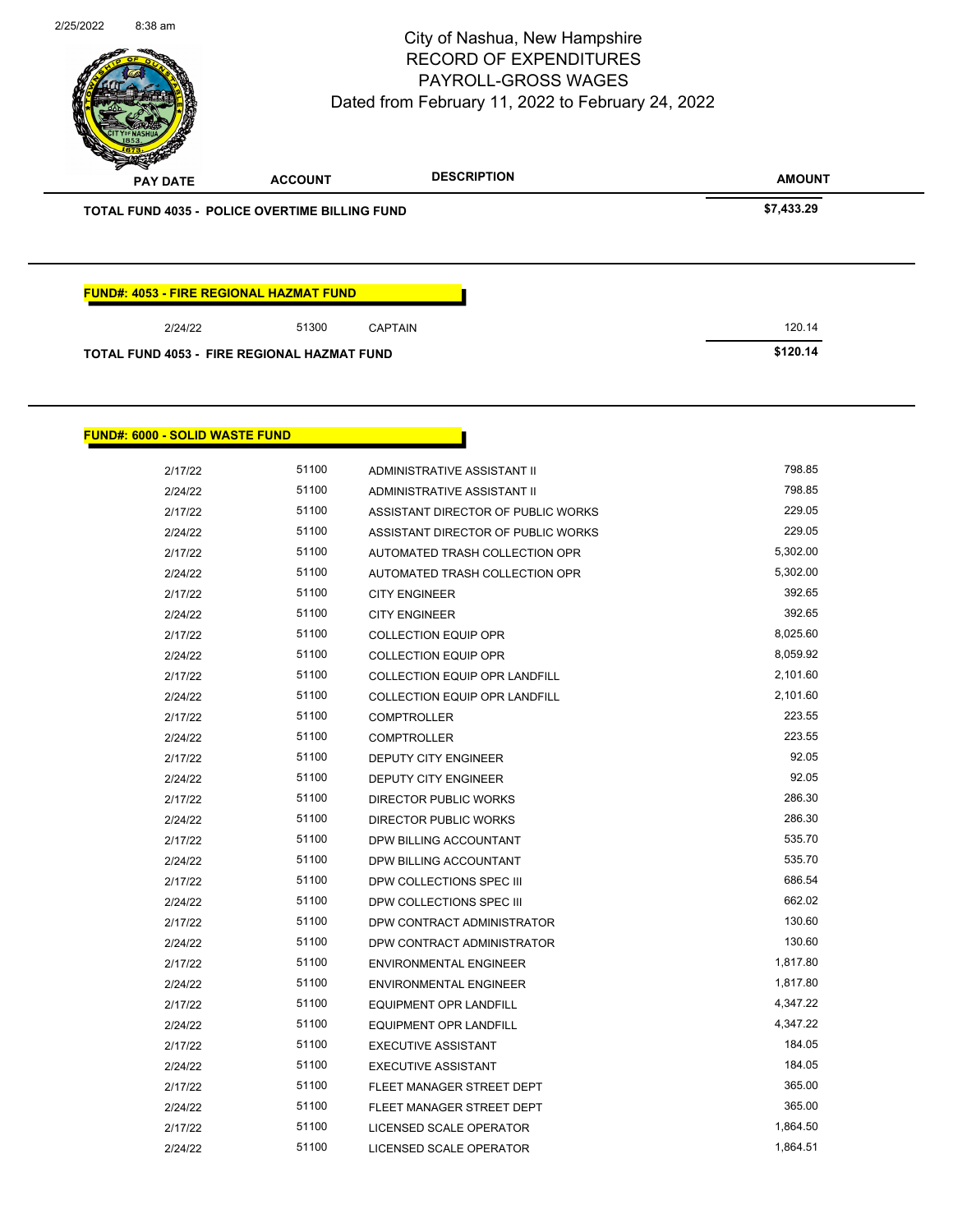

| <b>PAY DATE</b>                                       | <b>ACCOUNT</b> | <b>DESCRIPTION</b> | <b>AMOUNT</b> |
|-------------------------------------------------------|----------------|--------------------|---------------|
| <b>TOTAL FUND 4035 - POLICE OVERTIME BILLING FUND</b> |                |                    | \$7,433.29    |
|                                                       |                |                    |               |
|                                                       |                |                    |               |
|                                                       |                |                    |               |
| <b>FUND#: 4053 - FIRE REGIONAL HAZMAT FUND</b>        |                |                    |               |
| 2/24/22                                               | 51300          | <b>CAPTAIN</b>     | 120.14        |

### **FUND#: 6000 - SOLID WASTE FUND**

| 2/17/22 | 51100 | ADMINISTRATIVE ASSISTANT II          | 798.85   |
|---------|-------|--------------------------------------|----------|
| 2/24/22 | 51100 | ADMINISTRATIVE ASSISTANT II          | 798.85   |
| 2/17/22 | 51100 | ASSISTANT DIRECTOR OF PUBLIC WORKS   | 229.05   |
| 2/24/22 | 51100 | ASSISTANT DIRECTOR OF PUBLIC WORKS   | 229.05   |
| 2/17/22 | 51100 | AUTOMATED TRASH COLLECTION OPR       | 5,302.00 |
| 2/24/22 | 51100 | AUTOMATED TRASH COLLECTION OPR       | 5,302.00 |
| 2/17/22 | 51100 | <b>CITY ENGINEER</b>                 | 392.65   |
| 2/24/22 | 51100 | <b>CITY ENGINEER</b>                 | 392.65   |
| 2/17/22 | 51100 | <b>COLLECTION EQUIP OPR</b>          | 8,025.60 |
| 2/24/22 | 51100 | <b>COLLECTION EQUIP OPR</b>          | 8,059.92 |
| 2/17/22 | 51100 | <b>COLLECTION EQUIP OPR LANDFILL</b> | 2,101.60 |
| 2/24/22 | 51100 | COLLECTION EQUIP OPR LANDFILL        | 2,101.60 |
| 2/17/22 | 51100 | <b>COMPTROLLER</b>                   | 223.55   |
| 2/24/22 | 51100 | <b>COMPTROLLER</b>                   | 223.55   |
| 2/17/22 | 51100 | <b>DEPUTY CITY ENGINEER</b>          | 92.05    |
| 2/24/22 | 51100 | <b>DEPUTY CITY ENGINEER</b>          | 92.05    |
| 2/17/22 | 51100 | <b>DIRECTOR PUBLIC WORKS</b>         | 286.30   |
| 2/24/22 | 51100 | DIRECTOR PUBLIC WORKS                | 286.30   |
| 2/17/22 | 51100 | DPW BILLING ACCOUNTANT               | 535.70   |
| 2/24/22 | 51100 | DPW BILLING ACCOUNTANT               | 535.70   |
| 2/17/22 | 51100 | DPW COLLECTIONS SPEC III             | 686.54   |
| 2/24/22 | 51100 | DPW COLLECTIONS SPEC III             | 662.02   |
| 2/17/22 | 51100 | DPW CONTRACT ADMINISTRATOR           | 130.60   |
| 2/24/22 | 51100 | DPW CONTRACT ADMINISTRATOR           | 130.60   |
| 2/17/22 | 51100 | <b>ENVIRONMENTAL ENGINEER</b>        | 1,817.80 |
| 2/24/22 | 51100 | <b>ENVIRONMENTAL ENGINEER</b>        | 1,817.80 |
| 2/17/22 | 51100 | <b>EQUIPMENT OPR LANDFILL</b>        | 4,347.22 |
| 2/24/22 | 51100 | <b>EQUIPMENT OPR LANDFILL</b>        | 4,347.22 |
| 2/17/22 | 51100 | <b>EXECUTIVE ASSISTANT</b>           | 184.05   |
| 2/24/22 | 51100 | <b>EXECUTIVE ASSISTANT</b>           | 184.05   |
| 2/17/22 | 51100 | FLEET MANAGER STREET DEPT            | 365.00   |
| 2/24/22 | 51100 | FLEET MANAGER STREET DEPT            | 365.00   |
| 2/17/22 | 51100 | LICENSED SCALE OPERATOR              | 1,864.50 |
| 2/24/22 | 51100 | LICENSED SCALE OPERATOR              | 1,864.51 |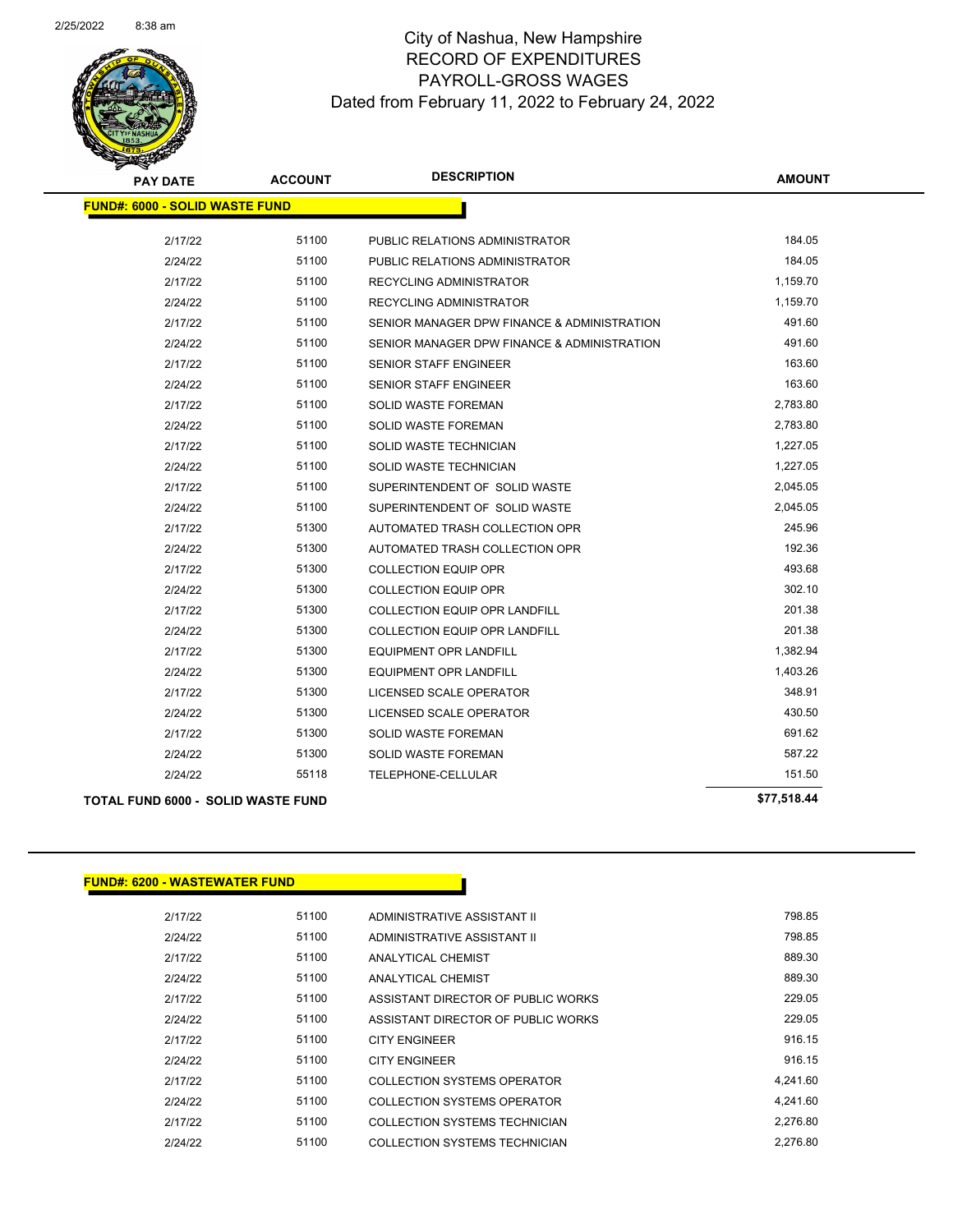

| <b>PAY DATE</b>                       | <b>ACCOUNT</b> | <b>DESCRIPTION</b>                          | <b>AMOUNT</b> |
|---------------------------------------|----------------|---------------------------------------------|---------------|
| <b>FUND#: 6000 - SOLID WASTE FUND</b> |                |                                             |               |
| 2/17/22                               | 51100          | PUBLIC RELATIONS ADMINISTRATOR              | 184.05        |
| 2/24/22                               | 51100          | PUBLIC RELATIONS ADMINISTRATOR              | 184.05        |
| 2/17/22                               | 51100          | <b>RECYCLING ADMINISTRATOR</b>              | 1,159.70      |
| 2/24/22                               | 51100          | RECYCLING ADMINISTRATOR                     | 1,159.70      |
| 2/17/22                               | 51100          | SENIOR MANAGER DPW FINANCE & ADMINISTRATION | 491.60        |
| 2/24/22                               | 51100          | SENIOR MANAGER DPW FINANCE & ADMINISTRATION | 491.60        |
| 2/17/22                               | 51100          | <b>SENIOR STAFF ENGINEER</b>                | 163.60        |
| 2/24/22                               | 51100          | <b>SENIOR STAFF ENGINEER</b>                | 163.60        |
| 2/17/22                               | 51100          | <b>SOLID WASTE FOREMAN</b>                  | 2,783.80      |
| 2/24/22                               | 51100          | <b>SOLID WASTE FOREMAN</b>                  | 2,783.80      |
| 2/17/22                               | 51100          | SOLID WASTE TECHNICIAN                      | 1,227.05      |
| 2/24/22                               | 51100          | SOLID WASTE TECHNICIAN                      | 1,227.05      |
| 2/17/22                               | 51100          | SUPERINTENDENT OF SOLID WASTE               | 2,045.05      |
| 2/24/22                               | 51100          | SUPERINTENDENT OF SOLID WASTE               | 2,045.05      |
| 2/17/22                               | 51300          | AUTOMATED TRASH COLLECTION OPR              | 245.96        |
| 2/24/22                               | 51300          | AUTOMATED TRASH COLLECTION OPR              | 192.36        |
| 2/17/22                               | 51300          | <b>COLLECTION EQUIP OPR</b>                 | 493.68        |
| 2/24/22                               | 51300          | <b>COLLECTION EQUIP OPR</b>                 | 302.10        |
| 2/17/22                               | 51300          | <b>COLLECTION EQUIP OPR LANDFILL</b>        | 201.38        |
| 2/24/22                               | 51300          | <b>COLLECTION EQUIP OPR LANDFILL</b>        | 201.38        |
| 2/17/22                               | 51300          | <b>EQUIPMENT OPR LANDFILL</b>               | 1,382.94      |
| 2/24/22                               | 51300          | <b>EQUIPMENT OPR LANDFILL</b>               | 1,403.26      |
| 2/17/22                               | 51300          | LICENSED SCALE OPERATOR                     | 348.91        |
| 2/24/22                               | 51300          | LICENSED SCALE OPERATOR                     | 430.50        |
| 2/17/22                               | 51300          | <b>SOLID WASTE FOREMAN</b>                  | 691.62        |
| 2/24/22                               | 51300          | SOLID WASTE FOREMAN                         | 587.22        |
| 2/24/22                               | 55118          | TELEPHONE-CELLULAR                          | 151.50        |
| TOTAL FUND 6000 - SOLID WASTE FUND    |                |                                             | \$77,518.44   |

### **FUND#: 6200 - WASTEWATER FUND**

| 2/17/22 | 51100 | ADMINISTRATIVE ASSISTANT II        | 798.85   |
|---------|-------|------------------------------------|----------|
| 2/24/22 | 51100 | ADMINISTRATIVE ASSISTANT II        | 798.85   |
| 2/17/22 | 51100 | ANALYTICAL CHEMIST                 | 889.30   |
| 2/24/22 | 51100 | <b>ANALYTICAL CHEMIST</b>          | 889.30   |
| 2/17/22 | 51100 | ASSISTANT DIRECTOR OF PUBLIC WORKS | 229.05   |
| 2/24/22 | 51100 | ASSISTANT DIRECTOR OF PUBLIC WORKS | 229.05   |
| 2/17/22 | 51100 | <b>CITY ENGINEER</b>               | 916.15   |
| 2/24/22 | 51100 | <b>CITY ENGINEER</b>               | 916.15   |
| 2/17/22 | 51100 | COLLECTION SYSTEMS OPERATOR        | 4.241.60 |
| 2/24/22 | 51100 | COLLECTION SYSTEMS OPERATOR        | 4.241.60 |
| 2/17/22 | 51100 | COLLECTION SYSTEMS TECHNICIAN      | 2.276.80 |
| 2/24/22 | 51100 | COLLECTION SYSTEMS TECHNICIAN      | 2.276.80 |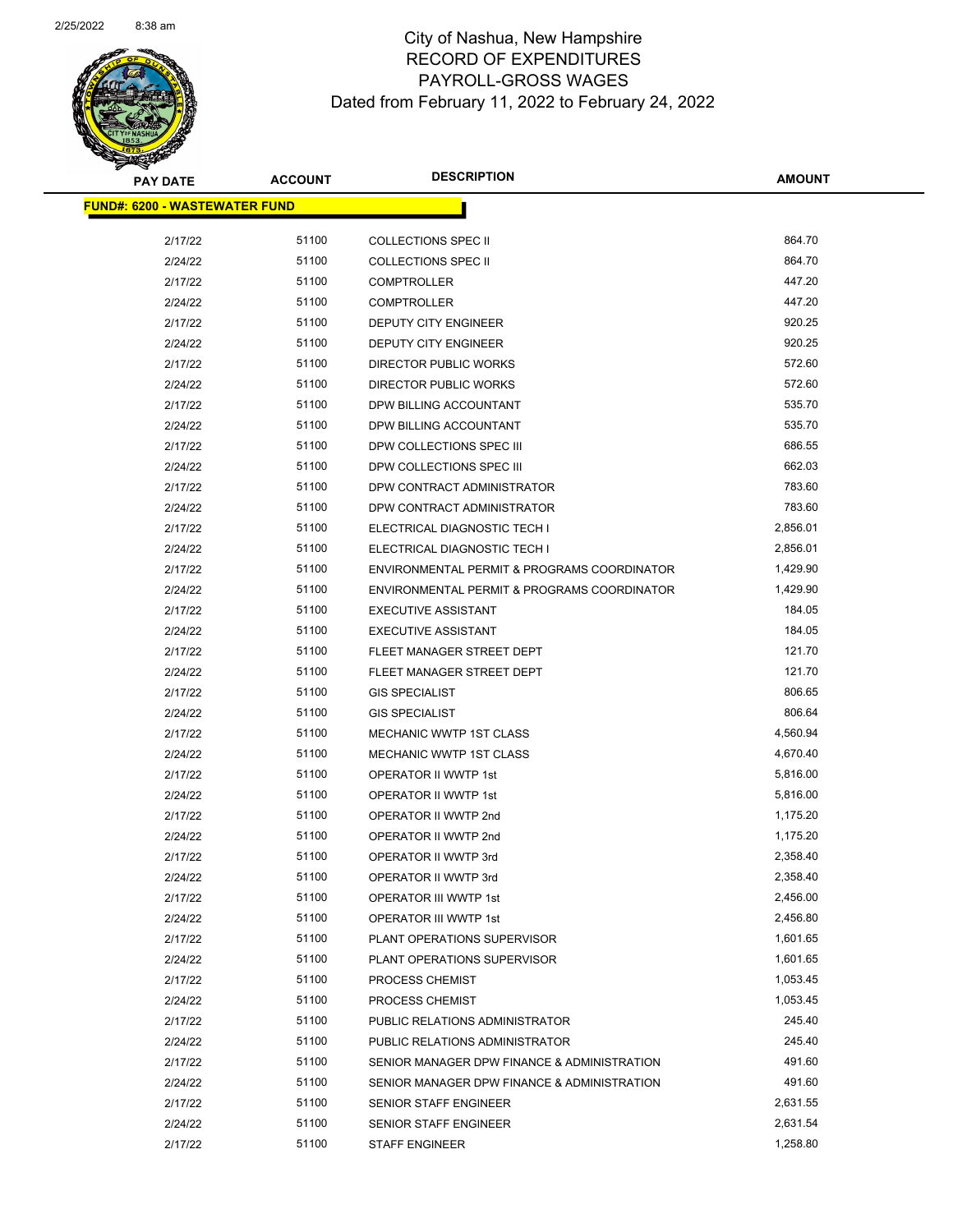

| <u> FUND#: 6200 - WASTEWATER FUND</u> |       |                                             |          |  |
|---------------------------------------|-------|---------------------------------------------|----------|--|
| 2/17/22                               | 51100 | <b>COLLECTIONS SPEC II</b>                  | 864.70   |  |
| 2/24/22                               | 51100 | <b>COLLECTIONS SPEC II</b>                  | 864.70   |  |
| 2/17/22                               | 51100 | <b>COMPTROLLER</b>                          | 447.20   |  |
| 2/24/22                               | 51100 | <b>COMPTROLLER</b>                          | 447.20   |  |
| 2/17/22                               | 51100 | DEPUTY CITY ENGINEER                        | 920.25   |  |
| 2/24/22                               | 51100 | DEPUTY CITY ENGINEER                        | 920.25   |  |
| 2/17/22                               | 51100 | DIRECTOR PUBLIC WORKS                       | 572.60   |  |
| 2/24/22                               | 51100 | DIRECTOR PUBLIC WORKS                       | 572.60   |  |
| 2/17/22                               | 51100 | DPW BILLING ACCOUNTANT                      | 535.70   |  |
| 2/24/22                               | 51100 | DPW BILLING ACCOUNTANT                      | 535.70   |  |
| 2/17/22                               | 51100 | DPW COLLECTIONS SPEC III                    | 686.55   |  |
| 2/24/22                               | 51100 | DPW COLLECTIONS SPEC III                    | 662.03   |  |
| 2/17/22                               | 51100 | DPW CONTRACT ADMINISTRATOR                  | 783.60   |  |
| 2/24/22                               | 51100 | DPW CONTRACT ADMINISTRATOR                  | 783.60   |  |
| 2/17/22                               | 51100 | ELECTRICAL DIAGNOSTIC TECH I                | 2,856.01 |  |
| 2/24/22                               | 51100 | ELECTRICAL DIAGNOSTIC TECH I                | 2,856.01 |  |
| 2/17/22                               | 51100 | ENVIRONMENTAL PERMIT & PROGRAMS COORDINATOR | 1,429.90 |  |
| 2/24/22                               | 51100 | ENVIRONMENTAL PERMIT & PROGRAMS COORDINATOR | 1,429.90 |  |
| 2/17/22                               | 51100 | <b>EXECUTIVE ASSISTANT</b>                  | 184.05   |  |
| 2/24/22                               | 51100 | <b>EXECUTIVE ASSISTANT</b>                  | 184.05   |  |
| 2/17/22                               | 51100 | FLEET MANAGER STREET DEPT                   | 121.70   |  |
| 2/24/22                               | 51100 | FLEET MANAGER STREET DEPT                   | 121.70   |  |
| 2/17/22                               | 51100 | <b>GIS SPECIALIST</b>                       | 806.65   |  |
| 2/24/22                               | 51100 | <b>GIS SPECIALIST</b>                       | 806.64   |  |
| 2/17/22                               | 51100 | <b>MECHANIC WWTP 1ST CLASS</b>              | 4,560.94 |  |
| 2/24/22                               | 51100 | MECHANIC WWTP 1ST CLASS                     | 4,670.40 |  |
| 2/17/22                               | 51100 | OPERATOR II WWTP 1st                        | 5,816.00 |  |
| 2/24/22                               | 51100 | OPERATOR II WWTP 1st                        | 5,816.00 |  |
| 2/17/22                               | 51100 | OPERATOR II WWTP 2nd                        | 1,175.20 |  |
| 2/24/22                               | 51100 | OPERATOR II WWTP 2nd                        | 1,175.20 |  |
| 2/17/22                               | 51100 | OPERATOR II WWTP 3rd                        | 2,358.40 |  |
| 2/24/22                               | 51100 | OPERATOR II WWTP 3rd                        | 2,358.40 |  |
| 2/17/22                               | 51100 | OPERATOR III WWTP 1st                       | 2,456.00 |  |
| 2/24/22                               | 51100 | OPERATOR III WWTP 1st                       | 2,456.80 |  |
| 2/17/22                               | 51100 | PLANT OPERATIONS SUPERVISOR                 | 1,601.65 |  |
| 2/24/22                               | 51100 | PLANT OPERATIONS SUPERVISOR                 | 1,601.65 |  |
| 2/17/22                               | 51100 | PROCESS CHEMIST                             | 1,053.45 |  |
| 2/24/22                               | 51100 | PROCESS CHEMIST                             | 1,053.45 |  |
| 2/17/22                               | 51100 | PUBLIC RELATIONS ADMINISTRATOR              | 245.40   |  |
| 2/24/22                               | 51100 | PUBLIC RELATIONS ADMINISTRATOR              | 245.40   |  |
| 2/17/22                               | 51100 | SENIOR MANAGER DPW FINANCE & ADMINISTRATION | 491.60   |  |
| 2/24/22                               | 51100 | SENIOR MANAGER DPW FINANCE & ADMINISTRATION | 491.60   |  |
| 2/17/22                               | 51100 | SENIOR STAFF ENGINEER                       | 2,631.55 |  |
| 2/24/22                               | 51100 | SENIOR STAFF ENGINEER                       | 2,631.54 |  |
| 2/17/22                               | 51100 | <b>STAFF ENGINEER</b>                       | 1,258.80 |  |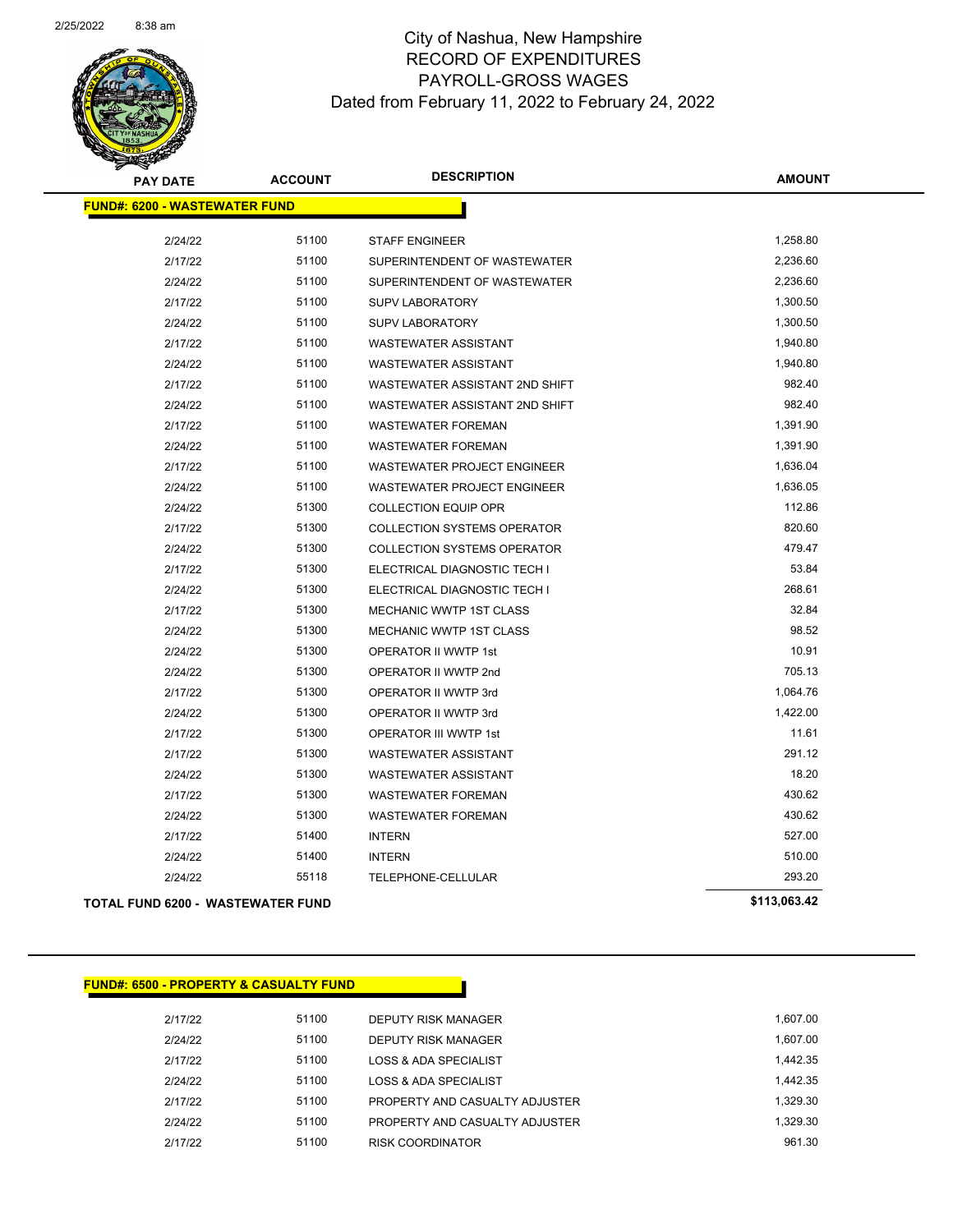

| <b>PAY DATE</b>                          | <b>ACCOUNT</b> | <b>DESCRIPTION</b>                 | <b>AMOUNT</b> |
|------------------------------------------|----------------|------------------------------------|---------------|
| <b>FUND#: 6200 - WASTEWATER FUND</b>     |                |                                    |               |
| 2/24/22                                  | 51100          | <b>STAFF ENGINEER</b>              | 1,258.80      |
| 2/17/22                                  | 51100          | SUPERINTENDENT OF WASTEWATER       | 2,236.60      |
| 2/24/22                                  | 51100          | SUPERINTENDENT OF WASTEWATER       | 2,236.60      |
| 2/17/22                                  | 51100          | <b>SUPV LABORATORY</b>             | 1,300.50      |
| 2/24/22                                  | 51100          | <b>SUPV LABORATORY</b>             | 1,300.50      |
| 2/17/22                                  | 51100          | WASTEWATER ASSISTANT               | 1,940.80      |
| 2/24/22                                  | 51100          | <b>WASTEWATER ASSISTANT</b>        | 1,940.80      |
| 2/17/22                                  | 51100          | WASTEWATER ASSISTANT 2ND SHIFT     | 982.40        |
| 2/24/22                                  | 51100          | WASTEWATER ASSISTANT 2ND SHIFT     | 982.40        |
| 2/17/22                                  | 51100          | <b>WASTEWATER FOREMAN</b>          | 1,391.90      |
| 2/24/22                                  | 51100          | <b>WASTEWATER FOREMAN</b>          | 1,391.90      |
| 2/17/22                                  | 51100          | WASTEWATER PROJECT ENGINEER        | 1,636.04      |
| 2/24/22                                  | 51100          | WASTEWATER PROJECT ENGINEER        | 1,636.05      |
| 2/24/22                                  | 51300          | <b>COLLECTION EQUIP OPR</b>        | 112.86        |
| 2/17/22                                  | 51300          | <b>COLLECTION SYSTEMS OPERATOR</b> | 820.60        |
| 2/24/22                                  | 51300          | <b>COLLECTION SYSTEMS OPERATOR</b> | 479.47        |
| 2/17/22                                  | 51300          | ELECTRICAL DIAGNOSTIC TECH I       | 53.84         |
| 2/24/22                                  | 51300          | ELECTRICAL DIAGNOSTIC TECH I       | 268.61        |
| 2/17/22                                  | 51300          | MECHANIC WWTP 1ST CLASS            | 32.84         |
| 2/24/22                                  | 51300          | <b>MECHANIC WWTP 1ST CLASS</b>     | 98.52         |
| 2/24/22                                  | 51300          | OPERATOR II WWTP 1st               | 10.91         |
| 2/24/22                                  | 51300          | OPERATOR II WWTP 2nd               | 705.13        |
| 2/17/22                                  | 51300          | OPERATOR II WWTP 3rd               | 1,064.76      |
| 2/24/22                                  | 51300          | OPERATOR II WWTP 3rd               | 1,422.00      |
| 2/17/22                                  | 51300          | OPERATOR III WWTP 1st              | 11.61         |
| 2/17/22                                  | 51300          | <b>WASTEWATER ASSISTANT</b>        | 291.12        |
| 2/24/22                                  | 51300          | <b>WASTEWATER ASSISTANT</b>        | 18.20         |
| 2/17/22                                  | 51300          | <b>WASTEWATER FOREMAN</b>          | 430.62        |
| 2/24/22                                  | 51300          | <b>WASTEWATER FOREMAN</b>          | 430.62        |
| 2/17/22                                  | 51400          | <b>INTERN</b>                      | 527.00        |
| 2/24/22                                  | 51400          | <b>INTERN</b>                      | 510.00        |
| 2/24/22                                  | 55118          | TELEPHONE-CELLULAR                 | 293.20        |
| <b>TOTAL FUND 6200 - WASTEWATER FUND</b> |                |                                    | \$113,063.42  |

| <b>FUND#: 6500 - PROPERTY &amp; CASUALTY FUND</b> |       |                                  |          |
|---------------------------------------------------|-------|----------------------------------|----------|
| 2/17/22                                           | 51100 | DEPUTY RISK MANAGER              | 1.607.00 |
| 2/24/22                                           | 51100 | DEPUTY RISK MANAGER              | 1.607.00 |
| 2/17/22                                           | 51100 | <b>LOSS &amp; ADA SPECIALIST</b> | 1.442.35 |
| 2/24/22                                           | 51100 | LOSS & ADA SPECIALIST            | 1.442.35 |
| 2/17/22                                           | 51100 | PROPERTY AND CASUALTY ADJUSTER   | 1,329.30 |
| 2/24/22                                           | 51100 | PROPERTY AND CASUALTY ADJUSTER   | 1.329.30 |
| 2/17/22                                           | 51100 | <b>RISK COORDINATOR</b>          | 961.30   |